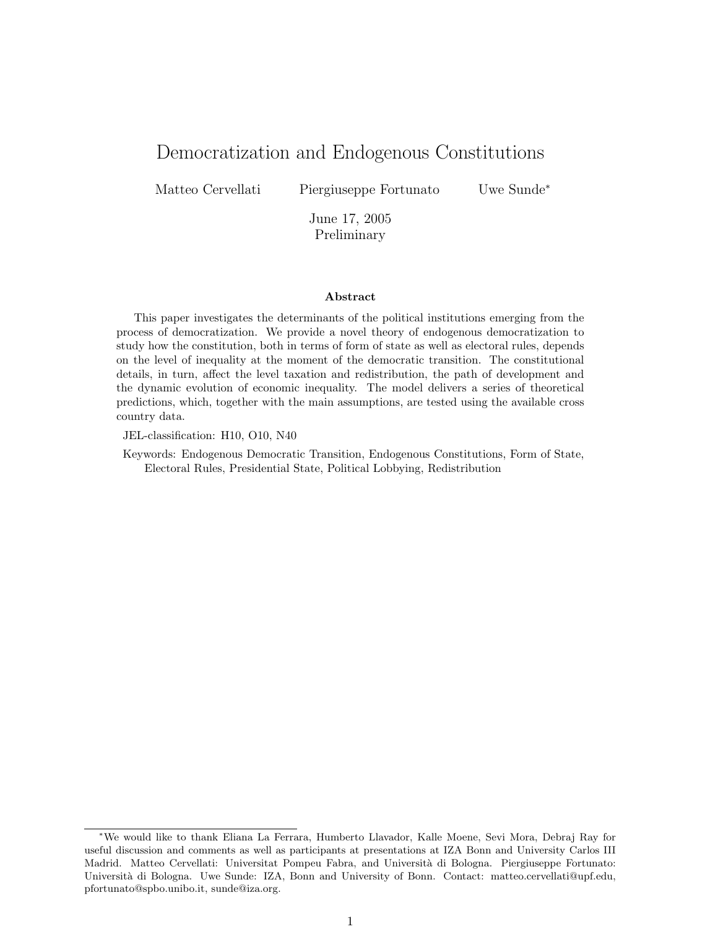# Democratization and Endogenous Constitutions

Matteo Cervellati Piergiuseppe Fortunato Uwe Sunde<sup>∗</sup>

June 17, 2005 Preliminary

#### Abstract

This paper investigates the determinants of the political institutions emerging from the process of democratization. We provide a novel theory of endogenous democratization to study how the constitution, both in terms of form of state as well as electoral rules, depends on the level of inequality at the moment of the democratic transition. The constitutional details, in turn, affect the level taxation and redistribution, the path of development and the dynamic evolution of economic inequality. The model delivers a series of theoretical predictions, which, together with the main assumptions, are tested using the available cross country data.

JEL-classification: H10, O10, N40

Keywords: Endogenous Democratic Transition, Endogenous Constitutions, Form of State, Electoral Rules, Presidential State, Political Lobbying, Redistribution

<sup>∗</sup>We would like to thank Eliana La Ferrara, Humberto Llavador, Kalle Moene, Sevi Mora, Debraj Ray for useful discussion and comments as well as participants at presentations at IZA Bonn and University Carlos III Madrid. Matteo Cervellati: Universitat Pompeu Fabra, and Università di Bologna. Piergiuseppe Fortunato: Università di Bologna. Uwe Sunde: IZA, Bonn and University of Bonn. Contact: matteo.cervellati@upf.edu, pfortunato@spbo.unibo.it, sunde@iza.org.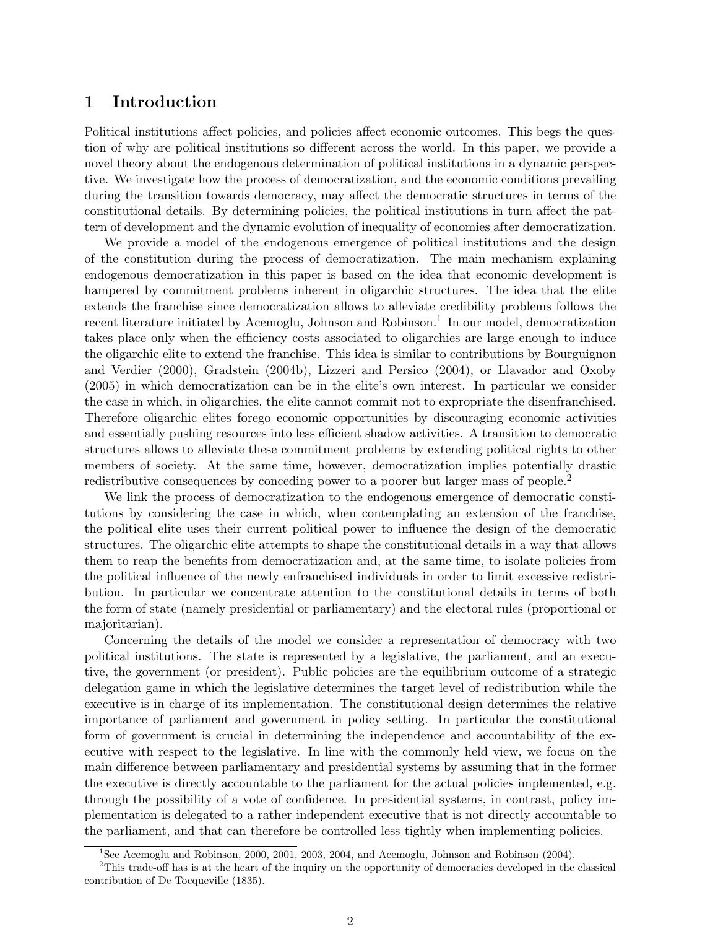# 1 Introduction

Political institutions affect policies, and policies affect economic outcomes. This begs the question of why are political institutions so different across the world. In this paper, we provide a novel theory about the endogenous determination of political institutions in a dynamic perspective. We investigate how the process of democratization, and the economic conditions prevailing during the transition towards democracy, may affect the democratic structures in terms of the constitutional details. By determining policies, the political institutions in turn affect the pattern of development and the dynamic evolution of inequality of economies after democratization.

We provide a model of the endogenous emergence of political institutions and the design of the constitution during the process of democratization. The main mechanism explaining endogenous democratization in this paper is based on the idea that economic development is hampered by commitment problems inherent in oligarchic structures. The idea that the elite extends the franchise since democratization allows to alleviate credibility problems follows the recent literature initiated by Acemoglu, Johnson and Robinson.<sup>1</sup> In our model, democratization takes place only when the efficiency costs associated to oligarchies are large enough to induce the oligarchic elite to extend the franchise. This idea is similar to contributions by Bourguignon and Verdier (2000), Gradstein (2004b), Lizzeri and Persico (2004), or Llavador and Oxoby (2005) in which democratization can be in the elite's own interest. In particular we consider the case in which, in oligarchies, the elite cannot commit not to expropriate the disenfranchised. Therefore oligarchic elites forego economic opportunities by discouraging economic activities and essentially pushing resources into less efficient shadow activities. A transition to democratic structures allows to alleviate these commitment problems by extending political rights to other members of society. At the same time, however, democratization implies potentially drastic redistributive consequences by conceding power to a poorer but larger mass of people.<sup>2</sup>

We link the process of democratization to the endogenous emergence of democratic constitutions by considering the case in which, when contemplating an extension of the franchise, the political elite uses their current political power to influence the design of the democratic structures. The oligarchic elite attempts to shape the constitutional details in a way that allows them to reap the benefits from democratization and, at the same time, to isolate policies from the political influence of the newly enfranchised individuals in order to limit excessive redistribution. In particular we concentrate attention to the constitutional details in terms of both the form of state (namely presidential or parliamentary) and the electoral rules (proportional or majoritarian).

Concerning the details of the model we consider a representation of democracy with two political institutions. The state is represented by a legislative, the parliament, and an executive, the government (or president). Public policies are the equilibrium outcome of a strategic delegation game in which the legislative determines the target level of redistribution while the executive is in charge of its implementation. The constitutional design determines the relative importance of parliament and government in policy setting. In particular the constitutional form of government is crucial in determining the independence and accountability of the executive with respect to the legislative. In line with the commonly held view, we focus on the main difference between parliamentary and presidential systems by assuming that in the former the executive is directly accountable to the parliament for the actual policies implemented, e.g. through the possibility of a vote of confidence. In presidential systems, in contrast, policy implementation is delegated to a rather independent executive that is not directly accountable to the parliament, and that can therefore be controlled less tightly when implementing policies.

<sup>&</sup>lt;sup>1</sup>See Acemoglu and Robinson, 2000, 2001, 2003, 2004, and Acemoglu, Johnson and Robinson (2004).

<sup>&</sup>lt;sup>2</sup>This trade-off has is at the heart of the inquiry on the opportunity of democracies developed in the classical contribution of De Tocqueville (1835).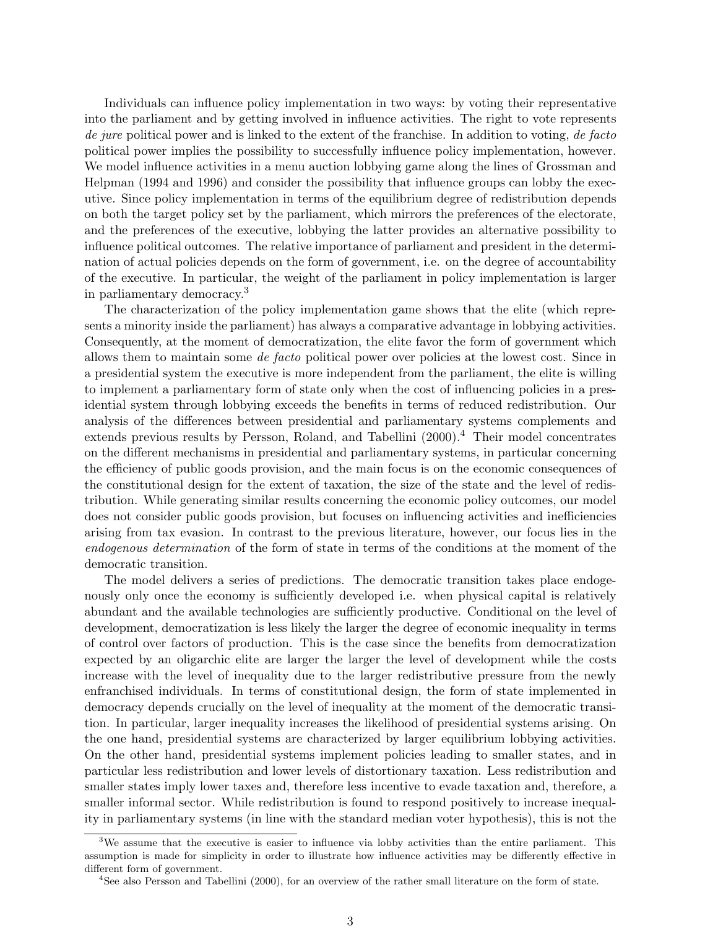Individuals can influence policy implementation in two ways: by voting their representative into the parliament and by getting involved in influence activities. The right to vote represents de jure political power and is linked to the extent of the franchise. In addition to voting, de facto political power implies the possibility to successfully influence policy implementation, however. We model influence activities in a menu auction lobbying game along the lines of Grossman and Helpman (1994 and 1996) and consider the possibility that influence groups can lobby the executive. Since policy implementation in terms of the equilibrium degree of redistribution depends on both the target policy set by the parliament, which mirrors the preferences of the electorate, and the preferences of the executive, lobbying the latter provides an alternative possibility to influence political outcomes. The relative importance of parliament and president in the determination of actual policies depends on the form of government, i.e. on the degree of accountability of the executive. In particular, the weight of the parliament in policy implementation is larger in parliamentary democracy.<sup>3</sup>

The characterization of the policy implementation game shows that the elite (which represents a minority inside the parliament) has always a comparative advantage in lobbying activities. Consequently, at the moment of democratization, the elite favor the form of government which allows them to maintain some de facto political power over policies at the lowest cost. Since in a presidential system the executive is more independent from the parliament, the elite is willing to implement a parliamentary form of state only when the cost of influencing policies in a presidential system through lobbying exceeds the benefits in terms of reduced redistribution. Our analysis of the differences between presidential and parliamentary systems complements and extends previous results by Persson, Roland, and Tabellini  $(2000)^{4}$ . Their model concentrates on the different mechanisms in presidential and parliamentary systems, in particular concerning the efficiency of public goods provision, and the main focus is on the economic consequences of the constitutional design for the extent of taxation, the size of the state and the level of redistribution. While generating similar results concerning the economic policy outcomes, our model does not consider public goods provision, but focuses on influencing activities and inefficiencies arising from tax evasion. In contrast to the previous literature, however, our focus lies in the endogenous determination of the form of state in terms of the conditions at the moment of the democratic transition.

The model delivers a series of predictions. The democratic transition takes place endogenously only once the economy is sufficiently developed i.e. when physical capital is relatively abundant and the available technologies are sufficiently productive. Conditional on the level of development, democratization is less likely the larger the degree of economic inequality in terms of control over factors of production. This is the case since the benefits from democratization expected by an oligarchic elite are larger the larger the level of development while the costs increase with the level of inequality due to the larger redistributive pressure from the newly enfranchised individuals. In terms of constitutional design, the form of state implemented in democracy depends crucially on the level of inequality at the moment of the democratic transition. In particular, larger inequality increases the likelihood of presidential systems arising. On the one hand, presidential systems are characterized by larger equilibrium lobbying activities. On the other hand, presidential systems implement policies leading to smaller states, and in particular less redistribution and lower levels of distortionary taxation. Less redistribution and smaller states imply lower taxes and, therefore less incentive to evade taxation and, therefore, a smaller informal sector. While redistribution is found to respond positively to increase inequality in parliamentary systems (in line with the standard median voter hypothesis), this is not the

<sup>&</sup>lt;sup>3</sup>We assume that the executive is easier to influence via lobby activities than the entire parliament. This assumption is made for simplicity in order to illustrate how influence activities may be differently effective in different form of government.

<sup>4</sup>See also Persson and Tabellini (2000), for an overview of the rather small literature on the form of state.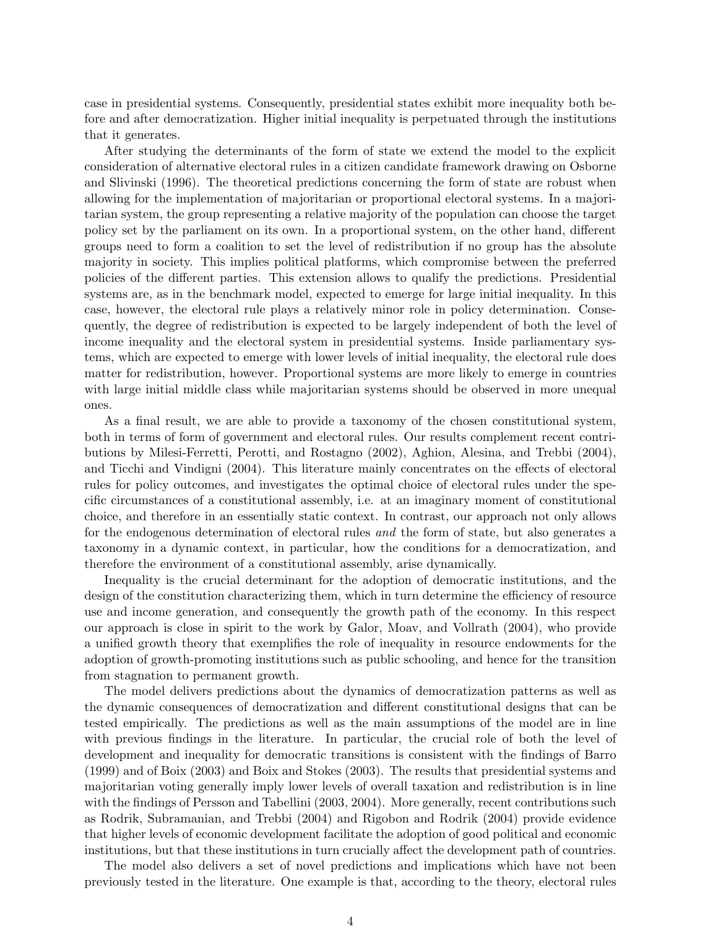case in presidential systems. Consequently, presidential states exhibit more inequality both before and after democratization. Higher initial inequality is perpetuated through the institutions that it generates.

After studying the determinants of the form of state we extend the model to the explicit consideration of alternative electoral rules in a citizen candidate framework drawing on Osborne and Slivinski (1996). The theoretical predictions concerning the form of state are robust when allowing for the implementation of majoritarian or proportional electoral systems. In a majoritarian system, the group representing a relative majority of the population can choose the target policy set by the parliament on its own. In a proportional system, on the other hand, different groups need to form a coalition to set the level of redistribution if no group has the absolute majority in society. This implies political platforms, which compromise between the preferred policies of the different parties. This extension allows to qualify the predictions. Presidential systems are, as in the benchmark model, expected to emerge for large initial inequality. In this case, however, the electoral rule plays a relatively minor role in policy determination. Consequently, the degree of redistribution is expected to be largely independent of both the level of income inequality and the electoral system in presidential systems. Inside parliamentary systems, which are expected to emerge with lower levels of initial inequality, the electoral rule does matter for redistribution, however. Proportional systems are more likely to emerge in countries with large initial middle class while majoritarian systems should be observed in more unequal ones.

As a final result, we are able to provide a taxonomy of the chosen constitutional system, both in terms of form of government and electoral rules. Our results complement recent contributions by Milesi-Ferretti, Perotti, and Rostagno (2002), Aghion, Alesina, and Trebbi (2004), and Ticchi and Vindigni (2004). This literature mainly concentrates on the effects of electoral rules for policy outcomes, and investigates the optimal choice of electoral rules under the specific circumstances of a constitutional assembly, i.e. at an imaginary moment of constitutional choice, and therefore in an essentially static context. In contrast, our approach not only allows for the endogenous determination of electoral rules and the form of state, but also generates a taxonomy in a dynamic context, in particular, how the conditions for a democratization, and therefore the environment of a constitutional assembly, arise dynamically.

Inequality is the crucial determinant for the adoption of democratic institutions, and the design of the constitution characterizing them, which in turn determine the efficiency of resource use and income generation, and consequently the growth path of the economy. In this respect our approach is close in spirit to the work by Galor, Moav, and Vollrath (2004), who provide a unified growth theory that exemplifies the role of inequality in resource endowments for the adoption of growth-promoting institutions such as public schooling, and hence for the transition from stagnation to permanent growth.

The model delivers predictions about the dynamics of democratization patterns as well as the dynamic consequences of democratization and different constitutional designs that can be tested empirically. The predictions as well as the main assumptions of the model are in line with previous findings in the literature. In particular, the crucial role of both the level of development and inequality for democratic transitions is consistent with the findings of Barro (1999) and of Boix (2003) and Boix and Stokes (2003). The results that presidential systems and majoritarian voting generally imply lower levels of overall taxation and redistribution is in line with the findings of Persson and Tabellini (2003, 2004). More generally, recent contributions such as Rodrik, Subramanian, and Trebbi (2004) and Rigobon and Rodrik (2004) provide evidence that higher levels of economic development facilitate the adoption of good political and economic institutions, but that these institutions in turn crucially affect the development path of countries.

The model also delivers a set of novel predictions and implications which have not been previously tested in the literature. One example is that, according to the theory, electoral rules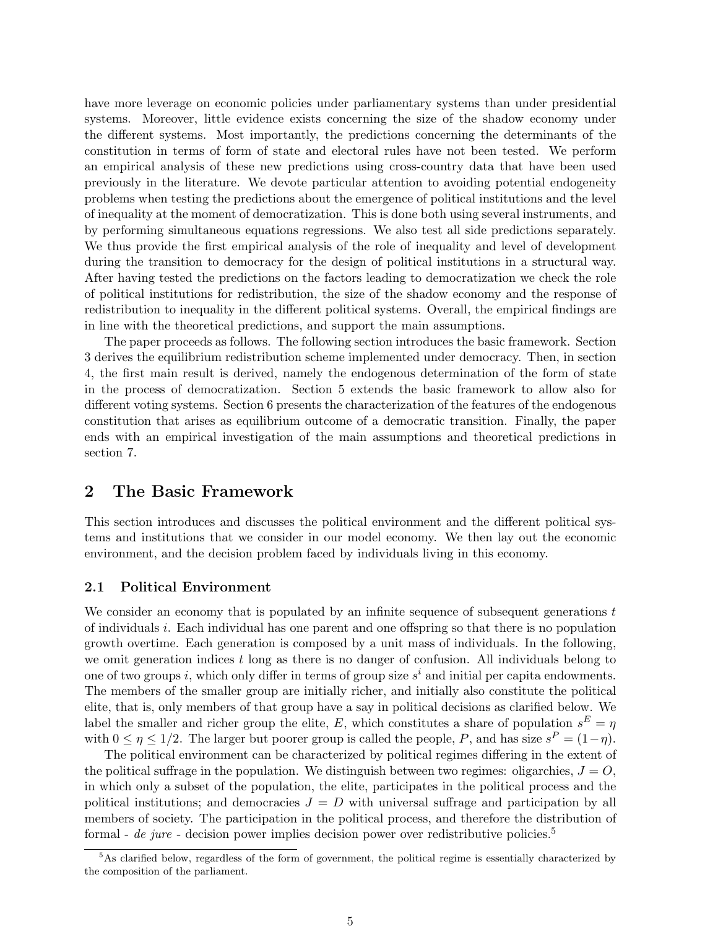have more leverage on economic policies under parliamentary systems than under presidential systems. Moreover, little evidence exists concerning the size of the shadow economy under the different systems. Most importantly, the predictions concerning the determinants of the constitution in terms of form of state and electoral rules have not been tested. We perform an empirical analysis of these new predictions using cross-country data that have been used previously in the literature. We devote particular attention to avoiding potential endogeneity problems when testing the predictions about the emergence of political institutions and the level of inequality at the moment of democratization. This is done both using several instruments, and by performing simultaneous equations regressions. We also test all side predictions separately. We thus provide the first empirical analysis of the role of inequality and level of development during the transition to democracy for the design of political institutions in a structural way. After having tested the predictions on the factors leading to democratization we check the role of political institutions for redistribution, the size of the shadow economy and the response of redistribution to inequality in the different political systems. Overall, the empirical findings are in line with the theoretical predictions, and support the main assumptions.

The paper proceeds as follows. The following section introduces the basic framework. Section 3 derives the equilibrium redistribution scheme implemented under democracy. Then, in section 4, the first main result is derived, namely the endogenous determination of the form of state in the process of democratization. Section 5 extends the basic framework to allow also for different voting systems. Section 6 presents the characterization of the features of the endogenous constitution that arises as equilibrium outcome of a democratic transition. Finally, the paper ends with an empirical investigation of the main assumptions and theoretical predictions in section 7.

# 2 The Basic Framework

This section introduces and discusses the political environment and the different political systems and institutions that we consider in our model economy. We then lay out the economic environment, and the decision problem faced by individuals living in this economy.

#### 2.1 Political Environment

We consider an economy that is populated by an infinite sequence of subsequent generations t of individuals i. Each individual has one parent and one offspring so that there is no population growth overtime. Each generation is composed by a unit mass of individuals. In the following, we omit generation indices t long as there is no danger of confusion. All individuals belong to one of two groups *i*, which only differ in terms of group size  $s^i$  and initial per capita endowments. The members of the smaller group are initially richer, and initially also constitute the political elite, that is, only members of that group have a say in political decisions as clarified below. We label the smaller and richer group the elite, E, which constitutes a share of population  $s^E = \eta$ with  $0 \le \eta \le 1/2$ . The larger but poorer group is called the people, P, and has size  $s^P = (1 - \eta)$ .

The political environment can be characterized by political regimes differing in the extent of the political suffrage in the population. We distinguish between two regimes: oligarchies,  $J = O$ , in which only a subset of the population, the elite, participates in the political process and the political institutions; and democracies  $J = D$  with universal suffrage and participation by all members of society. The participation in the political process, and therefore the distribution of formal - de jure - decision power implies decision power over redistributive policies.<sup>5</sup>

<sup>&</sup>lt;sup>5</sup>As clarified below, regardless of the form of government, the political regime is essentially characterized by the composition of the parliament.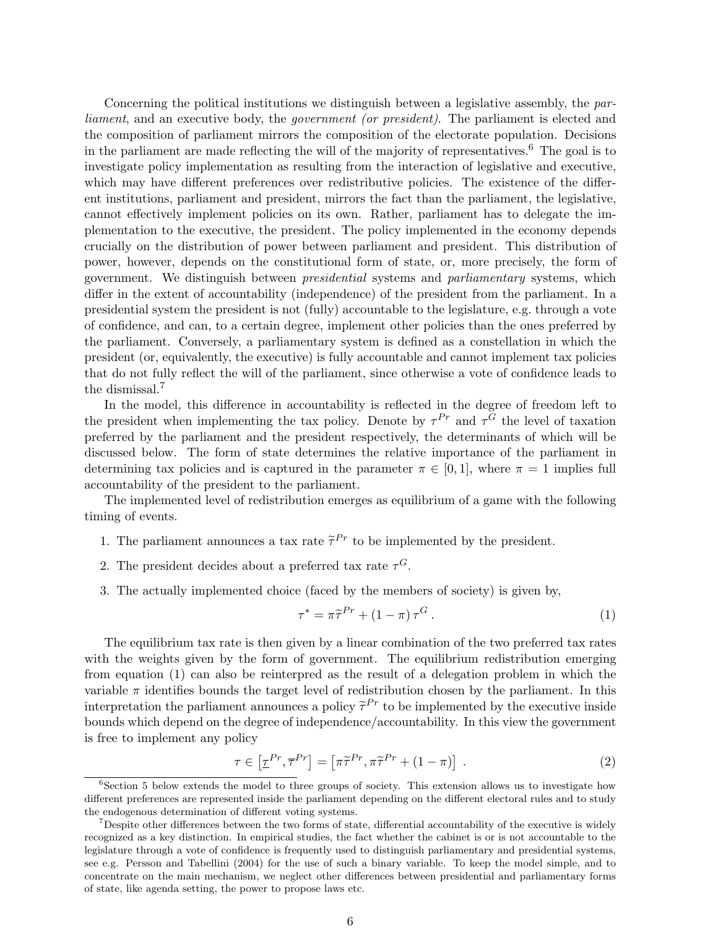Concerning the political institutions we distinguish between a legislative assembly, the parliament, and an executive body, the government (or president). The parliament is elected and the composition of parliament mirrors the composition of the electorate population. Decisions in the parliament are made reflecting the will of the majority of representatives.<sup>6</sup> The goal is to investigate policy implementation as resulting from the interaction of legislative and executive, which may have different preferences over redistributive policies. The existence of the different institutions, parliament and president, mirrors the fact than the parliament, the legislative, cannot effectively implement policies on its own. Rather, parliament has to delegate the implementation to the executive, the president. The policy implemented in the economy depends crucially on the distribution of power between parliament and president. This distribution of power, however, depends on the constitutional form of state, or, more precisely, the form of government. We distinguish between presidential systems and parliamentary systems, which differ in the extent of accountability (independence) of the president from the parliament. In a presidential system the president is not (fully) accountable to the legislature, e.g. through a vote of confidence, and can, to a certain degree, implement other policies than the ones preferred by the parliament. Conversely, a parliamentary system is defined as a constellation in which the president (or, equivalently, the executive) is fully accountable and cannot implement tax policies that do not fully reflect the will of the parliament, since otherwise a vote of confidence leads to the dismissal.<sup>7</sup>

In the model, this difference in accountability is reflected in the degree of freedom left to the president when implementing the tax policy. Denote by  $\tau^{Pr}$  and  $\tau^G$  the level of taxation preferred by the parliament and the president respectively, the determinants of which will be discussed below. The form of state determines the relative importance of the parliament in determining tax policies and is captured in the parameter  $\pi \in [0,1]$ , where  $\pi = 1$  implies full accountability of the president to the parliament.

The implemented level of redistribution emerges as equilibrium of a game with the following timing of events.

- 1. The parliament announces a tax rate  $\tilde{\tau}^{Pr}$  to be implemented by the president.
- 2. The president decides about a preferred tax rate  $\tau$ <sup>G</sup>.
- 3. The actually implemented choice (faced by the members of society) is given by,

$$
\tau^* = \pi \tilde{\tau}^{Pr} + (1 - \pi) \tau^G. \tag{1}
$$

The equilibrium tax rate is then given by a linear combination of the two preferred tax rates with the weights given by the form of government. The equilibrium redistribution emerging from equation (1) can also be reinterpred as the result of a delegation problem in which the variable  $\pi$  identifies bounds the target level of redistribution chosen by the parliament. In this interpretation the parliament announces a policy  $\tilde{\tau}^{Pr}$  to be implemented by the executive inside bounds which depend on the degree of independence/accountability. In this view the government is free to implement any policy

$$
\tau \in \left[\underline{\tau}^{Pr}, \overline{\tau}^{Pr}\right] = \left[\pi \widetilde{\tau}^{Pr}, \pi \widetilde{\tau}^{Pr} + (1 - \pi)\right]. \tag{2}
$$

<sup>&</sup>lt;sup>6</sup>Section 5 below extends the model to three groups of society. This extension allows us to investigate how different preferences are represented inside the parliament depending on the different electoral rules and to study the endogenous determination of different voting systems.

<sup>&</sup>lt;sup>7</sup>Despite other differences between the two forms of state, differential accountability of the executive is widely recognized as a key distinction. In empirical studies, the fact whether the cabinet is or is not accountable to the legislature through a vote of confidence is frequently used to distinguish parliamentary and presidential systems, see e.g. Persson and Tabellini (2004) for the use of such a binary variable. To keep the model simple, and to concentrate on the main mechanism, we neglect other differences between presidential and parliamentary forms of state, like agenda setting, the power to propose laws etc.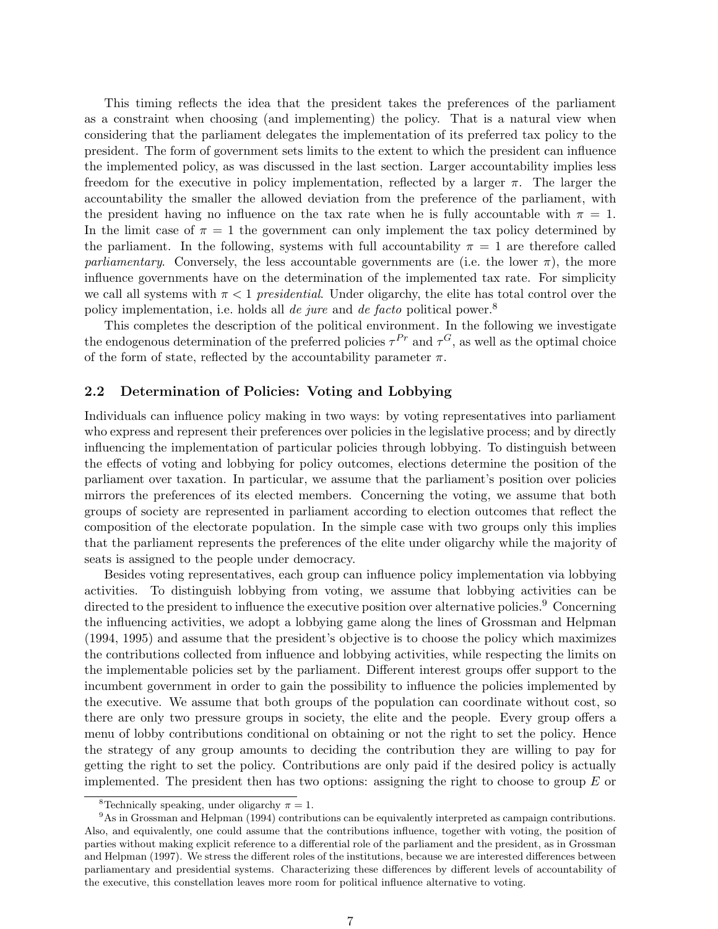This timing reflects the idea that the president takes the preferences of the parliament as a constraint when choosing (and implementing) the policy. That is a natural view when considering that the parliament delegates the implementation of its preferred tax policy to the president. The form of government sets limits to the extent to which the president can influence the implemented policy, as was discussed in the last section. Larger accountability implies less freedom for the executive in policy implementation, reflected by a larger  $\pi$ . The larger the accountability the smaller the allowed deviation from the preference of the parliament, with the president having no influence on the tax rate when he is fully accountable with  $\pi = 1$ . In the limit case of  $\pi = 1$  the government can only implement the tax policy determined by the parliament. In the following, systems with full accountability  $\pi = 1$  are therefore called parliamentary. Conversely, the less accountable governments are (i.e. the lower  $\pi$ ), the more influence governments have on the determination of the implemented tax rate. For simplicity we call all systems with  $\pi < 1$  presidential. Under oligarchy, the elite has total control over the policy implementation, i.e. holds all *de jure* and *de facto* political power.<sup>8</sup>

This completes the description of the political environment. In the following we investigate the endogenous determination of the preferred policies  $\tau^{Pr}$  and  $\tau^{G}$ , as well as the optimal choice of the form of state, reflected by the accountability parameter  $\pi$ .

#### 2.2 Determination of Policies: Voting and Lobbying

Individuals can influence policy making in two ways: by voting representatives into parliament who express and represent their preferences over policies in the legislative process; and by directly influencing the implementation of particular policies through lobbying. To distinguish between the effects of voting and lobbying for policy outcomes, elections determine the position of the parliament over taxation. In particular, we assume that the parliament's position over policies mirrors the preferences of its elected members. Concerning the voting, we assume that both groups of society are represented in parliament according to election outcomes that reflect the composition of the electorate population. In the simple case with two groups only this implies that the parliament represents the preferences of the elite under oligarchy while the majority of seats is assigned to the people under democracy.

Besides voting representatives, each group can influence policy implementation via lobbying activities. To distinguish lobbying from voting, we assume that lobbying activities can be directed to the president to influence the executive position over alternative policies.<sup>9</sup> Concerning the influencing activities, we adopt a lobbying game along the lines of Grossman and Helpman (1994, 1995) and assume that the president's objective is to choose the policy which maximizes the contributions collected from influence and lobbying activities, while respecting the limits on the implementable policies set by the parliament. Different interest groups offer support to the incumbent government in order to gain the possibility to influence the policies implemented by the executive. We assume that both groups of the population can coordinate without cost, so there are only two pressure groups in society, the elite and the people. Every group offers a menu of lobby contributions conditional on obtaining or not the right to set the policy. Hence the strategy of any group amounts to deciding the contribution they are willing to pay for getting the right to set the policy. Contributions are only paid if the desired policy is actually implemented. The president then has two options: assigning the right to choose to group  $E$  or

<sup>&</sup>lt;sup>8</sup>Technically speaking, under oligarchy  $\pi = 1$ .

<sup>9</sup>As in Grossman and Helpman (1994) contributions can be equivalently interpreted as campaign contributions. Also, and equivalently, one could assume that the contributions influence, together with voting, the position of parties without making explicit reference to a differential role of the parliament and the president, as in Grossman and Helpman (1997). We stress the different roles of the institutions, because we are interested differences between parliamentary and presidential systems. Characterizing these differences by different levels of accountability of the executive, this constellation leaves more room for political influence alternative to voting.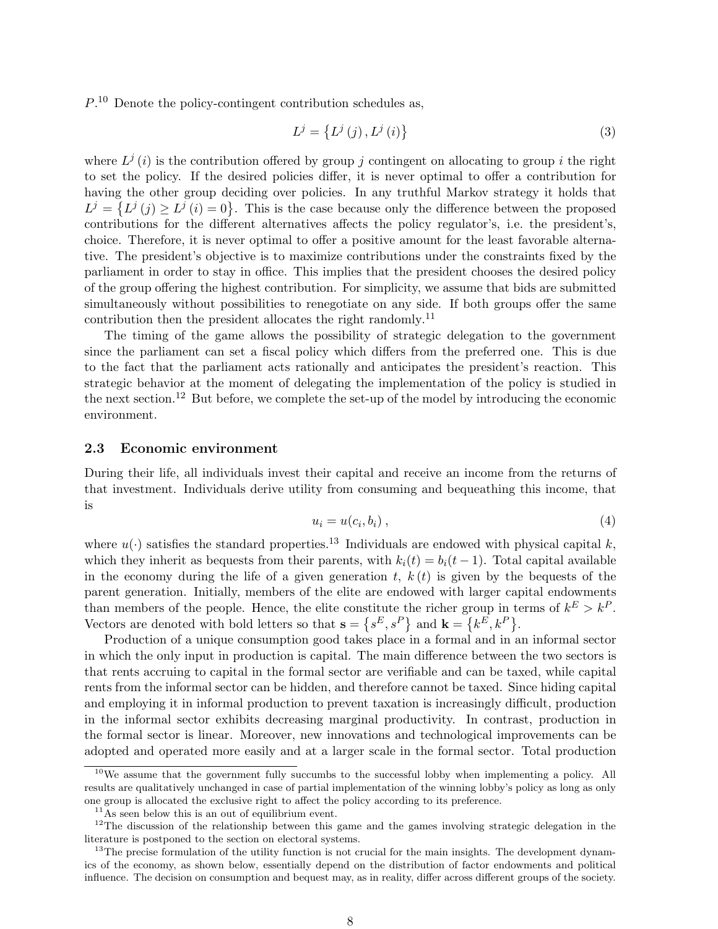$P<sup>10</sup>$  Denote the policy-contingent contribution schedules as,

$$
L^{j} = \left\{ L^{j}\left(j\right), L^{j}\left(i\right) \right\} \tag{3}
$$

where  $L^{j}(i)$  is the contribution offered by group j contingent on allocating to group i the right to set the policy. If the desired policies differ, it is never optimal to offer a contribution for having the other group deciding over policies. In any truthful Markov strategy it holds that having the other group declaing over policies. In any truthiul markov strategy it holds that  $L^j = \{L^j(j) \ge L^j(i) = 0\}$ . This is the case because only the difference between the proposed contributions for the different alternatives affects the policy regulator's, i.e. the president's, choice. Therefore, it is never optimal to offer a positive amount for the least favorable alternative. The president's objective is to maximize contributions under the constraints fixed by the parliament in order to stay in office. This implies that the president chooses the desired policy of the group offering the highest contribution. For simplicity, we assume that bids are submitted simultaneously without possibilities to renegotiate on any side. If both groups offer the same contribution then the president allocates the right randomly.<sup>11</sup>

The timing of the game allows the possibility of strategic delegation to the government since the parliament can set a fiscal policy which differs from the preferred one. This is due to the fact that the parliament acts rationally and anticipates the president's reaction. This strategic behavior at the moment of delegating the implementation of the policy is studied in the next section.<sup>12</sup> But before, we complete the set-up of the model by introducing the economic environment.

#### 2.3 Economic environment

During their life, all individuals invest their capital and receive an income from the returns of that investment. Individuals derive utility from consuming and bequeathing this income, that is

$$
u_i = u(c_i, b_i), \tag{4}
$$

where  $u(\cdot)$  satisfies the standard properties.<sup>13</sup> Individuals are endowed with physical capital k, which they inherit as bequests from their parents, with  $k<sub>i</sub>(t) = b<sub>i</sub>(t-1)$ . Total capital available in the economy during the life of a given generation  $t, k(t)$  is given by the bequests of the parent generation. Initially, members of the elite are endowed with larger capital endowments than members of the people. Hence, the elite constitute the richer group in terms of  $k^E > k^P$ . Vectors are denoted with bold letters so that  $\mathbf{s} = \{s^E, s^P\}$  and  $\mathbf{k} = \{k^E, k^P\}$ .

Production of a unique consumption good takes place in a formal and in an informal sector in which the only input in production is capital. The main difference between the two sectors is that rents accruing to capital in the formal sector are verifiable and can be taxed, while capital rents from the informal sector can be hidden, and therefore cannot be taxed. Since hiding capital and employing it in informal production to prevent taxation is increasingly difficult, production in the informal sector exhibits decreasing marginal productivity. In contrast, production in the formal sector is linear. Moreover, new innovations and technological improvements can be adopted and operated more easily and at a larger scale in the formal sector. Total production

 $10$ We assume that the government fully succumbs to the successful lobby when implementing a policy. All results are qualitatively unchanged in case of partial implementation of the winning lobby's policy as long as only one group is allocated the exclusive right to affect the policy according to its preference.

 $11$ As seen below this is an out of equilibrium event.

 $12$ The discussion of the relationship between this game and the games involving strategic delegation in the literature is postponed to the section on electoral systems.

 $13$ The precise formulation of the utility function is not crucial for the main insights. The development dynamics of the economy, as shown below, essentially depend on the distribution of factor endowments and political influence. The decision on consumption and bequest may, as in reality, differ across different groups of the society.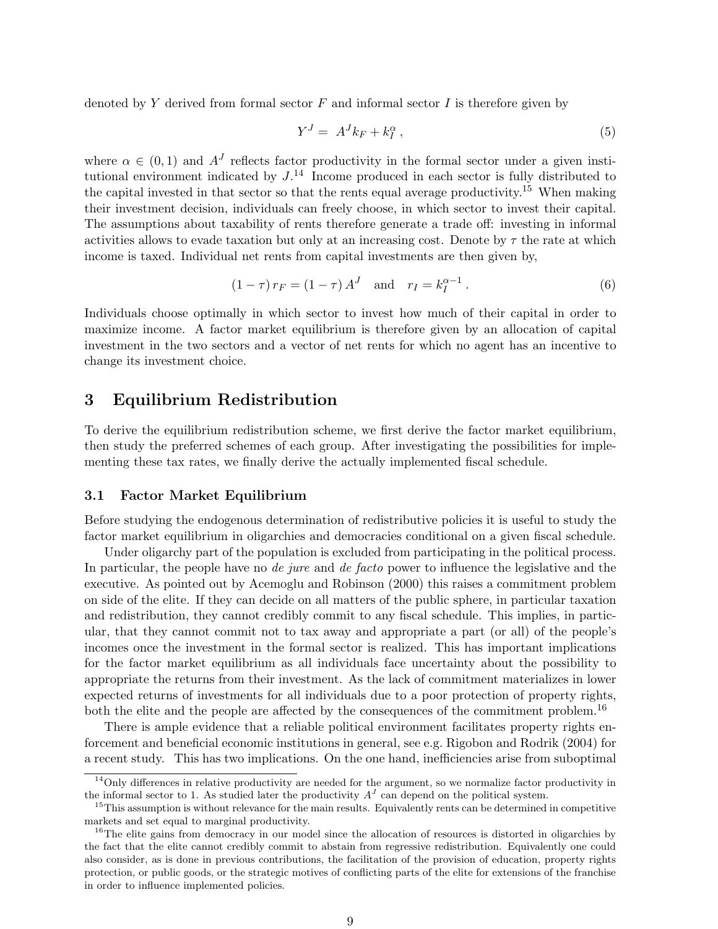denoted by  $Y$  derived from formal sector  $F$  and informal sector  $I$  is therefore given by

$$
Y^J = A^J k_F + k_I^{\alpha} \,, \tag{5}
$$

where  $\alpha \in (0,1)$  and  $A<sup>J</sup>$  reflects factor productivity in the formal sector under a given institutional environment indicated by  $J^{14}$  Income produced in each sector is fully distributed to the capital invested in that sector so that the rents equal average productivity.<sup>15</sup> When making their investment decision, individuals can freely choose, in which sector to invest their capital. The assumptions about taxability of rents therefore generate a trade off: investing in informal activities allows to evade taxation but only at an increasing cost. Denote by  $\tau$  the rate at which income is taxed. Individual net rents from capital investments are then given by,

$$
(1 - \tau) r_F = (1 - \tau) A^J \quad \text{and} \quad r_I = k_I^{\alpha - 1} . \tag{6}
$$

Individuals choose optimally in which sector to invest how much of their capital in order to maximize income. A factor market equilibrium is therefore given by an allocation of capital investment in the two sectors and a vector of net rents for which no agent has an incentive to change its investment choice.

# 3 Equilibrium Redistribution

To derive the equilibrium redistribution scheme, we first derive the factor market equilibrium, then study the preferred schemes of each group. After investigating the possibilities for implementing these tax rates, we finally derive the actually implemented fiscal schedule.

#### 3.1 Factor Market Equilibrium

Before studying the endogenous determination of redistributive policies it is useful to study the factor market equilibrium in oligarchies and democracies conditional on a given fiscal schedule.

Under oligarchy part of the population is excluded from participating in the political process. In particular, the people have no *de jure* and *de facto* power to influence the legislative and the executive. As pointed out by Acemoglu and Robinson (2000) this raises a commitment problem on side of the elite. If they can decide on all matters of the public sphere, in particular taxation and redistribution, they cannot credibly commit to any fiscal schedule. This implies, in particular, that they cannot commit not to tax away and appropriate a part (or all) of the people's incomes once the investment in the formal sector is realized. This has important implications for the factor market equilibrium as all individuals face uncertainty about the possibility to appropriate the returns from their investment. As the lack of commitment materializes in lower expected returns of investments for all individuals due to a poor protection of property rights, both the elite and the people are affected by the consequences of the commitment problem.<sup>16</sup>

There is ample evidence that a reliable political environment facilitates property rights enforcement and beneficial economic institutions in general, see e.g. Rigobon and Rodrik (2004) for a recent study. This has two implications. On the one hand, inefficiencies arise from suboptimal

 $14$ Only differences in relative productivity are needed for the argument, so we normalize factor productivity in the informal sector to 1. As studied later the productivity  $A<sup>J</sup>$  can depend on the political system.

<sup>&</sup>lt;sup>15</sup>This assumption is without relevance for the main results. Equivalently rents can be determined in competitive markets and set equal to marginal productivity.

<sup>&</sup>lt;sup>16</sup>The elite gains from democracy in our model since the allocation of resources is distorted in oligarchies by the fact that the elite cannot credibly commit to abstain from regressive redistribution. Equivalently one could also consider, as is done in previous contributions, the facilitation of the provision of education, property rights protection, or public goods, or the strategic motives of conflicting parts of the elite for extensions of the franchise in order to influence implemented policies.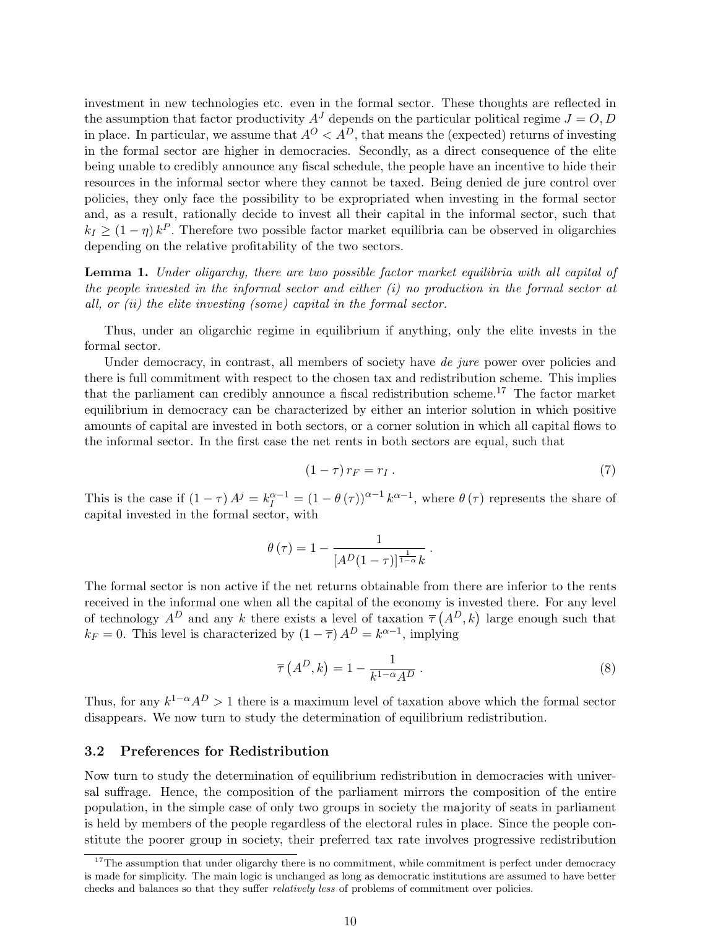investment in new technologies etc. even in the formal sector. These thoughts are reflected in the assumption that factor productivity  $A<sup>J</sup>$  depends on the particular political regime  $J = O, D$ in place. In particular, we assume that  $A^{O} < A^{D}$ , that means the (expected) returns of investing in the formal sector are higher in democracies. Secondly, as a direct consequence of the elite being unable to credibly announce any fiscal schedule, the people have an incentive to hide their resources in the informal sector where they cannot be taxed. Being denied de jure control over policies, they only face the possibility to be expropriated when investing in the formal sector and, as a result, rationally decide to invest all their capital in the informal sector, such that  $k_I \geq (1 - \eta) k^P$ . Therefore two possible factor market equilibria can be observed in oligarchies depending on the relative profitability of the two sectors.

Lemma 1. Under oligarchy, there are two possible factor market equilibria with all capital of the people invested in the informal sector and either (i) no production in the formal sector at all, or  $(ii)$  the elite investing (some) capital in the formal sector.

Thus, under an oligarchic regime in equilibrium if anything, only the elite invests in the formal sector.

Under democracy, in contrast, all members of society have de jure power over policies and there is full commitment with respect to the chosen tax and redistribution scheme. This implies that the parliament can credibly announce a fiscal redistribution scheme.<sup>17</sup> The factor market equilibrium in democracy can be characterized by either an interior solution in which positive amounts of capital are invested in both sectors, or a corner solution in which all capital flows to the informal sector. In the first case the net rents in both sectors are equal, such that

$$
(1 - \tau) r_F = r_I. \tag{7}
$$

This is the case if  $(1 - \tau) A^{j} = k_{I}^{\alpha - 1} = (1 - \theta(\tau))^{\alpha - 1} k^{\alpha - 1}$ , where  $\theta(\tau)$  represents the share of capital invested in the formal sector, with

$$
\theta\left(\tau\right)=1-\frac{1}{\left[A^{D}(1-\tau)\right]^{\frac{1}{1-\alpha}}k}.
$$

The formal sector is non active if the net returns obtainable from there are inferior to the rents received in the informal one when all the capital of the economy is invested there. For any level received in the informal one when all the capital of the economy is invested there, for any level<br>of technology  $A^D$  and any k there exists a level of taxation  $\overline{\tau}(A^D, k)$  large enough such that  $k_F = 0$ . This level is characterized by  $(1 - \overline{\tau}) A^D = k^{\alpha - 1}$ , implying

$$
\overline{\tau}\left(A^D,k\right) = 1 - \frac{1}{k^{1-\alpha}A^D} \,. \tag{8}
$$

Thus, for any  $k^{1-\alpha}A^D > 1$  there is a maximum level of taxation above which the formal sector disappears. We now turn to study the determination of equilibrium redistribution.

#### 3.2 Preferences for Redistribution

Now turn to study the determination of equilibrium redistribution in democracies with universal suffrage. Hence, the composition of the parliament mirrors the composition of the entire population, in the simple case of only two groups in society the majority of seats in parliament is held by members of the people regardless of the electoral rules in place. Since the people constitute the poorer group in society, their preferred tax rate involves progressive redistribution

 $17$ The assumption that under oligarchy there is no commitment, while commitment is perfect under democracy is made for simplicity. The main logic is unchanged as long as democratic institutions are assumed to have better checks and balances so that they suffer relatively less of problems of commitment over policies.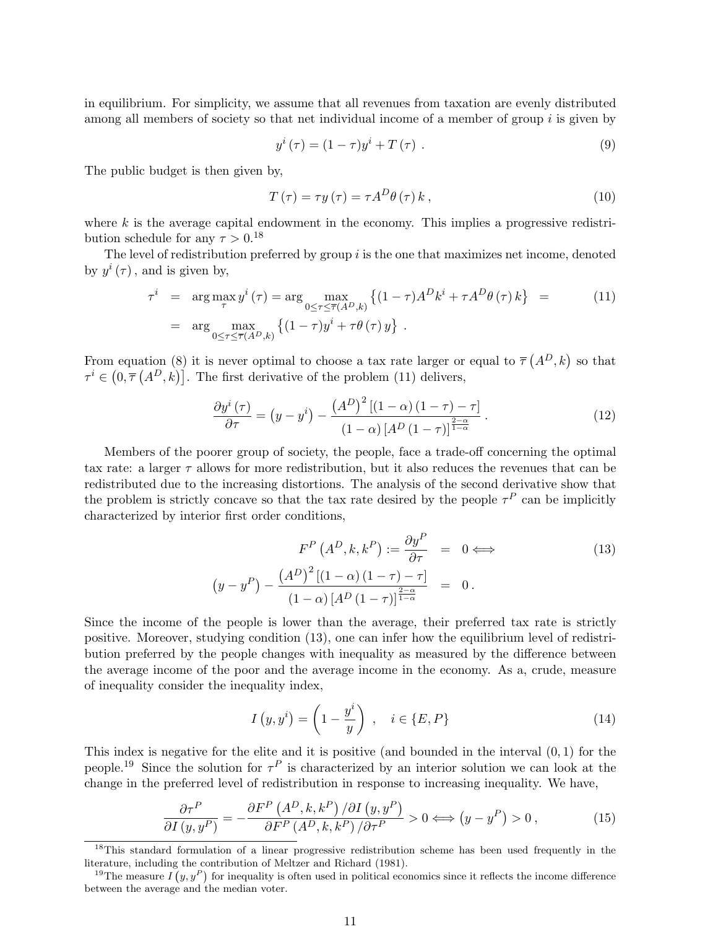in equilibrium. For simplicity, we assume that all revenues from taxation are evenly distributed among all members of society so that net individual income of a member of group  $i$  is given by

$$
y^{i}(\tau) = (1 - \tau)y^{i} + T(\tau) . \qquad (9)
$$

The public budget is then given by,

$$
T(\tau) = \tau y(\tau) = \tau A^D \theta(\tau) k , \qquad (10)
$$

where  $k$  is the average capital endowment in the economy. This implies a progressive redistribution schedule for any  $\tau > 0$ .<sup>18</sup>

The level of redistribution preferred by group  $i$  is the one that maximizes net income, denoted by  $y^i(\tau)$ , and is given by,

$$
\tau^{i} = \arg \max_{\tau} y^{i}(\tau) = \arg \max_{0 \le \tau \le \overline{\tau}(A^{D}, k)} \left\{ (1 - \tau) A^{D} k^{i} + \tau A^{D} \theta(\tau) k \right\} = \text{(11)}
$$
\n
$$
= \arg \max_{0 \le \tau \le \overline{\tau}(A^{D}, k)} \left\{ (1 - \tau) y^{i} + \tau \theta(\tau) y \right\}.
$$

From equation (8) it is never optimal to choose a tax rate larger or equal to  $\bar{\tau}$ i equation (8) it is never optimal to choose a tax rate larger or equal to  $\overline{\tau}(A^D, k)$  so that From equation (8) it is never optimal to choose a tax rate larger or  $\tau^i \in (0, \overline{\tau}(A^D, k))$ . The first derivative of the problem (11) delivers,

$$
\frac{\partial y^{i}\left(\tau\right)}{\partial \tau} = \left(y - y^{i}\right) - \frac{\left(A^{D}\right)^{2}\left[\left(1 - \alpha\right)\left(1 - \tau\right) - \tau\right]}{\left(1 - \alpha\right)\left[A^{D}\left(1 - \tau\right)\right]^{\frac{2 - \alpha}{1 - \alpha}}}. \tag{12}
$$

Members of the poorer group of society, the people, face a trade-off concerning the optimal tax rate: a larger  $\tau$  allows for more redistribution, but it also reduces the revenues that can be redistributed due to the increasing distortions. The analysis of the second derivative show that the problem is strictly concave so that the tax rate desired by the people  $\tau^P$  can be implicitly characterized by interior first order conditions,

$$
F^{P}\left(A^{D}, k, k^{P}\right) := \frac{\partial y^{P}}{\partial \tau} = 0 \Longleftrightarrow
$$
\n
$$
\left(y - y^{P}\right) - \frac{\left(A^{D}\right)^{2}\left[(1 - \alpha)\left(1 - \tau\right) - \tau\right]}{\left(1 - \alpha\right)\left[A^{D}\left(1 - \tau\right)\right]^{\frac{2 - \alpha}{1 - \alpha}}} = 0.
$$
\n
$$
(13)
$$

Since the income of the people is lower than the average, their preferred tax rate is strictly positive. Moreover, studying condition (13), one can infer how the equilibrium level of redistribution preferred by the people changes with inequality as measured by the difference between the average income of the poor and the average income in the economy. As a, crude, measure of inequality consider the inequality index,

$$
I(y, yi) = \left(1 - \frac{yi}{y}\right) , \quad i \in \{E, P\}
$$
 (14)

This index is negative for the elite and it is positive (and bounded in the interval  $(0, 1)$  for the people.<sup>19</sup> Since the solution for  $\tau^P$  is characterized by an interior solution we can look at the change in the preferred level of redistribution in response to increasing inequality. We have,

$$
\frac{\partial \tau^P}{\partial I(y, y^P)} = -\frac{\partial F^P (A^D, k, k^P) / \partial I (y, y^P)}{\partial F^P (A^D, k, k^P) / \partial \tau^P} > 0 \Longleftrightarrow (y - y^P) > 0,
$$
\n(15)

<sup>&</sup>lt;sup>18</sup>This standard formulation of a linear progressive redistribution scheme has been used frequently in the literature, including the contribution of Meltzer and Richard (1981).

<sup>&</sup>lt;sup>19</sup>The measure  $I(y, y^P)$  for inequality is often used in political economics since it reflects the income difference between the average and the median voter.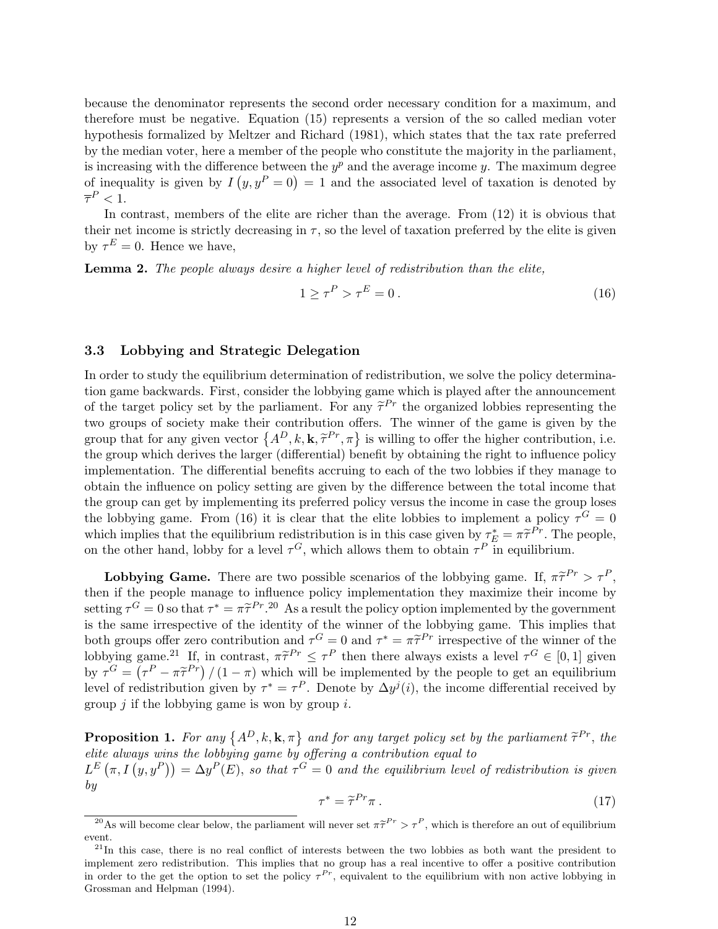because the denominator represents the second order necessary condition for a maximum, and therefore must be negative. Equation (15) represents a version of the so called median voter hypothesis formalized by Meltzer and Richard (1981), which states that the tax rate preferred by the median voter, here a member of the people who constitute the majority in the parliament, is increasing with the difference between the  $y^p$  and the average income y. The maximum degree is increasing with the difference between the  $y^2$  and the average income y. The maximum degree<br>of inequality is given by  $I(y, y^P = 0) = 1$  and the associated level of taxation is denoted by  $\overline{\tau}^P < 1.$ 

In contrast, members of the elite are richer than the average. From (12) it is obvious that their net income is strictly decreasing in  $\tau$ , so the level of taxation preferred by the elite is given by  $\tau^E = 0$ . Hence we have,

Lemma 2. The people always desire a higher level of redistribution than the elite,

$$
1 \ge \tau^P > \tau^E = 0. \tag{16}
$$

#### 3.3 Lobbying and Strategic Delegation

In order to study the equilibrium determination of redistribution, we solve the policy determination game backwards. First, consider the lobbying game which is played after the announcement of the target policy set by the parliament. For any  $\tilde{\tau}^{Pr}$  the organized lobbies representing the two groups of society make their contribution offers. The winner of the game is given by the two groups or society make their contribution offers. The winner or the game is given by the group that for any given vector  $\{A^D, k, \mathbf{k}, \tilde{\tau}^{Pr}, \pi\}$  is willing to offer the higher contribution, i.e. the group which derives the larger (differential) benefit by obtaining the right to influence policy implementation. The differential benefits accruing to each of the two lobbies if they manage to obtain the influence on policy setting are given by the difference between the total income that the group can get by implementing its preferred policy versus the income in case the group loses the lobbying game. From (16) it is clear that the elite lobbies to implement a policy  $\tau^G = 0$ which implies that the equilibrium redistribution is in this case given by  $\tau_E^* = \pi \tilde{\tau}^{Pr}$ . The people, on the other hand, lobby for a level  $\tau^G$ , which allows them to obtain  $\tau^P$  in equilibrium.

**Lobbying Game.** There are two possible scenarios of the lobbying game. If,  $\pi \tilde{\tau}^{Pr} > \tau^P$ , then if the people manage to influence policy implementation they maximize their income by setting  $\tau^G = 0$  so that  $\tau^* = \pi \tilde{\tau}^{Pr}$ .<sup>20</sup> As a result the policy option implemented by the government is the same irrespective of the identity of the winner of the lobbying game. This implies that both groups offer zero contribution and  $\tau^G = 0$  and  $\tau^* = \pi \tilde{\tau}^{Pr}$  irrespective of the winner of the lobbying game.<sup>21</sup> If, in contrast,  $\pi \tilde{\tau}^{Pr} \leq \tau^P$  then there always exists a level  $\tau^G \in [0,1]$  given by  $\tau^G = (\tau^P - \pi \tilde{\tau}^{Pr}) / (1 - \pi)$  which will be implemented by the people to get an equilibrium level of redistribution given by  $\tau^* = \tau^P$ . Denote by  $\Delta y^j(i)$ , the income differential received by group  $j$  if the lobbying game is won by group  $i$ .

**Proposition 1.** For any  $\{A^D, k, \mathbf{k}, \pi\}$  and for any target policy set by the parliament  $\tilde{\tau}^{Pr}$ , the elite always wins the lobbying game by offering a contribution equal to eine aiways wins the toobying game by offering a contribution equal to<br> $L^E(\pi, I(y, y^P)) = \Delta y^P(E)$ , so that  $\tau^G = 0$  and the equilibrium level of redistribution is given by

$$
\tau^* = \tilde{\tau}^{Pr} \pi \,. \tag{17}
$$

<sup>&</sup>lt;sup>20</sup>As will become clear below, the parliament will never set  $\pi \tilde{\tau}^{Pr} > \tau^P$ , which is therefore an out of equilibrium event.

 $^{21}$ In this case, there is no real conflict of interests between the two lobbies as both want the president to implement zero redistribution. This implies that no group has a real incentive to offer a positive contribution in order to the get the option to set the policy  $\tau^{Pr}$ , equivalent to the equilibrium with non active lobbying in Grossman and Helpman (1994).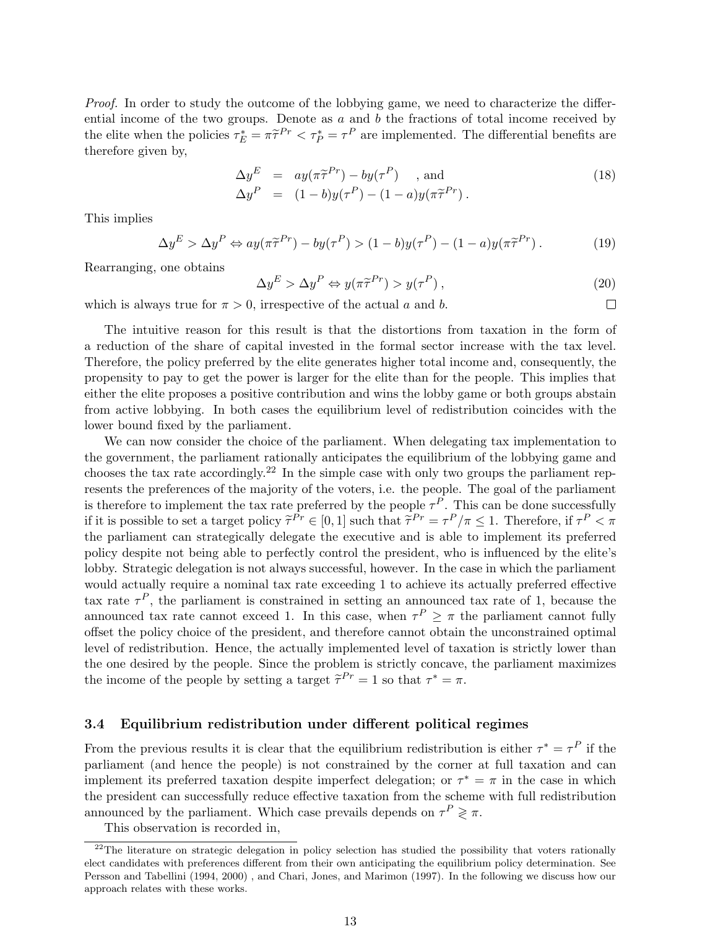Proof. In order to study the outcome of the lobbying game, we need to characterize the differential income of the two groups. Denote as  $a$  and  $b$  the fractions of total income received by the elite when the policies  $\tau_E^* = \pi \tilde{\tau}^{Pr} < \tau_P^* = \tau^P$  are implemented. The differential benefits are therefore given by,

$$
\Delta y^{E} = ay(\pi \tilde{\tau}^{Pr}) - by(\tau^{P}) \quad \text{, and}
$$
  
\n
$$
\Delta y^{P} = (1 - b)y(\tau^{P}) - (1 - a)y(\pi \tilde{\tau}^{Pr}).
$$
\n(18)

This implies

$$
\Delta y^E > \Delta y^P \Leftrightarrow ay(\pi \tilde{\tau}^{Pr}) - by(\tau^P) > (1 - b)y(\tau^P) - (1 - a)y(\pi \tilde{\tau}^{Pr}). \tag{19}
$$

Rearranging, one obtains

$$
\Delta y^E > \Delta y^P \Leftrightarrow y(\pi \tilde{\tau}^{Pr}) > y(\tau^P), \qquad (20)
$$

 $\Box$ 

which is always true for  $\pi > 0$ , irrespective of the actual a and b.

The intuitive reason for this result is that the distortions from taxation in the form of a reduction of the share of capital invested in the formal sector increase with the tax level. Therefore, the policy preferred by the elite generates higher total income and, consequently, the propensity to pay to get the power is larger for the elite than for the people. This implies that either the elite proposes a positive contribution and wins the lobby game or both groups abstain from active lobbying. In both cases the equilibrium level of redistribution coincides with the lower bound fixed by the parliament.

We can now consider the choice of the parliament. When delegating tax implementation to the government, the parliament rationally anticipates the equilibrium of the lobbying game and chooses the tax rate accordingly.<sup>22</sup> In the simple case with only two groups the parliament represents the preferences of the majority of the voters, i.e. the people. The goal of the parliament is therefore to implement the tax rate preferred by the people  $\tau^P$ . This can be done successfully if it is possible to set a target policy  $\tilde{\tau}^{Pr} \in [0, 1]$  such that  $\tilde{\tau}^{Pr} = \tau^P/\pi \leq 1$ . Therefore, if  $\tau^P < \pi$ the parliament can strategically delegate the executive and is able to implement its preferred policy despite not being able to perfectly control the president, who is influenced by the elite's lobby. Strategic delegation is not always successful, however. In the case in which the parliament would actually require a nominal tax rate exceeding 1 to achieve its actually preferred effective tax rate  $\tau^P$ , the parliament is constrained in setting an announced tax rate of 1, because the announced tax rate cannot exceed 1. In this case, when  $\tau^P \geq \pi$  the parliament cannot fully offset the policy choice of the president, and therefore cannot obtain the unconstrained optimal level of redistribution. Hence, the actually implemented level of taxation is strictly lower than the one desired by the people. Since the problem is strictly concave, the parliament maximizes the income of the people by setting a target  $\tilde{\tau}^{Pr} = 1$  so that  $\tau^* = \pi$ .

#### 3.4 Equilibrium redistribution under different political regimes

From the previous results it is clear that the equilibrium redistribution is either  $\tau^* = \tau^P$  if the parliament (and hence the people) is not constrained by the corner at full taxation and can implement its preferred taxation despite imperfect delegation; or  $\tau^* = \pi$  in the case in which the president can successfully reduce effective taxation from the scheme with full redistribution announced by the parliament. Which case prevails depends on  $\tau^P \geq \pi$ .

This observation is recorded in,

 $22$ The literature on strategic delegation in policy selection has studied the possibility that voters rationally elect candidates with preferences different from their own anticipating the equilibrium policy determination. See Persson and Tabellini (1994, 2000) , and Chari, Jones, and Marimon (1997). In the following we discuss how our approach relates with these works.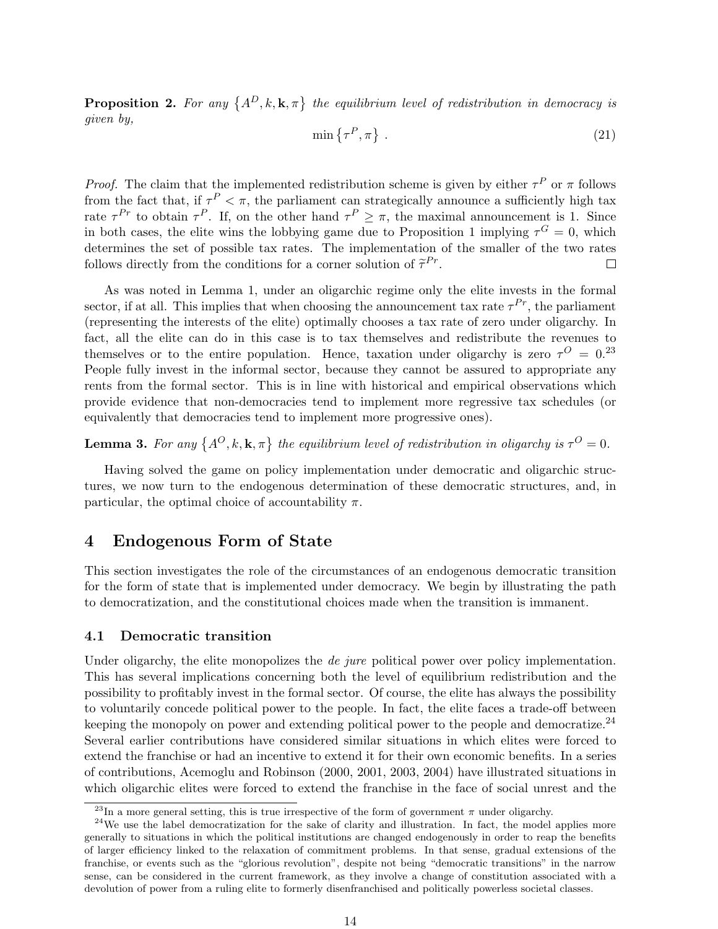**Proposition 2.** For any  $\{A^D, k, \mathbf{k}, \pi\}$  the equilibrium level of redistribution in democracy is given by,

$$
\min\left\{\tau^P, \pi\right\} \,. \tag{21}
$$

*Proof.* The claim that the implemented redistribution scheme is given by either  $\tau^P$  or  $\pi$  follows from the fact that, if  $\tau^P < \pi$ , the parliament can strategically announce a sufficiently high tax rate  $\tau^{Pr}$  to obtain  $\tau^P$ . If, on the other hand  $\tau^P \geq \pi$ , the maximal announcement is 1. Since in both cases, the elite wins the lobbying game due to Proposition 1 implying  $\tau^G = 0$ , which determines the set of possible tax rates. The implementation of the smaller of the two rates follows directly from the conditions for a corner solution of  $\tilde{\tau}^{Pr}$ .  $\Box$ 

As was noted in Lemma 1, under an oligarchic regime only the elite invests in the formal sector, if at all. This implies that when choosing the announcement tax rate  $\tau^{Pr}$ , the parliament (representing the interests of the elite) optimally chooses a tax rate of zero under oligarchy. In fact, all the elite can do in this case is to tax themselves and redistribute the revenues to themselves or to the entire population. Hence, taxation under oligarchy is zero  $\tau^{O} = 0^{23}$ People fully invest in the informal sector, because they cannot be assured to appropriate any rents from the formal sector. This is in line with historical and empirical observations which provide evidence that non-democracies tend to implement more regressive tax schedules (or equivalently that democracies tend to implement more progressive ones).

**Lemma 3.** For any  $\{A^O, k, \mathbf{k}, \pi\}$  the equilibrium level of redistribution in oligarchy is  $\tau^O = 0$ .

Having solved the game on policy implementation under democratic and oligarchic structures, we now turn to the endogenous determination of these democratic structures, and, in particular, the optimal choice of accountability  $\pi$ .

# 4 Endogenous Form of State

This section investigates the role of the circumstances of an endogenous democratic transition for the form of state that is implemented under democracy. We begin by illustrating the path to democratization, and the constitutional choices made when the transition is immanent.

#### 4.1 Democratic transition

Under oligarchy, the elite monopolizes the *de jure* political power over policy implementation. This has several implications concerning both the level of equilibrium redistribution and the possibility to profitably invest in the formal sector. Of course, the elite has always the possibility to voluntarily concede political power to the people. In fact, the elite faces a trade-off between keeping the monopoly on power and extending political power to the people and democratize.<sup>24</sup> Several earlier contributions have considered similar situations in which elites were forced to extend the franchise or had an incentive to extend it for their own economic benefits. In a series of contributions, Acemoglu and Robinson (2000, 2001, 2003, 2004) have illustrated situations in which oligarchic elites were forced to extend the franchise in the face of social unrest and the

<sup>&</sup>lt;sup>23</sup>In a more general setting, this is true irrespective of the form of government  $\pi$  under oligarchy.

 $24$ We use the label democratization for the sake of clarity and illustration. In fact, the model applies more generally to situations in which the political institutions are changed endogenously in order to reap the benefits of larger efficiency linked to the relaxation of commitment problems. In that sense, gradual extensions of the franchise, or events such as the "glorious revolution", despite not being "democratic transitions" in the narrow sense, can be considered in the current framework, as they involve a change of constitution associated with a devolution of power from a ruling elite to formerly disenfranchised and politically powerless societal classes.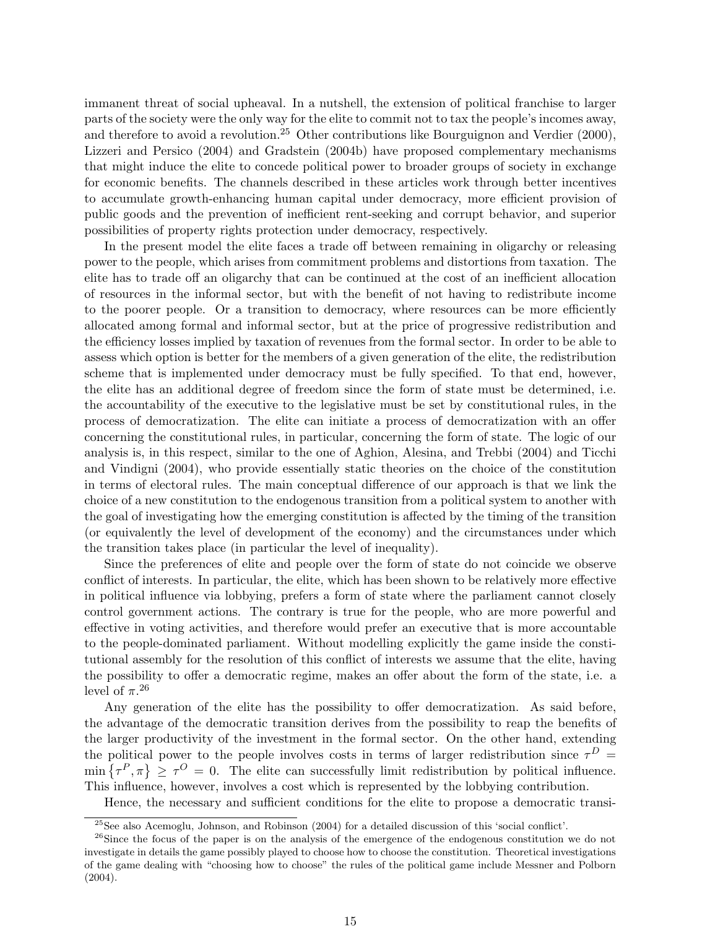immanent threat of social upheaval. In a nutshell, the extension of political franchise to larger parts of the society were the only way for the elite to commit not to tax the people's incomes away, and therefore to avoid a revolution.<sup>25</sup> Other contributions like Bourguignon and Verdier (2000), Lizzeri and Persico (2004) and Gradstein (2004b) have proposed complementary mechanisms that might induce the elite to concede political power to broader groups of society in exchange for economic benefits. The channels described in these articles work through better incentives to accumulate growth-enhancing human capital under democracy, more efficient provision of public goods and the prevention of inefficient rent-seeking and corrupt behavior, and superior possibilities of property rights protection under democracy, respectively.

In the present model the elite faces a trade off between remaining in oligarchy or releasing power to the people, which arises from commitment problems and distortions from taxation. The elite has to trade off an oligarchy that can be continued at the cost of an inefficient allocation of resources in the informal sector, but with the benefit of not having to redistribute income to the poorer people. Or a transition to democracy, where resources can be more efficiently allocated among formal and informal sector, but at the price of progressive redistribution and the efficiency losses implied by taxation of revenues from the formal sector. In order to be able to assess which option is better for the members of a given generation of the elite, the redistribution scheme that is implemented under democracy must be fully specified. To that end, however, the elite has an additional degree of freedom since the form of state must be determined, i.e. the accountability of the executive to the legislative must be set by constitutional rules, in the process of democratization. The elite can initiate a process of democratization with an offer concerning the constitutional rules, in particular, concerning the form of state. The logic of our analysis is, in this respect, similar to the one of Aghion, Alesina, and Trebbi (2004) and Ticchi and Vindigni (2004), who provide essentially static theories on the choice of the constitution in terms of electoral rules. The main conceptual difference of our approach is that we link the choice of a new constitution to the endogenous transition from a political system to another with the goal of investigating how the emerging constitution is affected by the timing of the transition (or equivalently the level of development of the economy) and the circumstances under which the transition takes place (in particular the level of inequality).

Since the preferences of elite and people over the form of state do not coincide we observe conflict of interests. In particular, the elite, which has been shown to be relatively more effective in political influence via lobbying, prefers a form of state where the parliament cannot closely control government actions. The contrary is true for the people, who are more powerful and effective in voting activities, and therefore would prefer an executive that is more accountable to the people-dominated parliament. Without modelling explicitly the game inside the constitutional assembly for the resolution of this conflict of interests we assume that the elite, having the possibility to offer a democratic regime, makes an offer about the form of the state, i.e. a level of  $\pi$ <sup>26</sup>

Any generation of the elite has the possibility to offer democratization. As said before, the advantage of the democratic transition derives from the possibility to reap the benefits of the larger productivity of the investment in the formal sector. On the other hand, extending the political power to the people involves costs in terms of larger redistribution since  $\tau^D$  = the political power to the people involves costs in terms of larger redistribution since  $\tau^-$  =  $\min \{ \tau^P, \pi \} \geq \tau^O = 0$ . The elite can successfully limit redistribution by political influence. This influence, however, involves a cost which is represented by the lobbying contribution.

Hence, the necessary and sufficient conditions for the elite to propose a democratic transi-

<sup>25</sup>See also Acemoglu, Johnson, and Robinson (2004) for a detailed discussion of this 'social conflict'.

 $^{26}$ Since the focus of the paper is on the analysis of the emergence of the endogenous constitution we do not investigate in details the game possibly played to choose how to choose the constitution. Theoretical investigations of the game dealing with "choosing how to choose" the rules of the political game include Messner and Polborn (2004).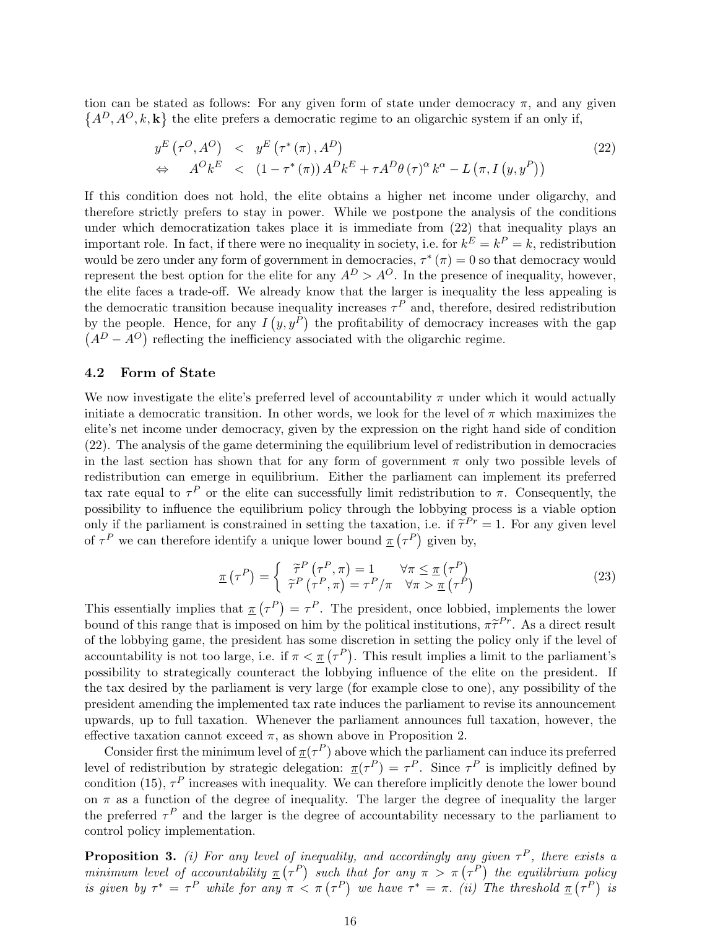tion can be stated as follows: For any given form of state under democracy  $\pi$ , and any given  $A^D, A^O, k, \mathbf{k}$  the elite prefers a democratic regime to an oligarchic system if an only if,

$$
y^{E} (\tau^{O}, A^{O}) \leq y^{E} (\tau^{*} (\pi), A^{D})
$$
  
\n
$$
\Leftrightarrow A^{O} k^{E} \leq (1 - \tau^{*} (\pi)) A^{D} k^{E} + \tau A^{D} \theta (\tau)^{\alpha} k^{\alpha} - L (\pi, I (y, y^{P}))
$$
\n(22)

If this condition does not hold, the elite obtains a higher net income under oligarchy, and therefore strictly prefers to stay in power. While we postpone the analysis of the conditions under which democratization takes place it is immediate from (22) that inequality plays an important role. In fact, if there were no inequality in society, i.e. for  $k^E = k^P = k$ , redistribution would be zero under any form of government in democracies,  $\tau^*(\pi) = 0$  so that democracy would represent the best option for the elite for any  $A^D > A^O$ . In the presence of inequality, however, the elite faces a trade-off. We already know that the larger is inequality the less appealing is the democratic transition because inequality increases  $\tau^P$  and, therefore, desired redistribution by the people. Hence, for any  $I(y, y^P)$  the profitability of democracy increases with the gap  $A<sup>D</sup> - A<sup>O</sup>$  reflecting the inefficiency associated with the oligarchic regime.

#### 4.2 Form of State

We now investigate the elite's preferred level of accountability  $\pi$  under which it would actually initiate a democratic transition. In other words, we look for the level of  $\pi$  which maximizes the elite's net income under democracy, given by the expression on the right hand side of condition (22). The analysis of the game determining the equilibrium level of redistribution in democracies in the last section has shown that for any form of government  $\pi$  only two possible levels of redistribution can emerge in equilibrium. Either the parliament can implement its preferred tax rate equal to  $\tau^P$  or the elite can successfully limit redistribution to  $\pi$ . Consequently, the possibility to influence the equilibrium policy through the lobbying process is a viable option only if the parliament is constrained in setting the taxation, i.e. if  $\tilde{\tau}^{Pr} = 1$ . For any given level of  $\tau^P$  we can therefore identify a unique lower bound  $\underline{\tau}(\tau^P)$  given by,

$$
\underline{\pi}(\tau^P) = \begin{cases} \tilde{\tau}^P(\tau^P, \pi) = 1 & \forall \pi \leq \underline{\pi}(\tau^P) \\ \tilde{\tau}^P(\tau^P, \pi) = \tau^P/\pi & \forall \pi > \underline{\pi}(\tau^P) \end{cases}
$$
(23)

This essentially implies that  $\pi$  $\overline{\tau^P}$  $=\tau^P$ . The president, once lobbied, implements the lower bound of this range that is imposed on him by the political institutions,  $\pi \tilde{\tau}^{Pr}$ . As a direct result of the lobbying game, the president has some discretion in setting the policy only if the level of or the loopying game, the president has some discretion in setting the policy only if the level of accountability is not too large, i.e. if  $\pi < \pi$  ( $\tau^P$ ). This result implies a limit to the parliament's possibility to strategically counteract the lobbying influence of the elite on the president. If the tax desired by the parliament is very large (for example close to one), any possibility of the president amending the implemented tax rate induces the parliament to revise its announcement upwards, up to full taxation. Whenever the parliament announces full taxation, however, the effective taxation cannot exceed  $\pi$ , as shown above in Proposition 2.

Consider first the minimum level of  $\pi(\tau^P)$  above which the parliament can induce its preferred level of redistribution by strategic delegation:  $\pi(\tau^P) = \tau^P$ . Since  $\tau^P$  is implicitly defined by condition (15),  $\tau^P$  increases with inequality. We can therefore implicitly denote the lower bound on  $\pi$  as a function of the degree of inequality. The larger the degree of inequality the larger the preferred  $\tau^P$  and the larger is the degree of accountability necessary to the parliament to control policy implementation.

**Proposition 3.** (i) For any level of inequality, and accordingly any given  $\tau^P$ , there exists a **Proposition 3.** (*i)* For any level of inequality, and accordingly any given  $\tau^*$ , there exists a minimum level of accountability  $\underline{\tau}(\tau^P)$  such that for any  $\pi > \pi(\tau^P)$  the equilibrium policy minimum level of accountability  $\pi(\tau^*)$  such the same of  $\tau^* = \tau^P$  while for any  $\pi < \pi(\tau^P)$ at for any  $\pi > \pi(\tau^*)$  ine equivariant<br>we have  $\tau^* = \pi$ . (ii) The threshold  $\underline{\pi}$  (  $p$ <sub> $\tau$ </sub> $P$ <sub>)</sub> is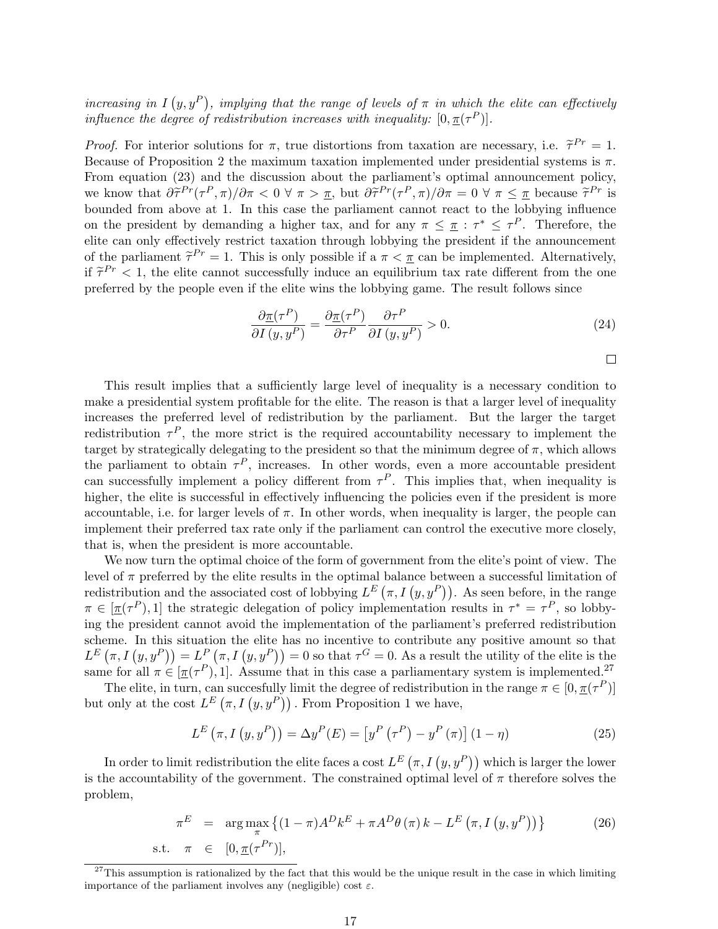increasing in I  $(y, y^P)$ , implying that the range of levels of  $\pi$  in which the elite can effectively influence the degree of redistribution increases with inequality:  $[0, \pi(\tau^P)].$ 

*Proof.* For interior solutions for  $\pi$ , true distortions from taxation are necessary, i.e.  $\tilde{\tau}^{Pr} = 1$ . Because of Proposition 2 the maximum taxation implemented under presidential systems is  $\pi$ . From equation (23) and the discussion about the parliament's optimal announcement policy, we know that  $\partial \tilde{\tau}^{Pr}(\tau^P, \pi) / \partial \pi < 0 \ \forall \ \pi > \pi$ , but  $\partial \tilde{\tau}^{Pr}(\tau^P, \pi) / \partial \pi = 0 \ \forall \ \pi \leq \pi$  because  $\tilde{\tau}^{Pr}$  is bounded from above at 1. In this case the parliament cannot react to the lobbying influence on the president by demanding a higher tax, and for any  $\pi \leq \pi : \tau^* \leq \tau^P$ . Therefore, the elite can only effectively restrict taxation through lobbying the president if the announcement of the parliament  $\tilde{\tau}^{Pr} = 1$ . This is only possible if a  $\pi < \pi$  can be implemented. Alternatively, if  $\tilde{\tau}^{Pr}$  < 1, the elite cannot successfully induce an equilibrium tax rate different from the one preferred by the people even if the elite wins the lobbying game. The result follows since

$$
\frac{\partial \underline{\pi}(\tau^P)}{\partial I(y, y^P)} = \frac{\partial \underline{\pi}(\tau^P)}{\partial \tau^P} \frac{\partial \tau^P}{\partial I(y, y^P)} > 0.
$$
\n(24)

 $\Box$ 

This result implies that a sufficiently large level of inequality is a necessary condition to make a presidential system profitable for the elite. The reason is that a larger level of inequality increases the preferred level of redistribution by the parliament. But the larger the target redistribution  $\tau^P$ , the more strict is the required accountability necessary to implement the target by strategically delegating to the president so that the minimum degree of  $\pi$ , which allows the parliament to obtain  $\tau^P$ , increases. In other words, even a more accountable president can successfully implement a policy different from  $\tau^P$ . This implies that, when inequality is higher, the elite is successful in effectively influencing the policies even if the president is more accountable, i.e. for larger levels of  $\pi$ . In other words, when inequality is larger, the people can implement their preferred tax rate only if the parliament can control the executive more closely, that is, when the president is more accountable.

We now turn the optimal choice of the form of government from the elite's point of view. The level of  $\pi$  preferred by the elite results in the optimal balance between a successful limitation of rever or  $\pi$  preferred by the effect results in the optimal balance between a successful imitation of redistribution and the associated cost of lobbying  $L^E(\pi, I(y, y^P))$ . As seen before, in the range  $\pi \in [\pi(\tau^P), 1]$  the strategic delegation of policy implementation results in  $\tau^* = \tau^P$ , so lobbying the president cannot avoid the implementation of the parliament's preferred redistribution scheme. In this situation the elite has no incentive to contribute any positive amount so that scheme. In this situation the enternal no incentive to contribute any positive amount so that  $L^E(\pi, I(y, y^P)) = L^P(\pi, I(y, y^P)) = 0$  so that  $\tau^G = 0$ . As a result the utility of the elite is the same for all  $\pi \in [\pi(\tau^P), 1]$ . Assume that in this case a parliamentary system is implemented.<sup>27</sup>

The elite, in turn, can succesfully limit the degree of redistribution in the range  $\pi \in [0, \pi(\tau^P)]$ The effect in turn, can successfully finit the degree of redistribution<br>but only at the cost  $L^E(\pi, I(y, y^P))$ . From Proposition 1 we have,

$$
L^{E}\left(\pi, I\left(y, y^{P}\right)\right) = \Delta y^{P}(E) = \left[y^{P}\left(\tau^{P}\right) - y^{P}\left(\pi\right)\right](1-\eta)
$$
\n(25)

In order to limit redistribution the elite faces a cost  $L^E\left(\pi, I\left(y, y^P\right)\right)$  which is larger the lower is the accountability of the government. The constrained optimal level of  $\pi$  therefore solves the problem,

$$
\pi^{E} = \arg \max_{\pi} \left\{ (1 - \pi) A^{D} k^{E} + \pi A^{D} \theta \left( \pi \right) k - L^{E} \left( \pi, I \left( y, y^{P} \right) \right) \right\}
$$
\n
$$
\text{s.t.} \quad \pi \in [0, \underline{\pi}(\tau^{Pr})], \tag{26}
$$

 $27$ This assumption is rationalized by the fact that this would be the unique result in the case in which limiting importance of the parliament involves any (negligible) cost  $\varepsilon$ .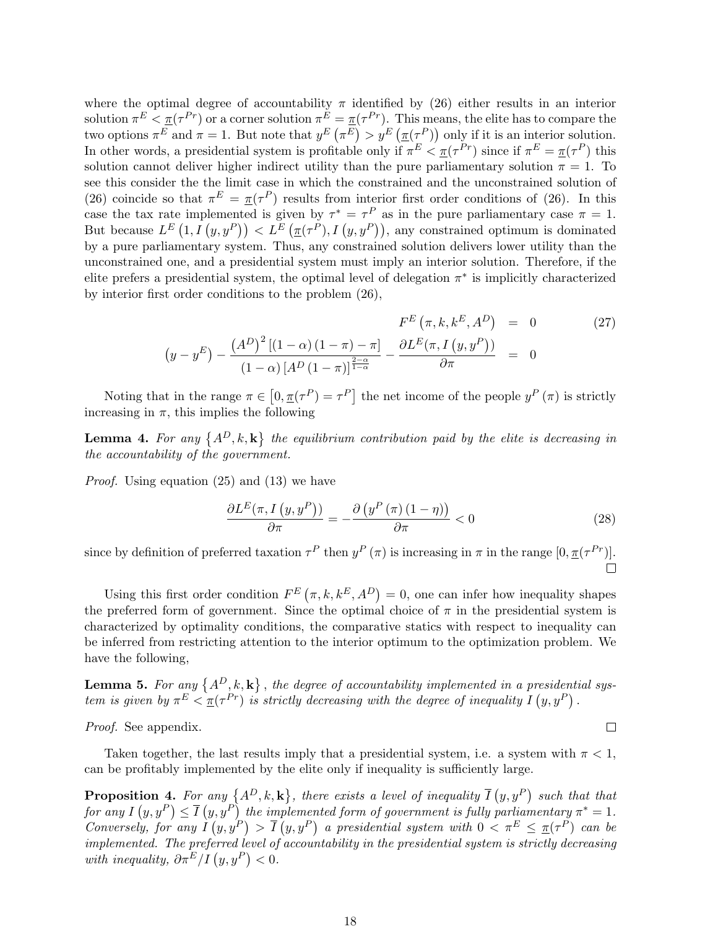where the optimal degree of accountability  $\pi$  identified by (26) either results in an interior solution  $\pi^E < \pi(\tau^{Pr})$  or a corner solution  $\pi^E = \pi(\tau^{Pr})$ . This means, the elite has to compare the solution  $\pi^- \leq \pi(\tau^-)$  or a corner solution  $\pi^-$  =<br>two options  $\pi^E$  and  $\pi = 1$ . But note that  $y^E$  (  $\frac{\pi}{\pi^E}$  >  $y^E$  ( . ms me<br> $\pi(\tau^P))$ only if it is an interior solution. In other words, a presidential system is profitable only if  $\pi^E \leq \pi(\tau^{Pr})$  since if  $\pi^E = \pi(\tau^P)$  this solution cannot deliver higher indirect utility than the pure parliamentary solution  $\pi = 1$ . To see this consider the the limit case in which the constrained and the unconstrained solution of (26) coincide so that  $\pi^{E} = \pi(\tau^{P})$  results from interior first order conditions of (26). In this case the tax rate implemented is given by  $\tau^* = \tau^P$  as in the pure parliamentary case  $\pi = 1$ . case the tax rate implemented is give<br>But because  $L^{E} (1, I (y, y^P)) < L^{E}$ en by  $\tau = \tau^*$  as in the pure parliamentary case  $\pi = 1$ .<br>  $\pi(\tau^P), I(y, y^P)$ , any constrained optimum is dominated by a pure parliamentary system. Thus, any constrained solution delivers lower utility than the unconstrained one, and a presidential system must imply an interior solution. Therefore, if the elite prefers a presidential system, the optimal level of delegation  $\pi^*$  is implicitly characterized by interior first order conditions to the problem (26),

$$
F^{E}\left(\pi, k, k^{E}, A^{D}\right) = 0
$$
\n
$$
\left(y - y^{E}\right) - \frac{\left(A^{D}\right)^{2}\left[(1 - \alpha)\left(1 - \pi\right) - \pi\right]}{\left(1 - \alpha\right)\left[A^{D}\left(1 - \pi\right)\right]^{\frac{2 - \alpha}{1 - \alpha}} - \frac{\partial L^{E}(\pi, I\left(y, y^{P}\right))}{\partial \pi} = 0
$$
\n
$$
(27)
$$

Noting that in the range  $\pi \in$ £  $[0, \pi(\tau^P) = \tau^P]$ the net income of the people  $y^P(\pi)$  is strictly increasing in  $\pi$ , this implies the following

Lemma 4. For any  $\{A^D, k, \mathbf{k}\}$ the equilibrium contribution paid by the elite is decreasing in the accountability of the government.

Proof. Using equation (25) and (13) we have

$$
\frac{\partial L^E(\pi, I\left(y, y^P\right))}{\partial \pi} = -\frac{\partial \left(y^P\left(\pi\right)\left(1-\eta\right)\right)}{\partial \pi} < 0\tag{28}
$$

since by definition of preferred taxation  $\tau^P$  then  $y^P(\pi)$  is increasing in  $\pi$  in the range  $[0, \pi(\tau^{Pr})]$ .

Using this first order condition  $F^{E}(\pi, k, k^{E}, A^{D})$  $= 0$ , one can infer how inequality shapes the preferred form of government. Since the optimal choice of  $\pi$  in the presidential system is characterized by optimality conditions, the comparative statics with respect to inequality can be inferred from restricting attention to the interior optimum to the optimization problem. We have the following,

**Lemma 5.** For any  $\{A^D, k, \mathbf{k}\}$ , the degree of accountability implemented in a presidential sys-**Lemma 5.** For any  $\{A^-, \kappa, \kappa\}$ , the aegree of accountability implemented in a president<br>tem is given by  $\pi^E < \pi(\tau^{Pr})$  is strictly decreasing with the degree of inequality  $I(y, y^P)$ .

Proof. See appendix.

Taken together, the last results imply that a presidential system, i.e. a system with  $\pi < 1$ , can be profitably implemented by the elite only if inequality is sufficiently large.

**Proposition 4.** For any  $\{A^D, k, \mathbf{k}\}$ , there exists a level of inequality  $\overline{I}$  $(y, y^P)$  $\lim_{n \to \infty} 4$ . For any  $\{A^D, k, \mathbf{k}\},\$  there exists a level of inequality  $\overline{I}(y, y^P)$  such that that for any  $I(y, y^P) \leq \overline{I}(y, y^P)$  the implemented form of government is fully parliamentary  $\pi^* = 1$ . Conversely, for any I  $\begin{array}{c} y, y \to t \ (y, y^P) \end{array}$  $> \overline{I}$ plemented form of government is fully parliamentary  $\pi = 1$ .<br>  $(y, y^P)$  a presidential system with  $0 < \pi^E \leq \pi(\tau^P)$  can be implemented. The preferred level of accountability in the presidential system is strictly decreasing *umplemented.* The prejerred level of with inequality,  $\partial \pi^E/I\left(y,y^P\right) < 0$ .

 $\Box$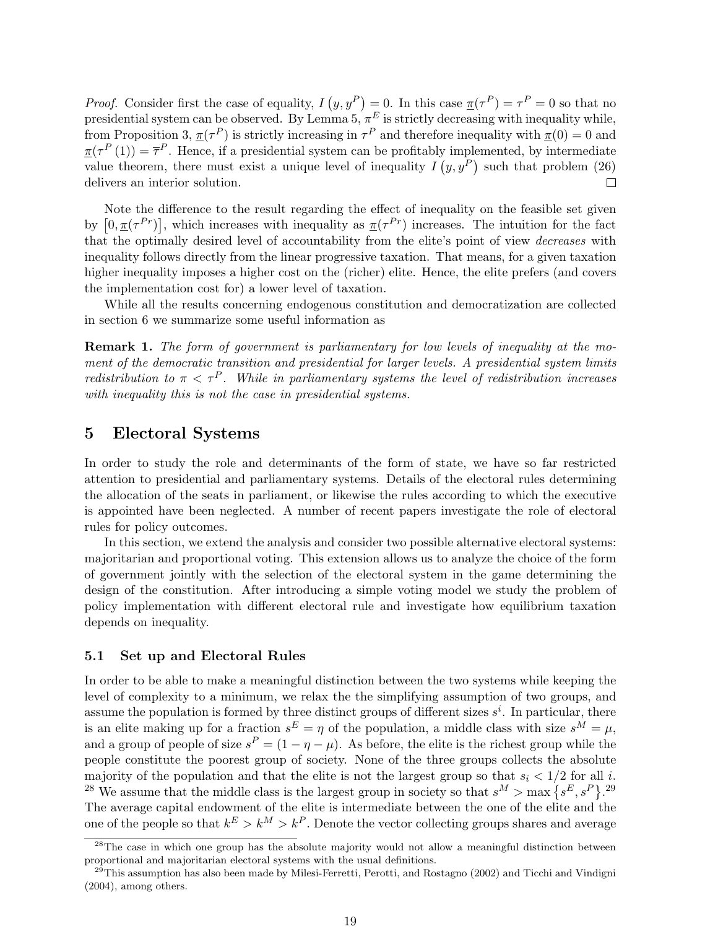$(y, y^P)$  $= 0$ . In this case  $\underline{\tau}(\tau^P) = \tau^P = 0$  so that no Proof. Consider first the case of equality, I presidential system can be observed. By Lemma 5,  $\pi^{E}$  is strictly decreasing with inequality while, from Proposition 3,  $\pi(\tau^P)$  is strictly increasing in  $\tau^P$  and therefore inequality with  $\pi(0) = 0$  and  $\underline{\pi}(\tau^P(1)) = \overline{\tau}^P$ . Hence, if a presidential system can be profitably implemented, by intermediate value theorem, there must exist a unique level of inequality  $I(y, y^P)$  such that problem (26) delivers an interior solution.  $\Box$ 

Note the difference to the result regarding the effect of inequality on the feasible set given Note the difference to the result regarding the effect of inequality on the reasible set given<br>by  $[0, \pi(\tau^{Pr})]$ , which increases with inequality as  $\pi(\tau^{Pr})$  increases. The intuition for the fact that the optimally desired level of accountability from the elite's point of view decreases with inequality follows directly from the linear progressive taxation. That means, for a given taxation higher inequality imposes a higher cost on the (richer) elite. Hence, the elite prefers (and covers the implementation cost for) a lower level of taxation.

While all the results concerning endogenous constitution and democratization are collected in section 6 we summarize some useful information as

Remark 1. The form of government is parliamentary for low levels of inequality at the moment of the democratic transition and presidential for larger levels. A presidential system limits redistribution to  $\pi < \tau^P$ . While in parliamentary systems the level of redistribution increases with inequality this is not the case in presidential systems.

### 5 Electoral Systems

In order to study the role and determinants of the form of state, we have so far restricted attention to presidential and parliamentary systems. Details of the electoral rules determining the allocation of the seats in parliament, or likewise the rules according to which the executive is appointed have been neglected. A number of recent papers investigate the role of electoral rules for policy outcomes.

In this section, we extend the analysis and consider two possible alternative electoral systems: majoritarian and proportional voting. This extension allows us to analyze the choice of the form of government jointly with the selection of the electoral system in the game determining the design of the constitution. After introducing a simple voting model we study the problem of policy implementation with different electoral rule and investigate how equilibrium taxation depends on inequality.

#### 5.1 Set up and Electoral Rules

In order to be able to make a meaningful distinction between the two systems while keeping the level of complexity to a minimum, we relax the the simplifying assumption of two groups, and assume the population is formed by three distinct groups of different sizes  $s^i$ . In particular, there is an elite making up for a fraction  $s^E = \eta$  of the population, a middle class with size  $s^M = \mu$ , and a group of people of size  $s^P = (1 - \eta - \mu)$ . As before, the elite is the richest group while the people constitute the poorest group of society. None of the three groups collects the absolute majority of the population and that the elite is not the largest group so that  $s_i < 1/2$  for all i. majority of the population and that the enters not the largest group so that  $s_i < 1/2$  for all  $^{28}$  We assume that the middle class is the largest group in society so that  $s^M > \max\left\{s^E, s^P\right\}$ . 29 The average capital endowment of the elite is intermediate between the one of the elite and the one of the people so that  $k^E > k^M > k^P$ . Denote the vector collecting groups shares and average

<sup>&</sup>lt;sup>28</sup>The case in which one group has the absolute majority would not allow a meaningful distinction between proportional and majoritarian electoral systems with the usual definitions.

 $^{29}$ This assumption has also been made by Milesi-Ferretti, Perotti, and Rostagno (2002) and Ticchi and Vindigni (2004), among others.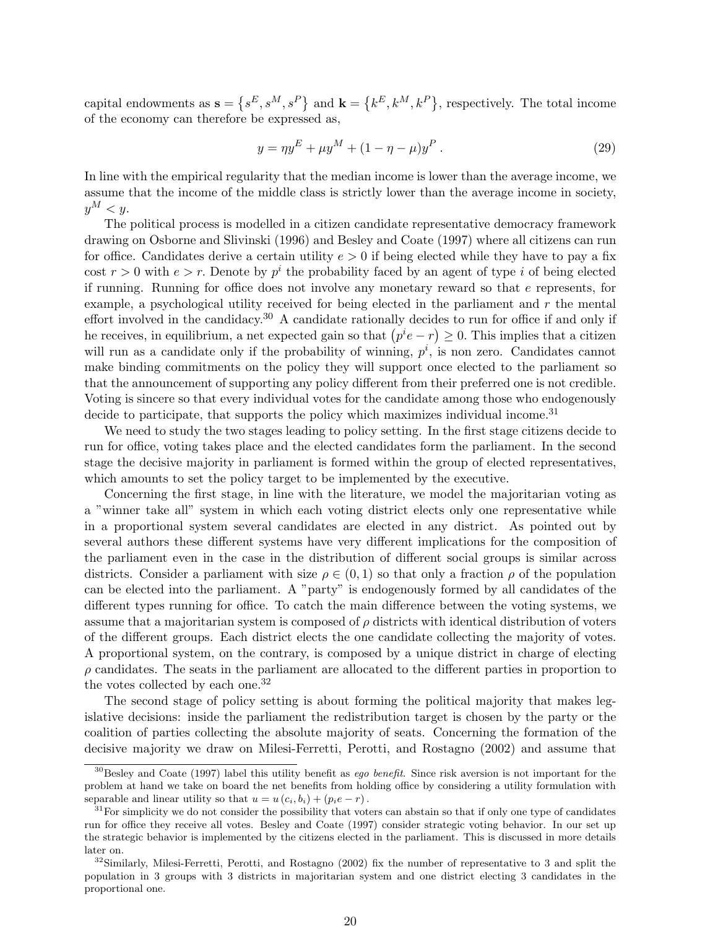capital endowments as  $s =$ ©  $s^E, s^M, s^P$ and  $\mathbf{k} =$ ©  $k^E, k^M, k^P$ , respectively. The total income of the economy can therefore be expressed as,

$$
y = \eta y^E + \mu y^M + (1 - \eta - \mu)y^P.
$$
 (29)

In line with the empirical regularity that the median income is lower than the average income, we assume that the income of the middle class is strictly lower than the average income in society,  $y^M < y$ .

The political process is modelled in a citizen candidate representative democracy framework drawing on Osborne and Slivinski (1996) and Besley and Coate (1997) where all citizens can run for office. Candidates derive a certain utility  $e > 0$  if being elected while they have to pay a fix cost  $r > 0$  with  $e > r$ . Denote by  $p^i$  the probability faced by an agent of type i of being elected if running. Running for office does not involve any monetary reward so that  $e$  represents, for example, a psychological utility received for being elected in the parliament and  $r$  the mental effort involved in the candidacy.<sup>30</sup> A candidate rationally decides to run for office if and only if effort involved in the candidacy.<sup>20</sup> A candidate rationally decides to run for office if and only if<br>the receives, in equilibrium, a net expected gain so that  $(p^{i}e - r) \geq 0$ . This implies that a citizen will run as a candidate only if the probability of winning,  $p^i$ , is non zero. Candidates cannot make binding commitments on the policy they will support once elected to the parliament so that the announcement of supporting any policy different from their preferred one is not credible. Voting is sincere so that every individual votes for the candidate among those who endogenously decide to participate, that supports the policy which maximizes individual income.<sup>31</sup>

We need to study the two stages leading to policy setting. In the first stage citizens decide to run for office, voting takes place and the elected candidates form the parliament. In the second stage the decisive majority in parliament is formed within the group of elected representatives, which amounts to set the policy target to be implemented by the executive.

Concerning the first stage, in line with the literature, we model the majoritarian voting as a "winner take all" system in which each voting district elects only one representative while in a proportional system several candidates are elected in any district. As pointed out by several authors these different systems have very different implications for the composition of the parliament even in the case in the distribution of different social groups is similar across districts. Consider a parliament with size  $\rho \in (0,1)$  so that only a fraction  $\rho$  of the population can be elected into the parliament. A "party" is endogenously formed by all candidates of the different types running for office. To catch the main difference between the voting systems, we assume that a majoritarian system is composed of  $\rho$  districts with identical distribution of voters of the different groups. Each district elects the one candidate collecting the majority of votes. A proportional system, on the contrary, is composed by a unique district in charge of electing  $\rho$  candidates. The seats in the parliament are allocated to the different parties in proportion to the votes collected by each one.<sup>32</sup>

The second stage of policy setting is about forming the political majority that makes legislative decisions: inside the parliament the redistribution target is chosen by the party or the coalition of parties collecting the absolute majority of seats. Concerning the formation of the decisive majority we draw on Milesi-Ferretti, Perotti, and Rostagno (2002) and assume that

 $30$ Besley and Coate (1997) label this utility benefit as *eqo benefit*. Since risk aversion is not important for the problem at hand we take on board the net benefits from holding office by considering a utility formulation with separable and linear utility so that  $u = u(c_i, b_i) + (p_i e - r)$ .

 $31$  For simplicity we do not consider the possibility that voters can abstain so that if only one type of candidates run for office they receive all votes. Besley and Coate (1997) consider strategic voting behavior. In our set up the strategic behavior is implemented by the citizens elected in the parliament. This is discussed in more details later on.

 $32$ Similarly, Milesi-Ferretti, Perotti, and Rostagno (2002) fix the number of representative to 3 and split the population in 3 groups with 3 districts in majoritarian system and one district electing 3 candidates in the proportional one.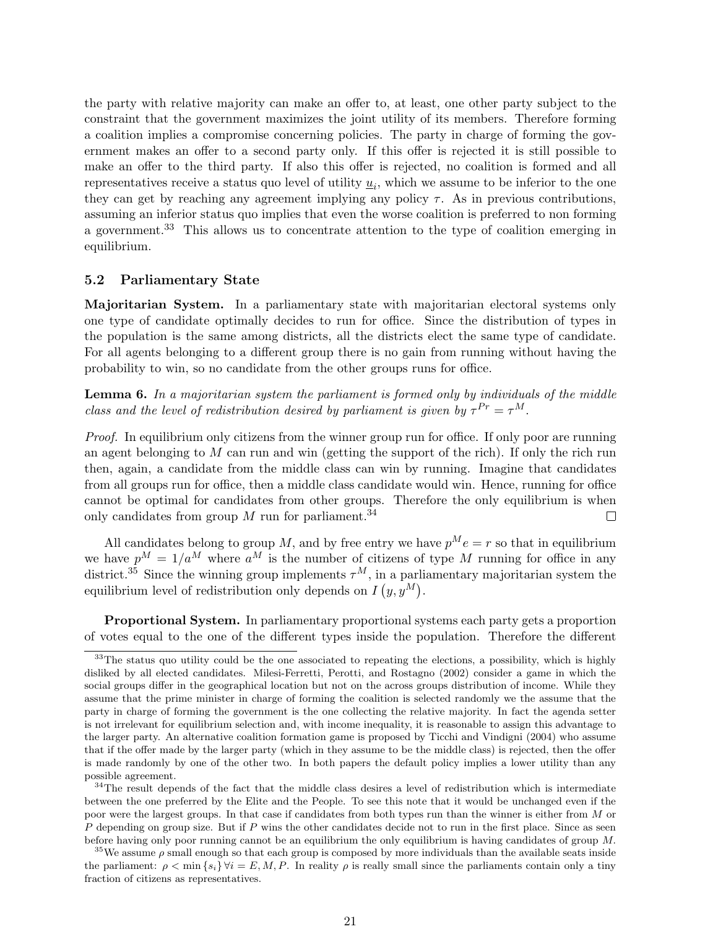the party with relative majority can make an offer to, at least, one other party subject to the constraint that the government maximizes the joint utility of its members. Therefore forming a coalition implies a compromise concerning policies. The party in charge of forming the government makes an offer to a second party only. If this offer is rejected it is still possible to make an offer to the third party. If also this offer is rejected, no coalition is formed and all representatives receive a status quo level of utility  $\underline{u}_i$ , which we assume to be inferior to the one they can get by reaching any agreement implying any policy  $\tau$ . As in previous contributions, assuming an inferior status quo implies that even the worse coalition is preferred to non forming a government.<sup>33</sup> This allows us to concentrate attention to the type of coalition emerging in equilibrium.

#### 5.2 Parliamentary State

Majoritarian System. In a parliamentary state with majoritarian electoral systems only one type of candidate optimally decides to run for office. Since the distribution of types in the population is the same among districts, all the districts elect the same type of candidate. For all agents belonging to a different group there is no gain from running without having the probability to win, so no candidate from the other groups runs for office.

**Lemma 6.** In a majoritarian system the parliament is formed only by individuals of the middle class and the level of redistribution desired by parliament is given by  $\tau^{Pr} = \tau^M$ .

Proof. In equilibrium only citizens from the winner group run for office. If only poor are running an agent belonging to  $M$  can run and win (getting the support of the rich). If only the rich run then, again, a candidate from the middle class can win by running. Imagine that candidates from all groups run for office, then a middle class candidate would win. Hence, running for office cannot be optimal for candidates from other groups. Therefore the only equilibrium is when only candidates from group  $M$  run for parliament.<sup>34</sup>  $\Box$ 

All candidates belong to group M, and by free entry we have  $p^M e = r$  so that in equilibrium we have  $p^M = 1/a^M$  where  $a^M$  is the number of citizens of type M running for office in any district.<sup>35</sup> Since the winning group implements  $\tau^M$ , in a parliamentary majoritarian system the equilibrium level of redistribution only depends on  $I(y, y^M)$ .

Proportional System. In parliamentary proportional systems each party gets a proportion of votes equal to the one of the different types inside the population. Therefore the different

 $33$ The status quo utility could be the one associated to repeating the elections, a possibility, which is highly disliked by all elected candidates. Milesi-Ferretti, Perotti, and Rostagno (2002) consider a game in which the social groups differ in the geographical location but not on the across groups distribution of income. While they assume that the prime minister in charge of forming the coalition is selected randomly we the assume that the party in charge of forming the government is the one collecting the relative majority. In fact the agenda setter is not irrelevant for equilibrium selection and, with income inequality, it is reasonable to assign this advantage to the larger party. An alternative coalition formation game is proposed by Ticchi and Vindigni (2004) who assume that if the offer made by the larger party (which in they assume to be the middle class) is rejected, then the offer is made randomly by one of the other two. In both papers the default policy implies a lower utility than any possible agreement.

<sup>&</sup>lt;sup>34</sup>The result depends of the fact that the middle class desires a level of redistribution which is intermediate between the one preferred by the Elite and the People. To see this note that it would be unchanged even if the poor were the largest groups. In that case if candidates from both types run than the winner is either from M or P depending on group size. But if P wins the other candidates decide not to run in the first place. Since as seen before having only poor running cannot be an equilibrium the only equilibrium is having candidates of group M.

<sup>&</sup>lt;sup>35</sup>We assume  $\rho$  small enough so that each group is composed by more individuals than the available seats inside the parliament:  $\rho < \min\{s_i\} \forall i = E, M, P$ . In reality  $\rho$  is really small since the parliaments contain only a tiny fraction of citizens as representatives.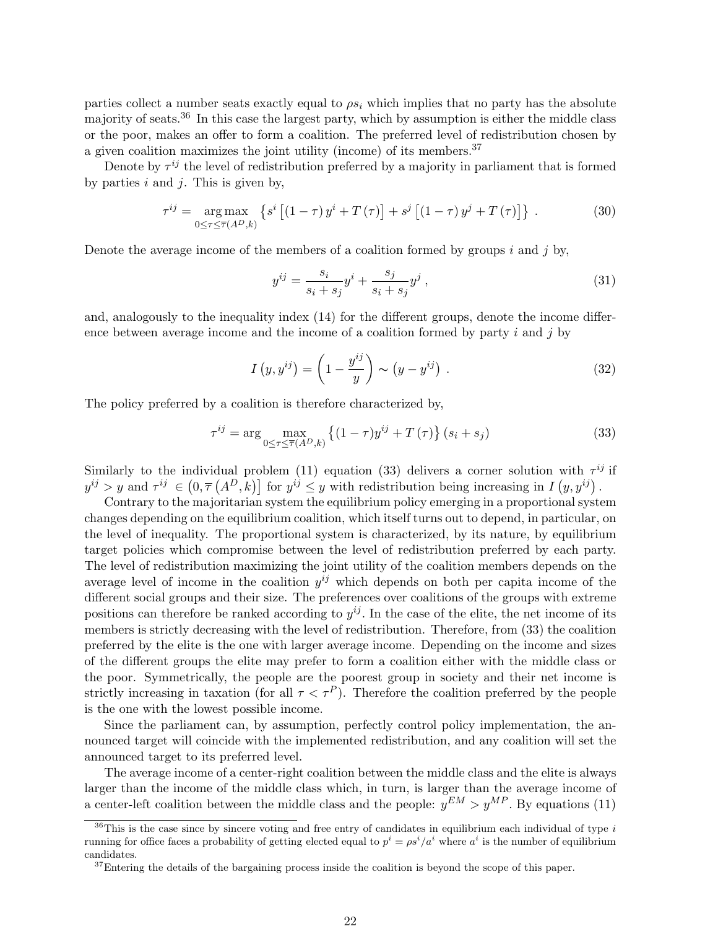parties collect a number seats exactly equal to  $\rho s_i$  which implies that no party has the absolute majority of seats.<sup>36</sup> In this case the largest party, which by assumption is either the middle class or the poor, makes an offer to form a coalition. The preferred level of redistribution chosen by a given coalition maximizes the joint utility (income) of its members.<sup>37</sup>

Denote by  $\tau^{ij}$  the level of redistribution preferred by a majority in parliament that is formed by parties  $i$  and  $j$ . This is given by,

$$
\tau^{ij} = \underset{0 \leq \tau \leq \overline{\tau}(A^D, k)}{\arg \max} \left\{ s^i \left[ (1 - \tau) y^i + T(\tau) \right] + s^j \left[ (1 - \tau) y^j + T(\tau) \right] \right\} \,. \tag{30}
$$

Denote the average income of the members of a coalition formed by groups i and j by,

$$
y^{ij} = \frac{s_i}{s_i + s_j} y^i + \frac{s_j}{s_i + s_j} y^j , \qquad (31)
$$

and, analogously to the inequality index (14) for the different groups, denote the income difference between average income and the income of a coalition formed by party  $i$  and  $j$  by

$$
I(y, y^{ij}) = \left(1 - \frac{y^{ij}}{y}\right) \sim (y - y^{ij}). \tag{32}
$$

The policy preferred by a coalition is therefore characterized by,

$$
\tau^{ij} = \arg\max_{0 \le \tau \le \overline{\tau}(A^D, k)} \left\{ (1 - \tau)y^{ij} + T(\tau) \right\} (s_i + s_j)
$$
\n(33)

Similarly to the individual problem (11) equation (33) delivers a corner solution with  $\tau^{ij}$  if Similarly to the individual problem (11) equation (33) delivers a corner solution with  $\tau^3$ .<br>  $y^{ij} > y$  and  $\tau^{ij} \in (0, \overline{\tau}(A^D, k))$  for  $y^{ij} \leq y$  with redistribution being increasing in  $I(y, y^{ij})$ .

Contrary to the majoritarian system the equilibrium policy emerging in a proportional system changes depending on the equilibrium coalition, which itself turns out to depend, in particular, on the level of inequality. The proportional system is characterized, by its nature, by equilibrium target policies which compromise between the level of redistribution preferred by each party. The level of redistribution maximizing the joint utility of the coalition members depends on the average level of income in the coalition  $y^{ij}$  which depends on both per capita income of the different social groups and their size. The preferences over coalitions of the groups with extreme positions can therefore be ranked according to  $y^{ij}$ . In the case of the elite, the net income of its members is strictly decreasing with the level of redistribution. Therefore, from (33) the coalition preferred by the elite is the one with larger average income. Depending on the income and sizes of the different groups the elite may prefer to form a coalition either with the middle class or the poor. Symmetrically, the people are the poorest group in society and their net income is strictly increasing in taxation (for all  $\tau < \tau^P$ ). Therefore the coalition preferred by the people is the one with the lowest possible income.

Since the parliament can, by assumption, perfectly control policy implementation, the announced target will coincide with the implemented redistribution, and any coalition will set the announced target to its preferred level.

The average income of a center-right coalition between the middle class and the elite is always larger than the income of the middle class which, in turn, is larger than the average income of a center-left coalition between the middle class and the people:  $y^{EM} > y^{MP}$ . By equations (11)

 $36$ This is the case since by sincere voting and free entry of candidates in equilibrium each individual of type i running for office faces a probability of getting elected equal to  $p^i = \rho s^i/a^i$  where  $a^i$  is the number of equilibrium candidates.

 $37$ Entering the details of the bargaining process inside the coalition is beyond the scope of this paper.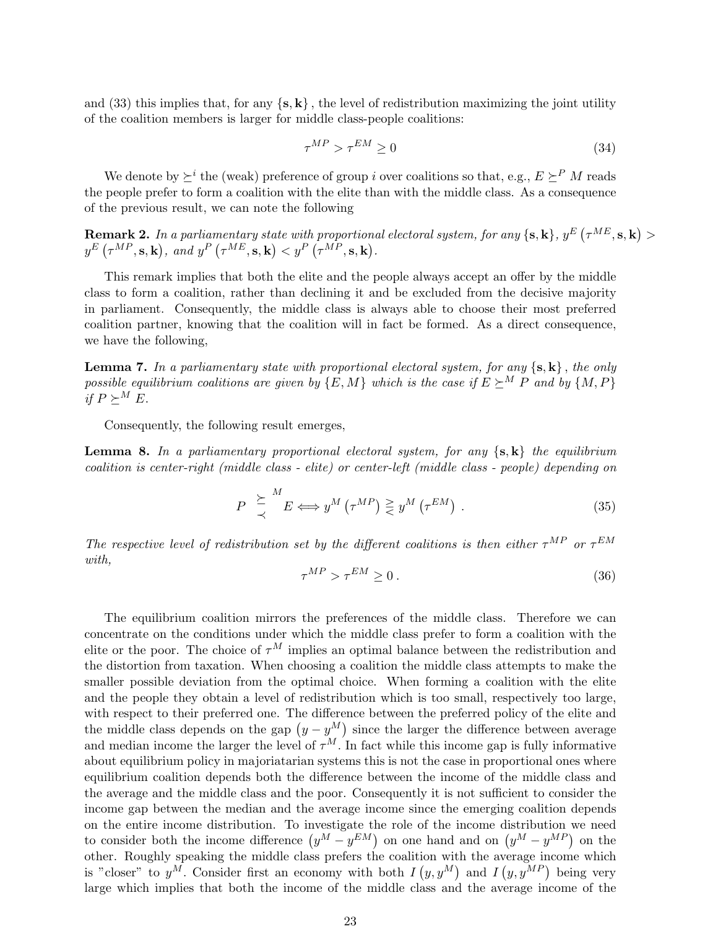and (33) this implies that, for any  $\{s, k\}$ , the level of redistribution maximizing the joint utility of the coalition members is larger for middle class-people coalitions:

$$
\tau^{MP} > \tau^{EM} \ge 0 \tag{34}
$$

We denote by  $\succeq^i$  the (weak) preference of group i over coalitions so that, e.g.,  $E \succeq^P M$  reads the people prefer to form a coalition with the elite than with the middle class. As a consequence of the previous result, we can note the following

**Remark 2.** In a parliamentary state with proportional electoral system, for any {**s**, **k**},  $y^E$  ( $\tau^{ME}$ , **s**, **k**) > **Remark 2.** *If*<br> $y^E(\tau^{MP}, \mathbf{s}, \mathbf{k})$ *i* a partiamentary state with proportion<br>, and  $y^P(\tau^{ME}, \mathbf{s}, \mathbf{k}) < y^P(\tau^{MP}, \mathbf{s}, \mathbf{k})$ .

This remark implies that both the elite and the people always accept an offer by the middle class to form a coalition, rather than declining it and be excluded from the decisive majority in parliament. Consequently, the middle class is always able to choose their most preferred coalition partner, knowing that the coalition will in fact be formed. As a direct consequence, we have the following,

**Lemma 7.** In a parliamentary state with proportional electoral system, for any  $\{s, k\}$ , the only possible equilibrium coalitions are given by  $\{E, M\}$  which is the case if  $E \succeq^M P$  and by  $\{M, P\}$ if  $P \succeq^M E$ .

Consequently, the following result emerges,

**Lemma 8.** In a parliamentary proportional electoral system, for any  $\{s, k\}$  the equilibrium coalition is center-right (middle class - elite) or center-left (middle class - people) depending on

$$
P \underset{\prec}{\succeq}^{M} E \Longleftrightarrow y^{M} \left(\tau^{MP}\right) \underset{\prec}{\geq} y^{M} \left(\tau^{EM}\right). \tag{35}
$$

The respective level of redistribution set by the different coalitions is then either  $\tau^{MP}$  or  $\tau^{EM}$ with,

$$
\tau^{MP} > \tau^{EM} \ge 0. \tag{36}
$$

The equilibrium coalition mirrors the preferences of the middle class. Therefore we can concentrate on the conditions under which the middle class prefer to form a coalition with the elite or the poor. The choice of  $\tau^M$  implies an optimal balance between the redistribution and the distortion from taxation. When choosing a coalition the middle class attempts to make the smaller possible deviation from the optimal choice. When forming a coalition with the elite and the people they obtain a level of redistribution which is too small, respectively too large, with respect to their preferred one. The difference between the preferred policy of the elite and with respect to their preferred one. The difference between the preferred policy of the ente and<br>the middle class depends on the gap  $(y - y^M)$  since the larger the difference between average and median income the larger the level of  $\tau^M$ . In fact while this income gap is fully informative about equilibrium policy in majoriatarian systems this is not the case in proportional ones where equilibrium coalition depends both the difference between the income of the middle class and the average and the middle class and the poor. Consequently it is not sufficient to consider the income gap between the median and the average income since the emerging coalition depends on the entire income distribution. To investigate the role of the income distribution we need on the entire income distribution. To investigate the role of the income distribution we heed<br>to consider both the income difference  $(y^M - y^{EM})$  on one hand and on  $(y^M - y^{MP})$  on the other. Roughly speaking the middle class prefers the coalition with the average income which other. Koughly speaking the middle class prefers the coalition with<br>is "closer" to  $y^M$ . Consider first an economy with both  $I(y, y^M)$ and I verage income which<br>  $(y, y^{MP})$  being very large which implies that both the income of the middle class and the average income of the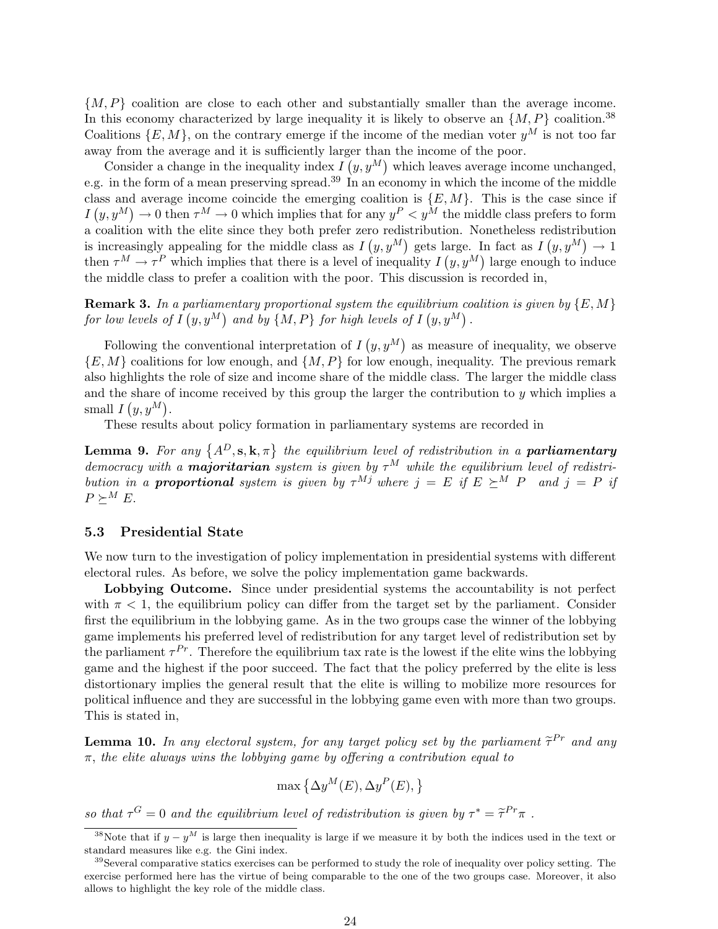$\{M, P\}$  coalition are close to each other and substantially smaller than the average income. In this economy characterized by large inequality it is likely to observe an  $\{M, P\}$  coalition.<sup>38</sup> Coalitions  $\{E, M\}$ , on the contrary emerge if the income of the median voter  $y^M$  is not too far away from the average and it is sufficiently larger than the income of the poor.

Consider a change in the inequality index I  $g_{\rm cr}$  unang<br> $(g, y^M)$ which leaves average income unchanged, e.g. in the form of a mean preserving spread.<sup>39</sup> In an economy in which the income of the middle class and average income coincide the emerging coalition is  $\{E, M\}$ . This is the case since if  $I(y, y^M) \to 0$  then  $\tau^M \to 0$  which implies that for any  $y^P \lt y^M$  the middle class prefers to form a coalition with the elite since they both prefer zero redistribution. Nonetheless redistribution is increasingly appealing for the middle class as  $I(y, y^M)$  gets large. In fact as  $I(y, y^M) \to 1$ then  $\tau^M \to \tau^P$  which implies that there is a level of inequality  $I(y, y^M)$  large enough to induce the middle class to prefer a coalition with the poor. This discussion is recorded in,

**Remark 3.** In a parliamentary proportional system the equilibrium coalition is given by  $\{E, M\}$ for low levels of  $I(y, y^M)$  and by  $\{M, P\}$  for high levels of  $I(y, y^M)$ .

Following the conventional interpretation of I  $(y, y^M)$ as measure of inequality, we observe  ${E, M}$  coalitions for low enough, and  ${M, P}$  for low enough, inequality. The previous remark also highlights the role of size and income share of the middle class. The larger the middle class and the share of income received by this group the larger the contribution to y which implies a small  $I(y, y^M)$ .

These results about policy formation in parliamentary systems are recorded in

**Lemma 9.** For any  $\{A^D, \mathbf{s}, \mathbf{k}, \pi\}$  the equilibrium level of redistribution in a **parliamentary** democracy with a **majoritarian** system is given by  $\tau^M$  while the equilibrium level of redistribution in a **proportional** system is given by  $\tau^{Mj}$  where  $j = E$  if  $E \succeq^{M} P$  and  $j = P$  if  $P \succ^M E$ .

#### 5.3 Presidential State

We now turn to the investigation of policy implementation in presidential systems with different electoral rules. As before, we solve the policy implementation game backwards.

Lobbying Outcome. Since under presidential systems the accountability is not perfect with  $\pi$  < 1, the equilibrium policy can differ from the target set by the parliament. Consider first the equilibrium in the lobbying game. As in the two groups case the winner of the lobbying game implements his preferred level of redistribution for any target level of redistribution set by the parliament  $\tau^{Pr}$ . Therefore the equilibrium tax rate is the lowest if the elite wins the lobbying game and the highest if the poor succeed. The fact that the policy preferred by the elite is less distortionary implies the general result that the elite is willing to mobilize more resources for political influence and they are successful in the lobbying game even with more than two groups. This is stated in,

**Lemma 10.** In any electoral system, for any target policy set by the parliament  $\tilde{\tau}^{Pr}$  and any  $\pi$ , the elite always wins the lobbying game by offering a contribution equal to

$$
\max\left\{\Delta y^M(E), \Delta y^P(E),\right\}
$$

so that  $\tau^G = 0$  and the equilibrium level of redistribution is given by  $\tau^* = \tilde{\tau}^{Pr} \pi$ .

<sup>&</sup>lt;sup>38</sup>Note that if  $y - y^M$  is large then inequality is large if we measure it by both the indices used in the text or standard measures like e.g. the Gini index.

<sup>&</sup>lt;sup>39</sup>Several comparative statics exercises can be performed to study the role of inequality over policy setting. The exercise performed here has the virtue of being comparable to the one of the two groups case. Moreover, it also allows to highlight the key role of the middle class.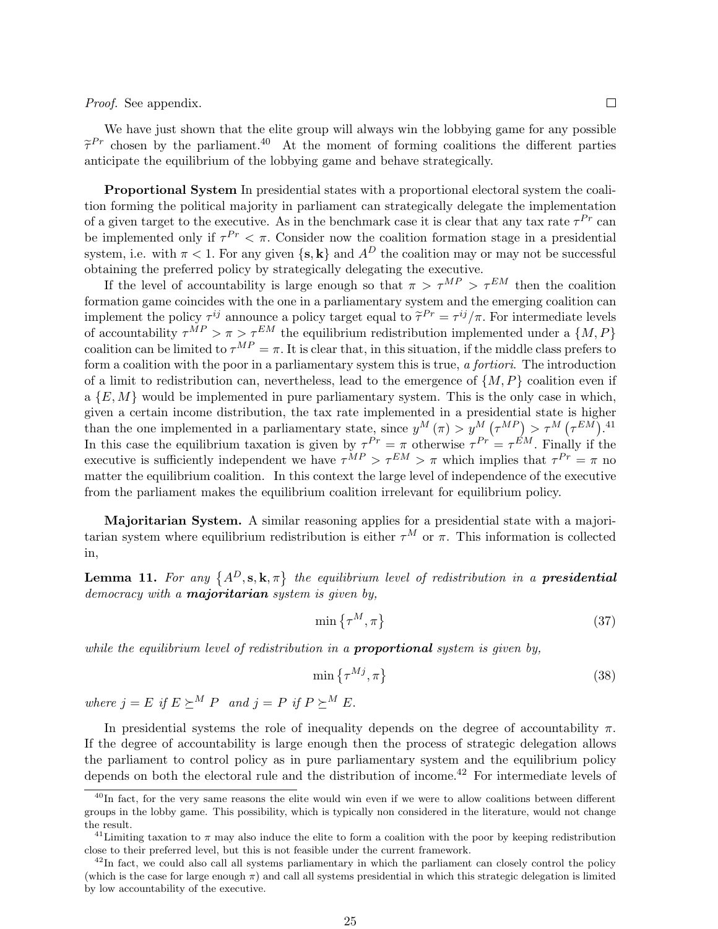Proof. See appendix.

We have just shown that the elite group will always win the lobbying game for any possible  $\tilde{\tau}^{Pr}$  chosen by the parliament.<sup>40</sup> At the moment of forming coalitions the different parties anticipate the equilibrium of the lobbying game and behave strategically.

Proportional System In presidential states with a proportional electoral system the coalition forming the political majority in parliament can strategically delegate the implementation of a given target to the executive. As in the benchmark case it is clear that any tax rate  $\tau^{Pr}$  can be implemented only if  $\tau^{Pr} < \pi$ . Consider now the coalition formation stage in a presidential system, i.e. with  $\pi < 1$ . For any given  $\{s, k\}$  and  $A^D$  the coalition may or may not be successful obtaining the preferred policy by strategically delegating the executive.

If the level of accountability is large enough so that  $\pi > \tau^{MP} > \tau^{EM}$  then the coalition formation game coincides with the one in a parliamentary system and the emerging coalition can implement the policy  $\tau^{ij}$  announce a policy target equal to  $\tilde{\tau}^{Pr} = \tau^{ij}/\pi$ . For intermediate levels of accountability  $\tau^{MP} > \pi > \tau^{EM}$  the equilibrium redistribution implemented under a  $\{M, P\}$ coalition can be limited to  $\tau^{MP} = \pi$ . It is clear that, in this situation, if the middle class prefers to form a coalition with the poor in a parliamentary system this is true, a fortiori. The introduction of a limit to redistribution can, nevertheless, lead to the emergence of  $\{M, P\}$  coalition even if a  $\{E, M\}$  would be implemented in pure parliamentary system. This is the only case in which, given a certain income distribution, the tax rate implemented in a presidential state is higher given a certain income distribution, the tax rate implemented in a presidential state is<br>than the one implemented in a parliamentary state, since  $y^M(\pi) > y^M(\tau^{MP}) > \tau^M$ s mgner $\tau^{EM}$ ).<sup>41</sup> In this case the equilibrium taxation is given by  $\tau^{Pr} = \pi$  otherwise  $\tau^{Pr} = \tau^{EM}$ . Finally if the executive is sufficiently independent we have  $\tau^{MP} > \tau^{EM} > \pi$  which implies that  $\tau^{Pr} = \pi$  no matter the equilibrium coalition. In this context the large level of independence of the executive from the parliament makes the equilibrium coalition irrelevant for equilibrium policy.

Majoritarian System. A similar reasoning applies for a presidential state with a majoritarian system where equilibrium redistribution is either  $\tau^M$  or  $\pi$ . This information is collected in,

**Lemma 11.** For any  $\{A^D, s, k, \pi\}$  the equilibrium level of redistribution in a **presidential** democracy with a **majoritarian** system is given by,

$$
\min\left\{\tau^M, \pi\right\} \tag{37}
$$

while the equilibrium level of redistribution in a **proportional** system is given by,

$$
\min\left\{\tau^{Mj},\pi\right\} \tag{38}
$$

where  $j = E$  if  $E \succeq^M P$  and  $j = P$  if  $P \succeq^M E$ .

In presidential systems the role of inequality depends on the degree of accountability  $\pi$ . If the degree of accountability is large enough then the process of strategic delegation allows the parliament to control policy as in pure parliamentary system and the equilibrium policy depends on both the electoral rule and the distribution of income.<sup>42</sup> For intermediate levels of

 $^{40}$ In fact, for the very same reasons the elite would win even if we were to allow coalitions between different groups in the lobby game. This possibility, which is typically non considered in the literature, would not change the result.

<sup>&</sup>lt;sup>41</sup>Limiting taxation to  $\pi$  may also induce the elite to form a coalition with the poor by keeping redistribution close to their preferred level, but this is not feasible under the current framework.

 $^{42}$ In fact, we could also call all systems parliamentary in which the parliament can closely control the policy (which is the case for large enough  $\pi$ ) and call all systems presidential in which this strategic delegation is limited by low accountability of the executive.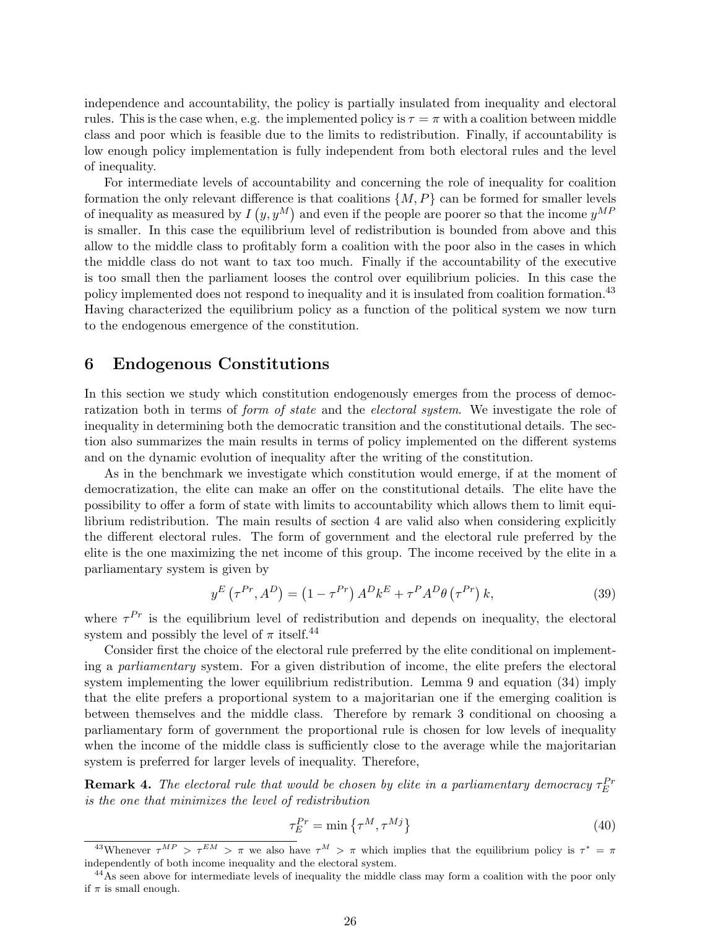independence and accountability, the policy is partially insulated from inequality and electoral rules. This is the case when, e.g. the implemented policy is  $\tau = \pi$  with a coalition between middle class and poor which is feasible due to the limits to redistribution. Finally, if accountability is low enough policy implementation is fully independent from both electoral rules and the level of inequality.

For intermediate levels of accountability and concerning the role of inequality for coalition formation the only relevant difference is that coalitions  $\{M, P\}$  can be formed for smaller levels of inequality as measured by  $I(y, y^M)$  and even if the people are poorer so that the income  $y^{MF}$ is smaller. In this case the equilibrium level of redistribution is bounded from above and this allow to the middle class to profitably form a coalition with the poor also in the cases in which the middle class do not want to tax too much. Finally if the accountability of the executive is too small then the parliament looses the control over equilibrium policies. In this case the policy implemented does not respond to inequality and it is insulated from coalition formation.<sup>43</sup> Having characterized the equilibrium policy as a function of the political system we now turn to the endogenous emergence of the constitution.

# 6 Endogenous Constitutions

In this section we study which constitution endogenously emerges from the process of democratization both in terms of *form of state* and the *electoral system*. We investigate the role of inequality in determining both the democratic transition and the constitutional details. The section also summarizes the main results in terms of policy implemented on the different systems and on the dynamic evolution of inequality after the writing of the constitution.

As in the benchmark we investigate which constitution would emerge, if at the moment of democratization, the elite can make an offer on the constitutional details. The elite have the possibility to offer a form of state with limits to accountability which allows them to limit equilibrium redistribution. The main results of section 4 are valid also when considering explicitly the different electoral rules. The form of government and the electoral rule preferred by the elite is the one maximizing the net income of this group. The income received by the elite in a parliamentary system is given by

$$
y^{E} \left( \tau^{Pr}, A^{D} \right) = \left( 1 - \tau^{Pr} \right) A^{D} k^{E} + \tau^{P} A^{D} \theta \left( \tau^{Pr} \right) k, \tag{39}
$$

where  $\tau^{Pr}$  is the equilibrium level of redistribution and depends on inequality, the electoral system and possibly the level of  $\pi$  itself.<sup>44</sup>

Consider first the choice of the electoral rule preferred by the elite conditional on implementing a parliamentary system. For a given distribution of income, the elite prefers the electoral system implementing the lower equilibrium redistribution. Lemma 9 and equation (34) imply that the elite prefers a proportional system to a majoritarian one if the emerging coalition is between themselves and the middle class. Therefore by remark 3 conditional on choosing a parliamentary form of government the proportional rule is chosen for low levels of inequality when the income of the middle class is sufficiently close to the average while the majoritarian system is preferred for larger levels of inequality. Therefore,

**Remark 4.** The electoral rule that would be chosen by elite in a parliamentary democracy  $\tau_E^{Pr}$ is the one that minimizes the level of redistribution

$$
\tau_E^{Pr} = \min\left\{\tau^M, \tau^{Mj}\right\} \tag{40}
$$

<sup>&</sup>lt;sup>43</sup>Whenever  $\tau^{MP} > \tau^{EM} > \pi$  we also have  $\tau^M > \pi$  which implies that the equilibrium policy is  $\tau^* = \pi$ independently of both income inequality and the electoral system.

<sup>&</sup>lt;sup>44</sup>As seen above for intermediate levels of inequality the middle class may form a coalition with the poor only if  $\pi$  is small enough.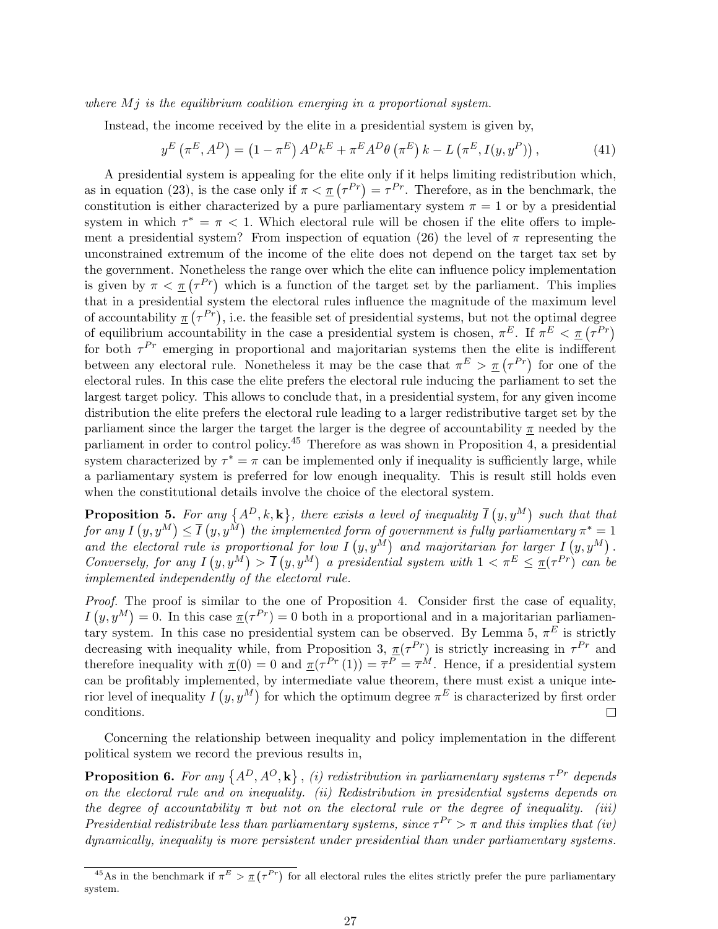where  $Mj$  is the equilibrium coalition emerging in a proportional system.

Instead, the income received by the elite in a presidential system is given by,

$$
y^{E} \left(\pi^{E}, A^{D}\right) = \left(1 - \pi^{E}\right) A^{D} k^{E} + \pi^{E} A^{D} \theta \left(\pi^{E}\right) k - L \left(\pi^{E}, I(y, y^{P})\right),\tag{41}
$$

A presidential system is appealing for the elite only if it helps limiting redistribution which, A presidential system is appealing for the effice only if it helps infitting redistribution which, as in equation (23), is the case only if  $\pi < \pi$  ( $\tau^{Pr}$ ) =  $\tau^{Pr}$ . Therefore, as in the benchmark, the constitution is either characterized by a pure parliamentary system  $\pi = 1$  or by a presidential system in which  $\tau^* = \pi < 1$ . Which electoral rule will be chosen if the elite offers to implement a presidential system? From inspection of equation (26) the level of  $\pi$  representing the unconstrained extremum of the income of the elite does not depend on the target tax set by the government. Nonetheless the range over which the elite can influence policy implementation the government. Nonetheress the range over which the ente can initiance policy implementation<br>is given by  $\pi < \pi (\tau^{Pr})$  which is a function of the target set by the parliament. This implies that in a presidential system the electoral rules influence the magnitude of the maximum level that in a presidential system the electoral rules inhuence the magnitude of the maximum level<br>of accountability  $\underline{\pi}(\tau^{Pr})$ , i.e. the feasible set of presidential systems, but not the optimal degree of accountability  $\pi(\tau^{\tau})$ , i.e. the reasible set of presidential systems, but not the optimal degree<br>of equilibrium accountability in the case a presidential system is chosen,  $\pi^{E}$ . If  $\pi^{E} < \pi(\tau^{Pr})$ for both  $\tau^{Pr}$  emerging in proportional and majoritarian systems then the elite is indifferent between any electoral rule. Nonetheless it may be the case that  $\pi^E > \pi(\tau^{Pr})$  for one of the electoral rules. In this case the elite prefers the electoral rule inducing the parliament to set the largest target policy. This allows to conclude that, in a presidential system, for any given income distribution the elite prefers the electoral rule leading to a larger redistributive target set by the parliament since the larger the target the larger is the degree of accountability  $\pi$  needed by the parliament in order to control policy.<sup>45</sup> Therefore as was shown in Proposition 4, a presidential system characterized by  $\tau^* = \pi$  can be implemented only if inequality is sufficiently large, while a parliamentary system is preferred for low enough inequality. This is result still holds even when the constitutional details involve the choice of the electoral system.

**Proposition 5.** For any  $\{A^D, k, \mathbf{k}\}$ , there exists a level of inequality  $\overline{I}$  $(y, y^M)$ such that that for any I  $\begin{pmatrix} y, y^M \end{pmatrix}$  $\leq \overline{I}$ any { $A$ <br>(y, y<sup>M</sup>) the implemented form of government is fully parliamentary  $\pi^* = 1$ and the electoral rule is proportional for low  $I(y, y^M)$  and majoritarian for larger  $I(y, y^M)$ . Conversely, for any  $I(y, y^M) > \overline{I}(y, y^M)$  a presidential system with  $1 < \pi^E \leq \pi(\tau^{Pr})$  can be implemented independently of the electoral rule.

*Proof.* The proof is similar to the one of Proposition 4. Consider first the case of equality,  $I(y, y^M) = 0$ . In this case  $\pi(\tau^{Pr}) = 0$  both in a proportional and in a majoritarian parliamentary system. In this case no presidential system can be observed. By Lemma 5,  $\pi^{E}$  is strictly decreasing with inequality while, from Proposition 3,  $\pi(\tau^{Pr})$  is strictly increasing in  $\tau^{Pr}$  and therefore inequality with  $\pi(0) = 0$  and  $\pi(\tau^{Pr}(1)) = \overline{\tau}^P = \overline{\tau}^M$ . Hence, if a presidential system can be profitably implemented, by intermediate value theorem, there must exist a unique interior level of inequality  $I(y, y^M)$  for which the optimum degree  $\pi^E$  is characterized by first order conditions.  $\Box$ 

Concerning the relationship between inequality and policy implementation in the different political system we record the previous results in,

Proposition 6. For any  $\{A^D, A^O, \mathbf{k}\}$  $n_i$  (i) redistribution in parliamentary systems  $\tau^{Pr}$  depends on the electoral rule and on inequality. (ii) Redistribution in presidential systems depends on the degree of accountability  $\pi$  but not on the electoral rule or the degree of inequality. (iii) Presidential redistribute less than parliamentary systems, since  $\tau^{Pr} > \pi$  and this implies that (iv) dynamically, inequality is more persistent under presidential than under parliamentary systems.

<sup>&</sup>lt;sup>45</sup>As in the benchmark if  $\pi^E > \pi(r^{Pr})$  for all electoral rules the elites strictly prefer the pure parliamentary system.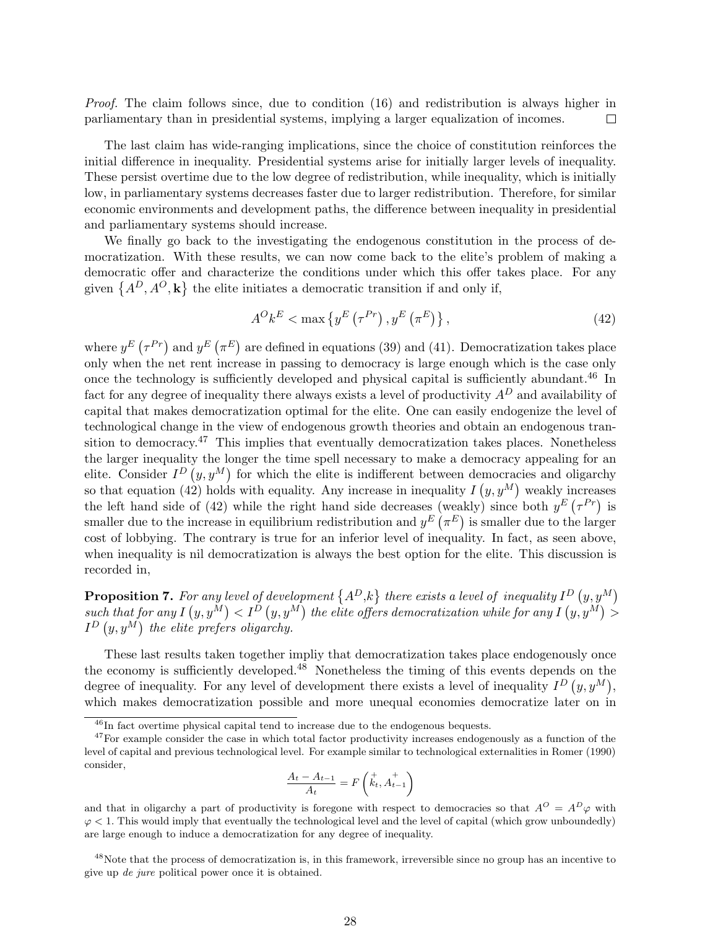Proof. The claim follows since, due to condition (16) and redistribution is always higher in parliamentary than in presidential systems, implying a larger equalization of incomes.  $\Box$ 

The last claim has wide-ranging implications, since the choice of constitution reinforces the initial difference in inequality. Presidential systems arise for initially larger levels of inequality. These persist overtime due to the low degree of redistribution, while inequality, which is initially low, in parliamentary systems decreases faster due to larger redistribution. Therefore, for similar economic environments and development paths, the difference between inequality in presidential and parliamentary systems should increase.

We finally go back to the investigating the endogenous constitution in the process of democratization. With these results, we can now come back to the elite's problem of making a democratic offer and characterize the conditions under which this offer takes place. For any democratic oner and characterize the conditions under which this oner to<br>given  $\{A^D, A^O, \mathbf{k}\}\$  the elite initiates a democratic transition if and only if,

$$
A^{O}k^{E} < \max\left\{y^{E}\left(\tau^{Pr}\right), y^{E}\left(\pi^{E}\right)\right\},\tag{42}
$$

where  $y^E$  (  $\tau^{Pr}$  and  $y^E$  (  $\pi^E$ are defined in equations (39) and (41). Democratization takes place only when the net rent increase in passing to democracy is large enough which is the case only once the technology is sufficiently developed and physical capital is sufficiently abundant.<sup>46</sup> In fact for any degree of inequality there always exists a level of productivity  $A<sup>D</sup>$  and availability of capital that makes democratization optimal for the elite. One can easily endogenize the level of technological change in the view of endogenous growth theories and obtain an endogenous transition to democracy.<sup>47</sup> This implies that eventually democratization takes places. Nonetheless the larger inequality the longer the time spell necessary to make a democracy appealing for an elite. Consider  $I^D(y, y^M)$  for which the elite is indifferent between democracies and oligarchy so that equation (42) holds with equality. Any increase in inequality  $I(y, y^M)$  weakly increases so that equation (42) notes with equality. Any increase in mequality  $I(y, y^{T})$  weakly increases<br>the left hand side of (42) while the right hand side decreases (weakly) since both  $y^{E}(\tau^{Pr})$  is smaller due to the increase in equilibrium redistribution and  $y^E(\pi^E)$  is smaller due to the larger cost of lobbying. The contrary is true for an inferior level of inequality. In fact, as seen above, when inequality is nil democratization is always the best option for the elite. This discussion is recorded in,

**Proposition 7.** For any level of development  $\{A^D,k\}$  there exists a level of inequality  $I^D(y,y^M)$ such that for any I  $(y, y^M) < I^D(y, y^M)$ the elite offers democratization while for any I  $\begin{pmatrix} y, y \\ (y, y^M) \end{pmatrix}$ h that for any  $I\left(y,y^M\right) < I^D\left(y,y^M\right)$  the elite offers democratization while for any  $I\left(y,y^M\right) > I$  $I^D(y, y^M)$  the elite prefers oligarchy.

These last results taken together impliy that democratization takes place endogenously once the economy is sufficiently developed.<sup>48</sup> Nonetheless the timing of this events depends on the degree of inequality. For any level of development there exists a level of inequality  $I^D(y, y^M)$ , which makes democratization possible and more unequal economies democratize later on in

$$
\frac{A_t - A_{t-1}}{A_t} = F\left(\stackrel{+}{k_t}, \stackrel{+}{A_{t-1}}\right)
$$

<sup>48</sup>Note that the process of democratization is, in this framework, irreversible since no group has an incentive to give up de jure political power once it is obtained.

<sup>&</sup>lt;sup>46</sup>In fact overtime physical capital tend to increase due to the endogenous bequests.

<sup>&</sup>lt;sup>47</sup>For example consider the case in which total factor productivity increases endogenously as a function of the level of capital and previous technological level. For example similar to technological externalities in Romer (1990) consider,

and that in oligarchy a part of productivity is foregone with respect to democracies so that  $A^O = A^D \varphi$  with  $\varphi$  < 1. This would imply that eventually the technological level and the level of capital (which grow unboundedly) are large enough to induce a democratization for any degree of inequality.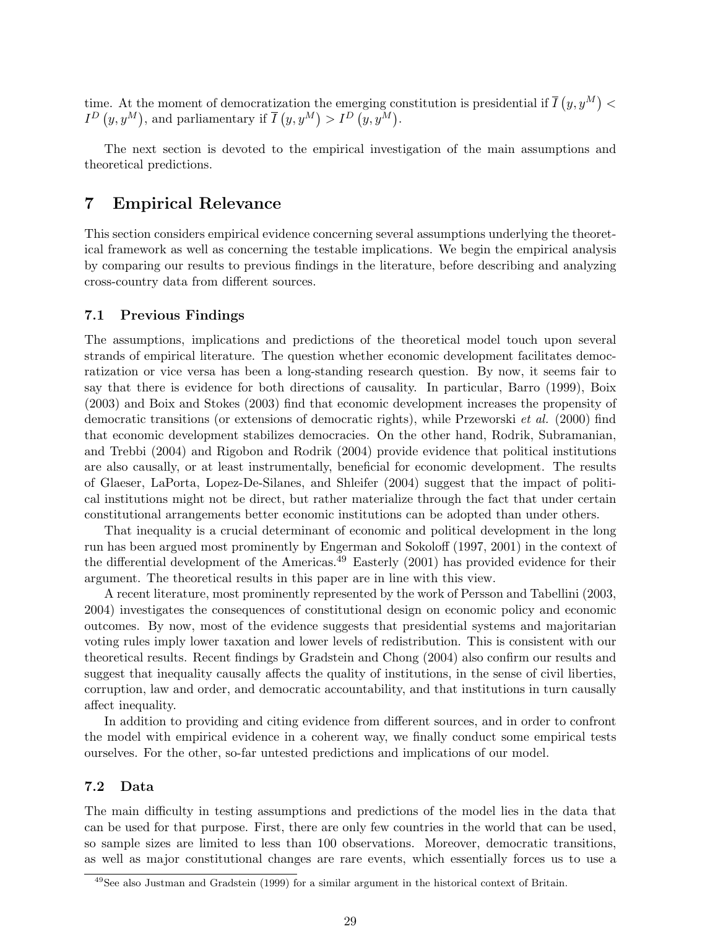time. At the moment of democratization the emerging constitution is presidential if  $\overline{I}$  $(y, y^M)$  $\lt$  $I^D\left( y,y^M\right)$ , and parliamentary if  $\overline{I}$ fation the emerging contract  $(y, y^M) > I^D(y, y^M)$ .

The next section is devoted to the empirical investigation of the main assumptions and theoretical predictions.

# 7 Empirical Relevance

This section considers empirical evidence concerning several assumptions underlying the theoretical framework as well as concerning the testable implications. We begin the empirical analysis by comparing our results to previous findings in the literature, before describing and analyzing cross-country data from different sources.

#### 7.1 Previous Findings

The assumptions, implications and predictions of the theoretical model touch upon several strands of empirical literature. The question whether economic development facilitates democratization or vice versa has been a long-standing research question. By now, it seems fair to say that there is evidence for both directions of causality. In particular, Barro (1999), Boix (2003) and Boix and Stokes (2003) find that economic development increases the propensity of democratic transitions (or extensions of democratic rights), while Przeworski et al. (2000) find that economic development stabilizes democracies. On the other hand, Rodrik, Subramanian, and Trebbi (2004) and Rigobon and Rodrik (2004) provide evidence that political institutions are also causally, or at least instrumentally, beneficial for economic development. The results of Glaeser, LaPorta, Lopez-De-Silanes, and Shleifer (2004) suggest that the impact of political institutions might not be direct, but rather materialize through the fact that under certain constitutional arrangements better economic institutions can be adopted than under others.

That inequality is a crucial determinant of economic and political development in the long run has been argued most prominently by Engerman and Sokoloff (1997, 2001) in the context of the differential development of the Americas.<sup>49</sup> Easterly  $(2001)$  has provided evidence for their argument. The theoretical results in this paper are in line with this view.

A recent literature, most prominently represented by the work of Persson and Tabellini (2003, 2004) investigates the consequences of constitutional design on economic policy and economic outcomes. By now, most of the evidence suggests that presidential systems and majoritarian voting rules imply lower taxation and lower levels of redistribution. This is consistent with our theoretical results. Recent findings by Gradstein and Chong (2004) also confirm our results and suggest that inequality causally affects the quality of institutions, in the sense of civil liberties, corruption, law and order, and democratic accountability, and that institutions in turn causally affect inequality.

In addition to providing and citing evidence from different sources, and in order to confront the model with empirical evidence in a coherent way, we finally conduct some empirical tests ourselves. For the other, so-far untested predictions and implications of our model.

### 7.2 Data

The main difficulty in testing assumptions and predictions of the model lies in the data that can be used for that purpose. First, there are only few countries in the world that can be used, so sample sizes are limited to less than 100 observations. Moreover, democratic transitions, as well as major constitutional changes are rare events, which essentially forces us to use a

<sup>49</sup>See also Justman and Gradstein (1999) for a similar argument in the historical context of Britain.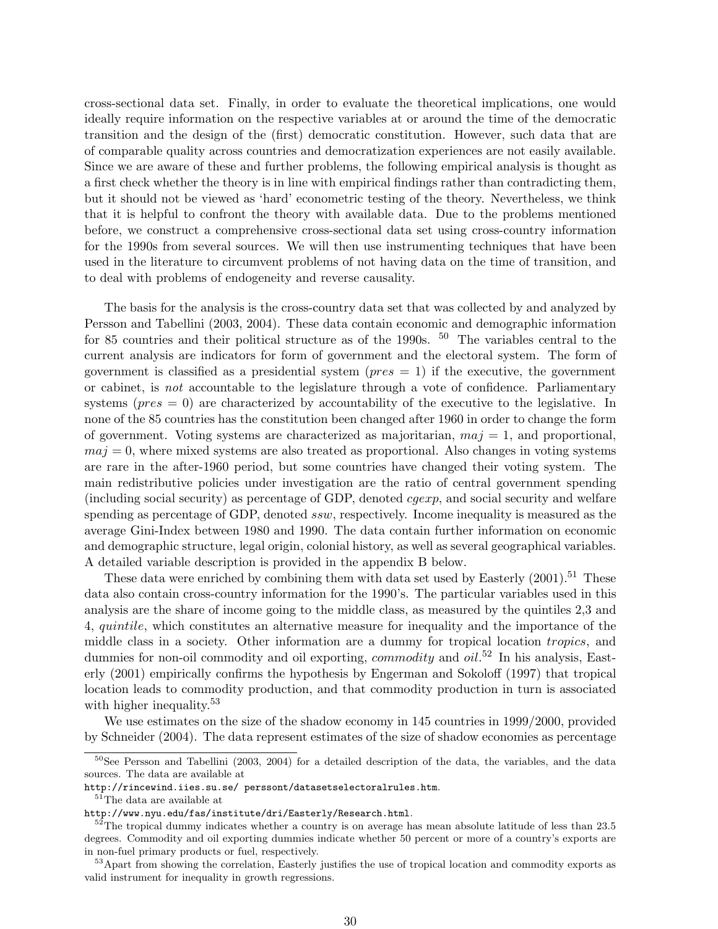cross-sectional data set. Finally, in order to evaluate the theoretical implications, one would ideally require information on the respective variables at or around the time of the democratic transition and the design of the (first) democratic constitution. However, such data that are of comparable quality across countries and democratization experiences are not easily available. Since we are aware of these and further problems, the following empirical analysis is thought as a first check whether the theory is in line with empirical findings rather than contradicting them, but it should not be viewed as 'hard' econometric testing of the theory. Nevertheless, we think that it is helpful to confront the theory with available data. Due to the problems mentioned before, we construct a comprehensive cross-sectional data set using cross-country information for the 1990s from several sources. We will then use instrumenting techniques that have been used in the literature to circumvent problems of not having data on the time of transition, and to deal with problems of endogeneity and reverse causality.

The basis for the analysis is the cross-country data set that was collected by and analyzed by Persson and Tabellini (2003, 2004). These data contain economic and demographic information for 85 countries and their political structure as of the 1990s.  $50$  The variables central to the current analysis are indicators for form of government and the electoral system. The form of government is classified as a presidential system ( $pres = 1$ ) if the executive, the government or cabinet, is not accountable to the legislature through a vote of confidence. Parliamentary systems ( $pres = 0$ ) are characterized by accountability of the executive to the legislative. In none of the 85 countries has the constitution been changed after 1960 in order to change the form of government. Voting systems are characterized as majoritarian,  $maj = 1$ , and proportional,  $maj = 0$ , where mixed systems are also treated as proportional. Also changes in voting systems are rare in the after-1960 period, but some countries have changed their voting system. The main redistributive policies under investigation are the ratio of central government spending (including social security) as percentage of GDP, denoted cgexp, and social security and welfare spending as percentage of GDP, denoted ssw, respectively. Income inequality is measured as the average Gini-Index between 1980 and 1990. The data contain further information on economic and demographic structure, legal origin, colonial history, as well as several geographical variables. A detailed variable description is provided in the appendix B below.

These data were enriched by combining them with data set used by Easterly  $(2001).<sup>51</sup>$  These data also contain cross-country information for the 1990's. The particular variables used in this analysis are the share of income going to the middle class, as measured by the quintiles 2,3 and 4, quintile, which constitutes an alternative measure for inequality and the importance of the middle class in a society. Other information are a dummy for tropical location tropics, and dummies for non-oil commodity and oil exporting, *commodity* and *oil*.<sup>52</sup> In his analysis, Easterly (2001) empirically confirms the hypothesis by Engerman and Sokoloff (1997) that tropical location leads to commodity production, and that commodity production in turn is associated with higher inequality.<sup>53</sup>

We use estimates on the size of the shadow economy in 145 countries in 1999/2000, provided by Schneider (2004). The data represent estimates of the size of shadow economies as percentage

 $50$ See Persson and Tabellini (2003, 2004) for a detailed description of the data, the variables, and the data sources. The data are available at

http://rincewind.iies.su.se/ perssont/datasetselectoralrules.htm.

<sup>&</sup>lt;sup>51</sup>The data are available at

http://www.nyu.edu/fas/institute/dri/Easterly/Research.html.

 $52$ The tropical dummy indicates whether a country is on average has mean absolute latitude of less than 23.5 degrees. Commodity and oil exporting dummies indicate whether 50 percent or more of a country's exports are in non-fuel primary products or fuel, respectively.

<sup>53</sup>Apart from showing the correlation, Easterly justifies the use of tropical location and commodity exports as valid instrument for inequality in growth regressions.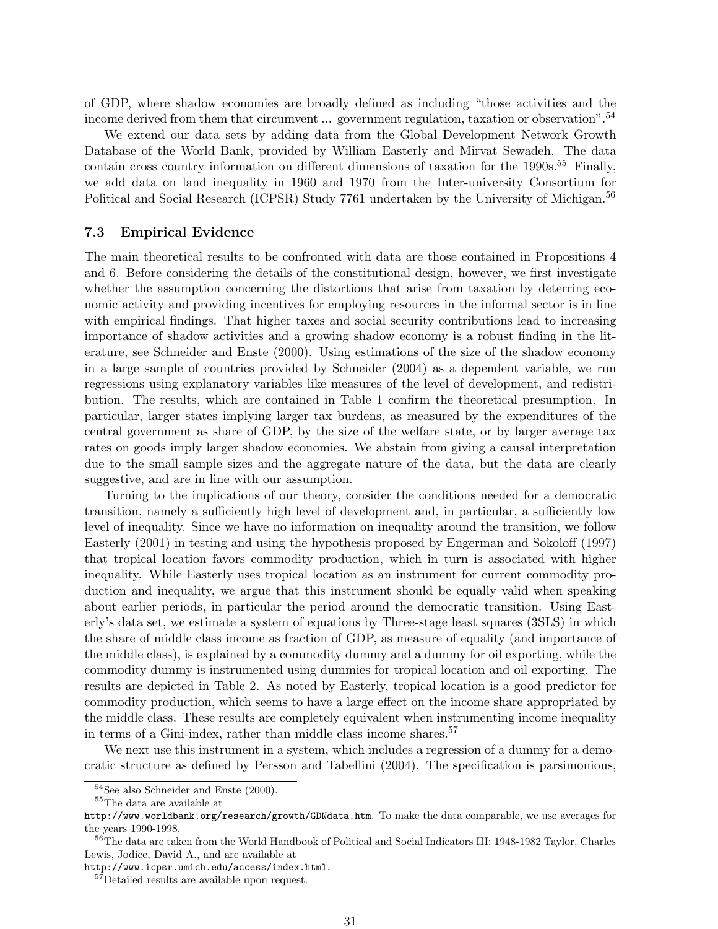of GDP, where shadow economies are broadly defined as including "those activities and the income derived from them that circumvent ... government regulation, taxation or observation".<sup>54</sup>

We extend our data sets by adding data from the Global Development Network Growth Database of the World Bank, provided by William Easterly and Mirvat Sewadeh. The data contain cross country information on different dimensions of taxation for the  $1990s$ .<sup>55</sup> Finally, we add data on land inequality in 1960 and 1970 from the Inter-university Consortium for Political and Social Research (ICPSR) Study 7761 undertaken by the University of Michigan.<sup>56</sup>

#### 7.3 Empirical Evidence

The main theoretical results to be confronted with data are those contained in Propositions 4 and 6. Before considering the details of the constitutional design, however, we first investigate whether the assumption concerning the distortions that arise from taxation by deterring economic activity and providing incentives for employing resources in the informal sector is in line with empirical findings. That higher taxes and social security contributions lead to increasing importance of shadow activities and a growing shadow economy is a robust finding in the literature, see Schneider and Enste (2000). Using estimations of the size of the shadow economy in a large sample of countries provided by Schneider (2004) as a dependent variable, we run regressions using explanatory variables like measures of the level of development, and redistribution. The results, which are contained in Table 1 confirm the theoretical presumption. In particular, larger states implying larger tax burdens, as measured by the expenditures of the central government as share of GDP, by the size of the welfare state, or by larger average tax rates on goods imply larger shadow economies. We abstain from giving a causal interpretation due to the small sample sizes and the aggregate nature of the data, but the data are clearly suggestive, and are in line with our assumption.

Turning to the implications of our theory, consider the conditions needed for a democratic transition, namely a sufficiently high level of development and, in particular, a sufficiently low level of inequality. Since we have no information on inequality around the transition, we follow Easterly (2001) in testing and using the hypothesis proposed by Engerman and Sokoloff (1997) that tropical location favors commodity production, which in turn is associated with higher inequality. While Easterly uses tropical location as an instrument for current commodity production and inequality, we argue that this instrument should be equally valid when speaking about earlier periods, in particular the period around the democratic transition. Using Easterly's data set, we estimate a system of equations by Three-stage least squares (3SLS) in which the share of middle class income as fraction of GDP, as measure of equality (and importance of the middle class), is explained by a commodity dummy and a dummy for oil exporting, while the commodity dummy is instrumented using dummies for tropical location and oil exporting. The results are depicted in Table 2. As noted by Easterly, tropical location is a good predictor for commodity production, which seems to have a large effect on the income share appropriated by the middle class. These results are completely equivalent when instrumenting income inequality in terms of a Gini-index, rather than middle class income shares.<sup>57</sup>

We next use this instrument in a system, which includes a regression of a dummy for a democratic structure as defined by Persson and Tabellini (2004). The specification is parsimonious,

<sup>54</sup>See also Schneider and Enste (2000).

<sup>&</sup>lt;sup>55</sup>The data are available at

http://www.worldbank.org/research/growth/GDNdata.htm. To make the data comparable, we use averages for the years 1990-1998.

<sup>&</sup>lt;sup>56</sup>The data are taken from the World Handbook of Political and Social Indicators III: 1948-1982 Taylor, Charles Lewis, Jodice, David A., and are available at

http://www.icpsr.umich.edu/access/index.html.

<sup>&</sup>lt;sup>57</sup>Detailed results are available upon request.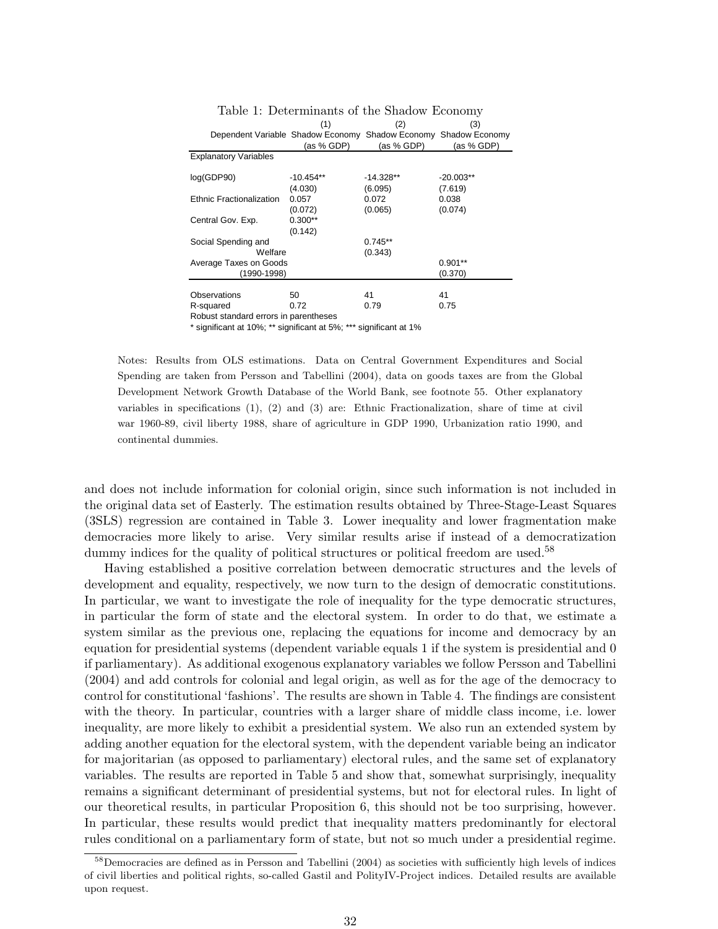|                                                                 | (1)         | (2)         | (3)         |
|-----------------------------------------------------------------|-------------|-------------|-------------|
| Dependent Variable Shadow Economy Shadow Economy Shadow Economy |             |             |             |
|                                                                 | (as % GDP)  | (as % GDP)  | (as % GDP)  |
| <b>Explanatory Variables</b>                                    |             |             |             |
|                                                                 |             |             |             |
| log(GDP90)                                                      | $-10.454**$ | $-14.328**$ | $-20.003**$ |
|                                                                 | (4.030)     | (6.095)     | (7.619)     |
| Ethnic Fractionalization                                        | 0.057       | 0.072       | 0.038       |
|                                                                 | (0.072)     | (0.065)     | (0.074)     |
| Central Gov. Exp.                                               | $0.300**$   |             |             |
|                                                                 | (0.142)     |             |             |
| Social Spending and                                             |             | $0.745**$   |             |
| Welfare                                                         |             | (0.343)     |             |
| Average Taxes on Goods                                          |             |             | $0.901**$   |
| (1990-1998)                                                     |             |             | (0.370)     |
|                                                                 |             |             |             |
| Observations                                                    | 50          | 41          | 41          |
| R-squared                                                       | 0.72        | 0.79        | 0.75        |
| Robust standard errors in parentheses                           |             |             |             |

Table 1: Determinants of the Shadow Economy

\* significant at 10%; \*\* significant at 5%; \*\*\* significant at 1%

Notes: Results from OLS estimations. Data on Central Government Expenditures and Social Spending are taken from Persson and Tabellini (2004), data on goods taxes are from the Global Development Network Growth Database of the World Bank, see footnote 55. Other explanatory variables in specifications (1), (2) and (3) are: Ethnic Fractionalization, share of time at civil war 1960-89, civil liberty 1988, share of agriculture in GDP 1990, Urbanization ratio 1990, and continental dummies.

and does not include information for colonial origin, since such information is not included in the original data set of Easterly. The estimation results obtained by Three-Stage-Least Squares (3SLS) regression are contained in Table 3. Lower inequality and lower fragmentation make democracies more likely to arise. Very similar results arise if instead of a democratization dummy indices for the quality of political structures or political freedom are used.<sup>58</sup>

Having established a positive correlation between democratic structures and the levels of development and equality, respectively, we now turn to the design of democratic constitutions. In particular, we want to investigate the role of inequality for the type democratic structures, in particular the form of state and the electoral system. In order to do that, we estimate a system similar as the previous one, replacing the equations for income and democracy by an equation for presidential systems (dependent variable equals 1 if the system is presidential and 0 if parliamentary). As additional exogenous explanatory variables we follow Persson and Tabellini (2004) and add controls for colonial and legal origin, as well as for the age of the democracy to control for constitutional 'fashions'. The results are shown in Table 4. The findings are consistent with the theory. In particular, countries with a larger share of middle class income, i.e. lower inequality, are more likely to exhibit a presidential system. We also run an extended system by adding another equation for the electoral system, with the dependent variable being an indicator for majoritarian (as opposed to parliamentary) electoral rules, and the same set of explanatory variables. The results are reported in Table 5 and show that, somewhat surprisingly, inequality remains a significant determinant of presidential systems, but not for electoral rules. In light of our theoretical results, in particular Proposition 6, this should not be too surprising, however. In particular, these results would predict that inequality matters predominantly for electoral rules conditional on a parliamentary form of state, but not so much under a presidential regime.

 $58$ Democracies are defined as in Persson and Tabellini (2004) as societies with sufficiently high levels of indices of civil liberties and political rights, so-called Gastil and PolityIV-Project indices. Detailed results are available upon request.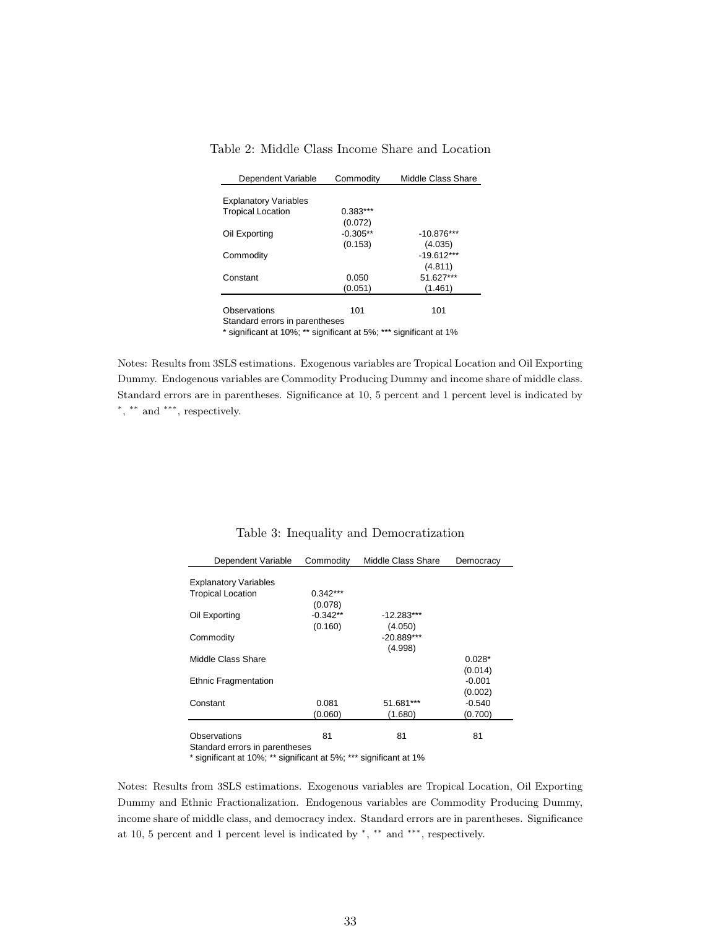| Dependent Variable             | Commodity  | Middle Class Share |  |  |  |  |  |
|--------------------------------|------------|--------------------|--|--|--|--|--|
|                                |            |                    |  |  |  |  |  |
| <b>Explanatory Variables</b>   |            |                    |  |  |  |  |  |
| <b>Tropical Location</b>       | $0.383***$ |                    |  |  |  |  |  |
|                                | (0.072)    |                    |  |  |  |  |  |
| Oil Exporting                  | $-0.305**$ | $-10.876***$       |  |  |  |  |  |
|                                | (0.153)    | (4.035)            |  |  |  |  |  |
| Commodity                      |            | $-19.612***$       |  |  |  |  |  |
|                                |            | (4.811)            |  |  |  |  |  |
| Constant                       | 0.050      | 51.627***          |  |  |  |  |  |
|                                | (0.051)    | (1.461)            |  |  |  |  |  |
|                                |            |                    |  |  |  |  |  |
| Observations                   | 101        | 101                |  |  |  |  |  |
| Standard errors in parentheses |            |                    |  |  |  |  |  |

Table 2: Middle Class Income Share and Location

\* significant at 10%; \*\* significant at 5%; \*\*\* significant at 1%

Notes: Results from 3SLS estimations. Exogenous variables are Tropical Location and Oil Exporting Dummy. Endogenous variables are Commodity Producing Dummy and income share of middle class. Standard errors are in parentheses. Significance at 10, 5 percent and 1 percent level is indicated by ∗ , ∗∗ and ∗∗∗, respectively.

| Dependent Variable             | Commodity  | Middle Class Share | Democracy |
|--------------------------------|------------|--------------------|-----------|
| <b>Explanatory Variables</b>   |            |                    |           |
| <b>Tropical Location</b>       | $0.342***$ |                    |           |
|                                | (0.078)    |                    |           |
| Oil Exporting                  | $-0.342**$ | $-12.283***$       |           |
|                                | (0.160)    | (4.050)            |           |
| Commodity                      |            | $-20.889***$       |           |
|                                |            | (4.998)            |           |
| Middle Class Share             |            |                    | $0.028*$  |
|                                |            |                    | (0.014)   |
| <b>Ethnic Fragmentation</b>    |            |                    | $-0.001$  |
|                                |            |                    | (0.002)   |
| Constant                       | 0.081      | 51.681***          | $-0.540$  |
|                                | (0.060)    | (1.680)            | (0.700)   |
|                                |            |                    |           |
| Observations                   | 81         | 81                 | 81        |
| Standard errors in parentheses |            |                    |           |

Table 3: Inequality and Democratization

\* significant at 10%; \*\* significant at 5%; \*\*\* significant at 1%

Notes: Results from 3SLS estimations. Exogenous variables are Tropical Location, Oil Exporting Dummy and Ethnic Fractionalization. Endogenous variables are Commodity Producing Dummy, income share of middle class, and democracy index. Standard errors are in parentheses. Significance at 10, 5 percent and 1 percent level is indicated by \*, \*\* and \*\*\*, respectively.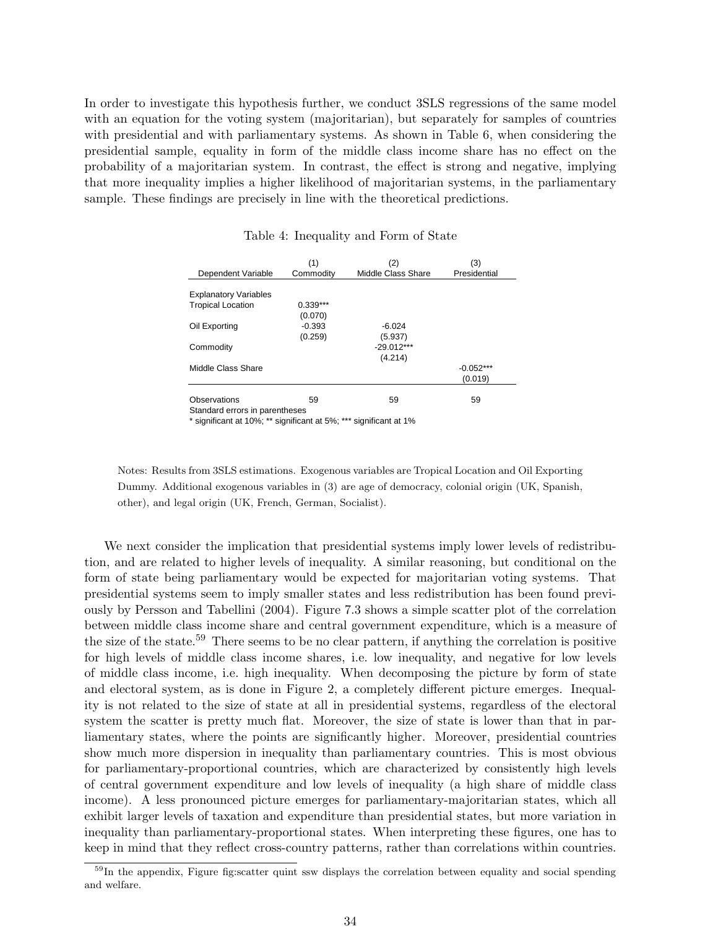In order to investigate this hypothesis further, we conduct 3SLS regressions of the same model with an equation for the voting system (majoritarian), but separately for samples of countries with presidential and with parliamentary systems. As shown in Table 6, when considering the presidential sample, equality in form of the middle class income share has no effect on the probability of a majoritarian system. In contrast, the effect is strong and negative, implying that more inequality implies a higher likelihood of majoritarian systems, in the parliamentary sample. These findings are precisely in line with the theoretical predictions.

|                              | (1)        | (2)                       | (3)          |
|------------------------------|------------|---------------------------|--------------|
| Dependent Variable           | Commodity  | <b>Middle Class Share</b> | Presidential |
| <b>Explanatory Variables</b> |            |                           |              |
| <b>Tropical Location</b>     | $0.339***$ |                           |              |
|                              | (0.070)    |                           |              |
| Oil Exporting                | $-0.393$   | $-6.024$                  |              |
|                              | (0.259)    | (5.937)                   |              |
| Commodity                    |            | $-29.012***$              |              |
|                              |            | (4.214)                   |              |
| Middle Class Share           |            |                           | $-0.052***$  |
|                              |            |                           | (0.019)      |
|                              |            |                           |              |
| Observations<br>.            | 59         | 59                        | 59           |

#### Table 4: Inequality and Form of State

Standard errors in parentheses

\* significant at 10%; \*\* significant at 5%; \*\*\* significant at 1%

Notes: Results from 3SLS estimations. Exogenous variables are Tropical Location and Oil Exporting Dummy. Additional exogenous variables in (3) are age of democracy, colonial origin (UK, Spanish, other), and legal origin (UK, French, German, Socialist).

We next consider the implication that presidential systems imply lower levels of redistribution, and are related to higher levels of inequality. A similar reasoning, but conditional on the form of state being parliamentary would be expected for majoritarian voting systems. That presidential systems seem to imply smaller states and less redistribution has been found previously by Persson and Tabellini (2004). Figure 7.3 shows a simple scatter plot of the correlation between middle class income share and central government expenditure, which is a measure of the size of the state.<sup>59</sup> There seems to be no clear pattern, if anything the correlation is positive for high levels of middle class income shares, i.e. low inequality, and negative for low levels of middle class income, i.e. high inequality. When decomposing the picture by form of state and electoral system, as is done in Figure 2, a completely different picture emerges. Inequality is not related to the size of state at all in presidential systems, regardless of the electoral system the scatter is pretty much flat. Moreover, the size of state is lower than that in parliamentary states, where the points are significantly higher. Moreover, presidential countries show much more dispersion in inequality than parliamentary countries. This is most obvious for parliamentary-proportional countries, which are characterized by consistently high levels of central government expenditure and low levels of inequality (a high share of middle class income). A less pronounced picture emerges for parliamentary-majoritarian states, which all exhibit larger levels of taxation and expenditure than presidential states, but more variation in inequality than parliamentary-proportional states. When interpreting these figures, one has to keep in mind that they reflect cross-country patterns, rather than correlations within countries.

<sup>&</sup>lt;sup>59</sup>In the appendix, Figure fig:scatter quint ssw displays the correlation between equality and social spending and welfare.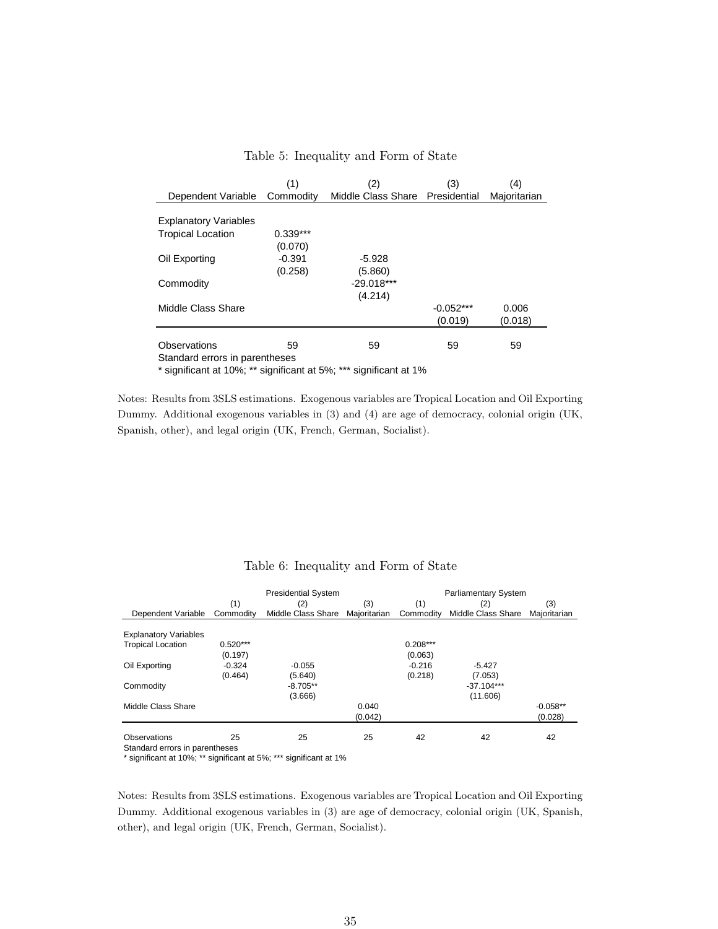|                                | (1)        | (2)                             | (3)         | (4)          |
|--------------------------------|------------|---------------------------------|-------------|--------------|
| Dependent Variable             | Commodity  | Middle Class Share Presidential |             | Majoritarian |
|                                |            |                                 |             |              |
| <b>Explanatory Variables</b>   |            |                                 |             |              |
| <b>Tropical Location</b>       | $0.339***$ |                                 |             |              |
|                                | (0.070)    |                                 |             |              |
| Oil Exporting                  | $-0.391$   | $-5.928$                        |             |              |
|                                | (0.258)    | (5.860)                         |             |              |
| Commodity                      |            | $-29.018***$                    |             |              |
|                                |            | (4.214)                         |             |              |
| Middle Class Share             |            |                                 | $-0.052***$ | 0.006        |
|                                |            |                                 | (0.019)     | (0.018)      |
|                                |            |                                 |             |              |
| Observations                   | 59         | 59                              | 59          | 59           |
| Standard errors in parentheses |            |                                 |             |              |

#### Table 5: Inequality and Form of State

\* significant at 10%; \*\* significant at 5%; \*\*\* significant at 1%

Notes: Results from 3SLS estimations. Exogenous variables are Tropical Location and Oil Exporting Dummy. Additional exogenous variables in (3) and (4) are age of democracy, colonial origin (UK, Spanish, other), and legal origin (UK, French, German, Socialist).

|                                |            | <b>Presidential System</b> | <b>Parliamentary System</b> |            |                    |              |
|--------------------------------|------------|----------------------------|-----------------------------|------------|--------------------|--------------|
|                                | (1)        | (2)                        | (3)                         | (1)        | (2)                | (3)          |
| Dependent Variable             | Commodity  | Middle Class Share         | Majoritarian                | Commodity  | Middle Class Share | Maioritarian |
|                                |            |                            |                             |            |                    |              |
| <b>Explanatory Variables</b>   |            |                            |                             |            |                    |              |
| <b>Tropical Location</b>       | $0.520***$ |                            |                             | $0.208***$ |                    |              |
|                                | (0.197)    |                            |                             | (0.063)    |                    |              |
| Oil Exporting                  | $-0.324$   | $-0.055$                   |                             | $-0.216$   | $-5.427$           |              |
|                                | (0.464)    | (5.640)                    |                             | (0.218)    | (7.053)            |              |
| Commodity                      |            | $-8.705**$                 |                             |            | $-37.104***$       |              |
|                                |            | (3.666)                    |                             |            | (11.606)           |              |
| Middle Class Share             |            |                            | 0.040                       |            |                    | $-0.058**$   |
|                                |            |                            | (0.042)                     |            |                    | (0.028)      |
| Observations                   | 25         | 25                         | 25                          | 42         | 42                 | 42           |
| Standard errors in parentheses |            |                            |                             |            |                    |              |

#### Table 6: Inequality and Form of State

\* significant at 10%; \*\* significant at 5%; \*\*\* significant at 1%

Notes: Results from 3SLS estimations. Exogenous variables are Tropical Location and Oil Exporting Dummy. Additional exogenous variables in (3) are age of democracy, colonial origin (UK, Spanish, other), and legal origin (UK, French, German, Socialist).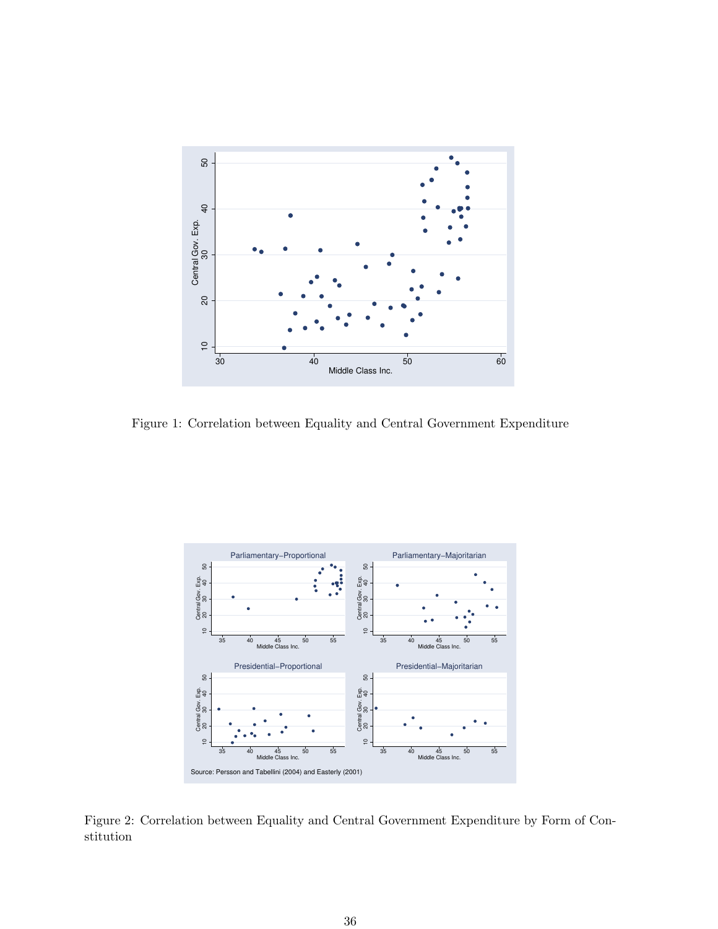

Figure 1: Correlation between Equality and Central Government Expenditure



Figure 2: Correlation between Equality and Central Government Expenditure by Form of Constitution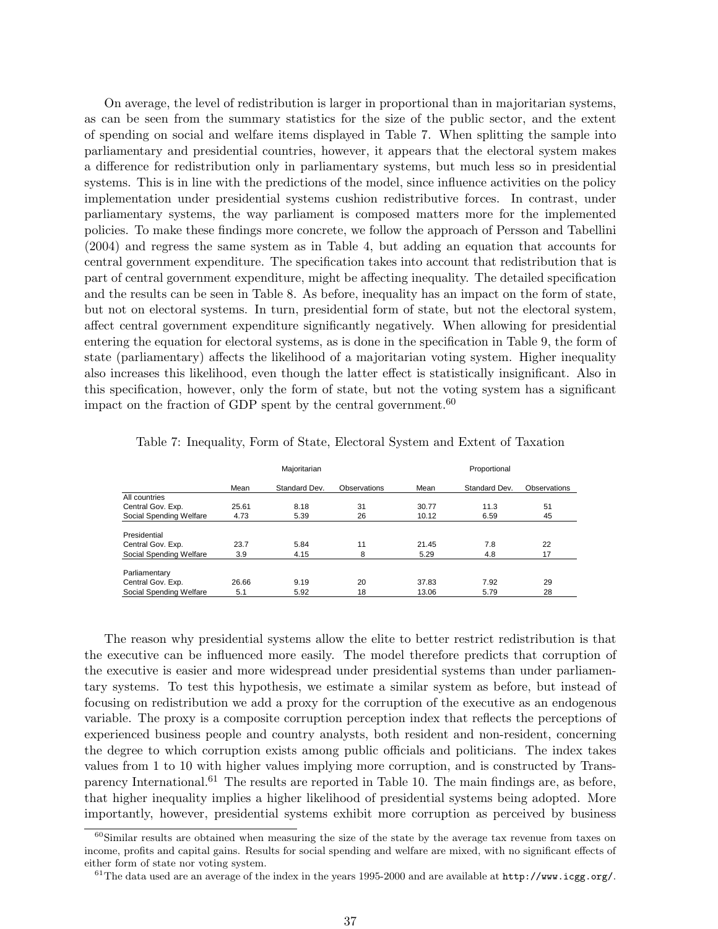On average, the level of redistribution is larger in proportional than in majoritarian systems, as can be seen from the summary statistics for the size of the public sector, and the extent of spending on social and welfare items displayed in Table 7. When splitting the sample into parliamentary and presidential countries, however, it appears that the electoral system makes a difference for redistribution only in parliamentary systems, but much less so in presidential systems. This is in line with the predictions of the model, since influence activities on the policy implementation under presidential systems cushion redistributive forces. In contrast, under parliamentary systems, the way parliament is composed matters more for the implemented policies. To make these findings more concrete, we follow the approach of Persson and Tabellini (2004) and regress the same system as in Table 4, but adding an equation that accounts for central government expenditure. The specification takes into account that redistribution that is part of central government expenditure, might be affecting inequality. The detailed specification and the results can be seen in Table 8. As before, inequality has an impact on the form of state, but not on electoral systems. In turn, presidential form of state, but not the electoral system, affect central government expenditure significantly negatively. When allowing for presidential entering the equation for electoral systems, as is done in the specification in Table 9, the form of state (parliamentary) affects the likelihood of a majoritarian voting system. Higher inequality also increases this likelihood, even though the latter effect is statistically insignificant. Also in this specification, however, only the form of state, but not the voting system has a significant impact on the fraction of GDP spent by the central government. $60$ 

|                         | Majoritarian |               |              | Proportional |               |              |
|-------------------------|--------------|---------------|--------------|--------------|---------------|--------------|
|                         | Mean         | Standard Dev. | Observations | Mean         | Standard Dev. | Observations |
| All countries           |              |               |              |              |               |              |
| Central Gov. Exp.       | 25.61        | 8.18          | 31           | 30.77        | 11.3          | 51           |
| Social Spending Welfare | 4.73         | 5.39          | 26           | 10.12        | 6.59          | 45           |
| Presidential            |              |               |              |              |               |              |
| Central Gov. Exp.       | 23.7         | 5.84          | 11           | 21.45        | 7.8           | 22           |
| Social Spending Welfare | 3.9          | 4.15          | 8            | 5.29         | 4.8           | 17           |
| Parliamentary           |              |               |              |              |               |              |
| Central Gov. Exp.       | 26.66        | 9.19          | 20           | 37.83        | 7.92          | 29           |
| Social Spending Welfare | 5.1          | 5.92          | 18           | 13.06        | 5.79          | 28           |

Table 7: Inequality, Form of State, Electoral System and Extent of Taxation

The reason why presidential systems allow the elite to better restrict redistribution is that the executive can be influenced more easily. The model therefore predicts that corruption of the executive is easier and more widespread under presidential systems than under parliamentary systems. To test this hypothesis, we estimate a similar system as before, but instead of focusing on redistribution we add a proxy for the corruption of the executive as an endogenous variable. The proxy is a composite corruption perception index that reflects the perceptions of experienced business people and country analysts, both resident and non-resident, concerning the degree to which corruption exists among public officials and politicians. The index takes values from 1 to 10 with higher values implying more corruption, and is constructed by Transparency International.<sup>61</sup> The results are reported in Table 10. The main findings are, as before, that higher inequality implies a higher likelihood of presidential systems being adopted. More importantly, however, presidential systems exhibit more corruption as perceived by business

 $60$ Similar results are obtained when measuring the size of the state by the average tax revenue from taxes on income, profits and capital gains. Results for social spending and welfare are mixed, with no significant effects of either form of state nor voting system.

<sup>&</sup>lt;sup>61</sup>The data used are an average of the index in the years 1995-2000 and are available at  $http://www.icgg.org/$ .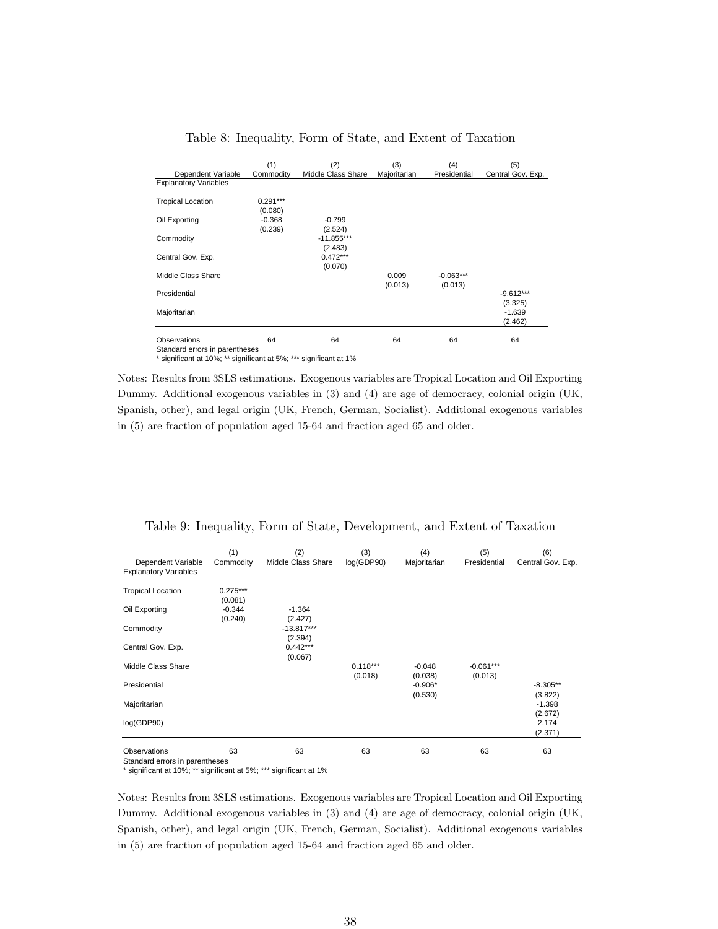| Dependent Variable           | (1)<br>Commodity      | (2)<br>Middle Class Share | (3)<br>Majoritarian | (4)<br>Presidential    | (5)<br>Central Gov. Exp. |
|------------------------------|-----------------------|---------------------------|---------------------|------------------------|--------------------------|
| <b>Explanatory Variables</b> |                       |                           |                     |                        |                          |
| <b>Tropical Location</b>     | $0.291***$<br>(0.080) |                           |                     |                        |                          |
| Oil Exporting                | $-0.368$<br>(0.239)   | $-0.799$<br>(2.524)       |                     |                        |                          |
| Commodity                    |                       | $-11.855***$<br>(2.483)   |                     |                        |                          |
| Central Gov. Exp.            |                       | $0.472***$<br>(0.070)     |                     |                        |                          |
| Middle Class Share           |                       |                           | 0.009<br>(0.013)    | $-0.063***$<br>(0.013) |                          |
| Presidential                 |                       |                           |                     |                        | $-9.612***$<br>(3.325)   |
| Majoritarian                 |                       |                           |                     |                        | $-1.639$<br>(2.462)      |
| Observations                 | 64                    | 64                        | 64                  | 64                     | 64                       |

#### Table 8: Inequality, Form of State, and Extent of Taxation

Standard errors in parentheses

\* significant at 10%; \*\* significant at 5%; \*\*\* significant at 1%

Notes: Results from 3SLS estimations. Exogenous variables are Tropical Location and Oil Exporting Dummy. Additional exogenous variables in (3) and (4) are age of democracy, colonial origin (UK, Spanish, other), and legal origin (UK, French, German, Socialist). Additional exogenous variables in (5) are fraction of population aged 15-64 and fraction aged 65 and older.

| Table 9: Inequality, Form of State, Development, and Extent of Taxation |  |  |  |  |  |  |
|-------------------------------------------------------------------------|--|--|--|--|--|--|
|-------------------------------------------------------------------------|--|--|--|--|--|--|

| Dependent Variable                                    | (1)<br>Commodity      | (2)<br>Middle Class Share | (3)<br>log(GDP90)     | (4)<br>Majoritarian  | (5)<br>Presidential    | (6)<br>Central Gov. Exp. |
|-------------------------------------------------------|-----------------------|---------------------------|-----------------------|----------------------|------------------------|--------------------------|
| <b>Explanatory Variables</b>                          |                       |                           |                       |                      |                        |                          |
| <b>Tropical Location</b>                              | $0.275***$<br>(0.081) |                           |                       |                      |                        |                          |
| Oil Exporting                                         | $-0.344$<br>(0.240)   | $-1.364$<br>(2.427)       |                       |                      |                        |                          |
| Commodity                                             |                       | $-13.817***$<br>(2.394)   |                       |                      |                        |                          |
| Central Gov. Exp.                                     |                       | $0.442***$<br>(0.067)     |                       |                      |                        |                          |
| Middle Class Share                                    |                       |                           | $0.118***$<br>(0.018) | $-0.048$<br>(0.038)  | $-0.061***$<br>(0.013) |                          |
| Presidential                                          |                       |                           |                       | $-0.906*$<br>(0.530) |                        | $-8.305**$<br>(3.822)    |
| Majoritarian                                          |                       |                           |                       |                      |                        | $-1.398$<br>(2.672)      |
| log(GDP90)                                            |                       |                           |                       |                      |                        | 2.174<br>(2.371)         |
| <b>Observations</b><br>Ctonderd errors in norontheone | 63                    | 63                        | 63                    | 63                   | 63                     | 63                       |

ırd errors ın pa \* significant at 10%; \*\* significant at 5%; \*\*\* significant at 1%

Notes: Results from 3SLS estimations. Exogenous variables are Tropical Location and Oil Exporting Dummy. Additional exogenous variables in (3) and (4) are age of democracy, colonial origin (UK, Spanish, other), and legal origin (UK, French, German, Socialist). Additional exogenous variables in (5) are fraction of population aged 15-64 and fraction aged 65 and older.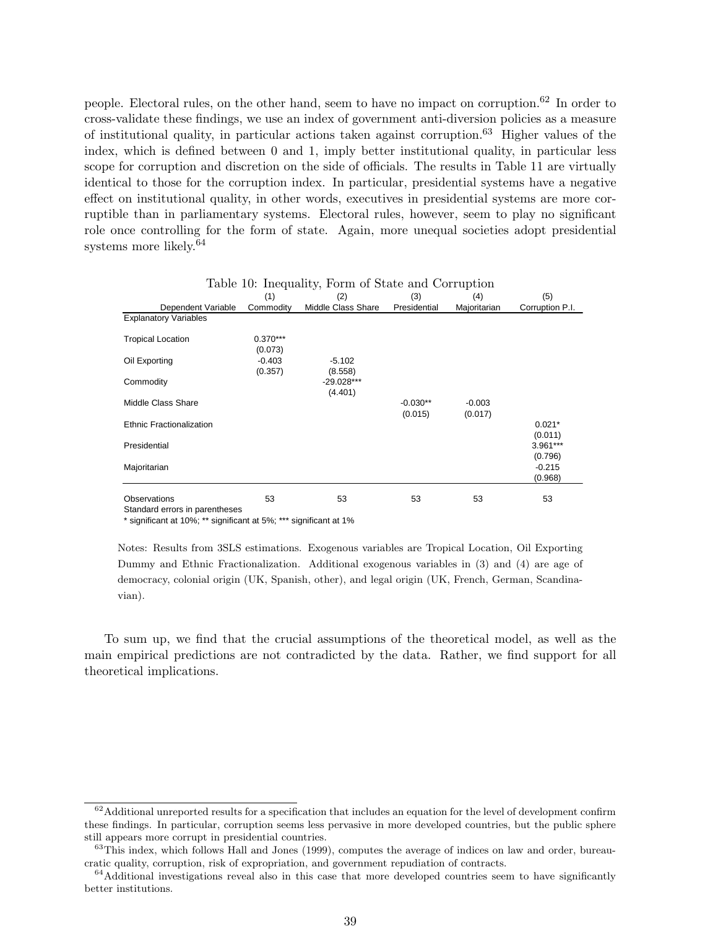people. Electoral rules, on the other hand, seem to have no impact on corruption.<sup>62</sup> In order to cross-validate these findings, we use an index of government anti-diversion policies as a measure of institutional quality, in particular actions taken against corruption.<sup>63</sup> Higher values of the index, which is defined between 0 and 1, imply better institutional quality, in particular less scope for corruption and discretion on the side of officials. The results in Table 11 are virtually identical to those for the corruption index. In particular, presidential systems have a negative effect on institutional quality, in other words, executives in presidential systems are more corruptible than in parliamentary systems. Electoral rules, however, seem to play no significant role once controlling for the form of state. Again, more unequal societies adopt presidential systems more likely.<sup>64</sup>

|                                 | (1)                   | (2)                     | (3)                   | (4)                 | (5)                   |
|---------------------------------|-----------------------|-------------------------|-----------------------|---------------------|-----------------------|
| Dependent Variable              | Commodity             | Middle Class Share      | Presidential          | Majoritarian        | Corruption P.I.       |
| <b>Explanatory Variables</b>    |                       |                         |                       |                     |                       |
| <b>Tropical Location</b>        | $0.370***$<br>(0.073) |                         |                       |                     |                       |
| Oil Exporting                   | $-0.403$<br>(0.357)   | $-5.102$<br>(8.558)     |                       |                     |                       |
| Commodity                       |                       | $-29.028***$<br>(4.401) |                       |                     |                       |
| Middle Class Share              |                       |                         | $-0.030**$<br>(0.015) | $-0.003$<br>(0.017) |                       |
| <b>Ethnic Fractionalization</b> |                       |                         |                       |                     | $0.021*$<br>(0.011)   |
| Presidential                    |                       |                         |                       |                     | $3.961***$<br>(0.796) |
| Majoritarian                    |                       |                         |                       |                     | $-0.215$<br>(0.968)   |
| <b>Observations</b>             | 53                    | 53                      | 53                    | 53                  | 53                    |

|  | Table 10: Inequality, Form of State and Corruption |  |  |  |  |
|--|----------------------------------------------------|--|--|--|--|
|--|----------------------------------------------------|--|--|--|--|

Standard errors in parentheses

\* significant at 10%; \*\* significant at 5%; \*\*\* significant at 1%

Notes: Results from 3SLS estimations. Exogenous variables are Tropical Location, Oil Exporting Dummy and Ethnic Fractionalization. Additional exogenous variables in (3) and (4) are age of democracy, colonial origin (UK, Spanish, other), and legal origin (UK, French, German, Scandinavian).

To sum up, we find that the crucial assumptions of the theoretical model, as well as the main empirical predictions are not contradicted by the data. Rather, we find support for all theoretical implications.

 $62$ Additional unreported results for a specification that includes an equation for the level of development confirm these findings. In particular, corruption seems less pervasive in more developed countries, but the public sphere still appears more corrupt in presidential countries.

<sup>&</sup>lt;sup>63</sup>This index, which follows Hall and Jones (1999), computes the average of indices on law and order, bureaucratic quality, corruption, risk of expropriation, and government repudiation of contracts.

 $64$ Additional investigations reveal also in this case that more developed countries seem to have significantly better institutions.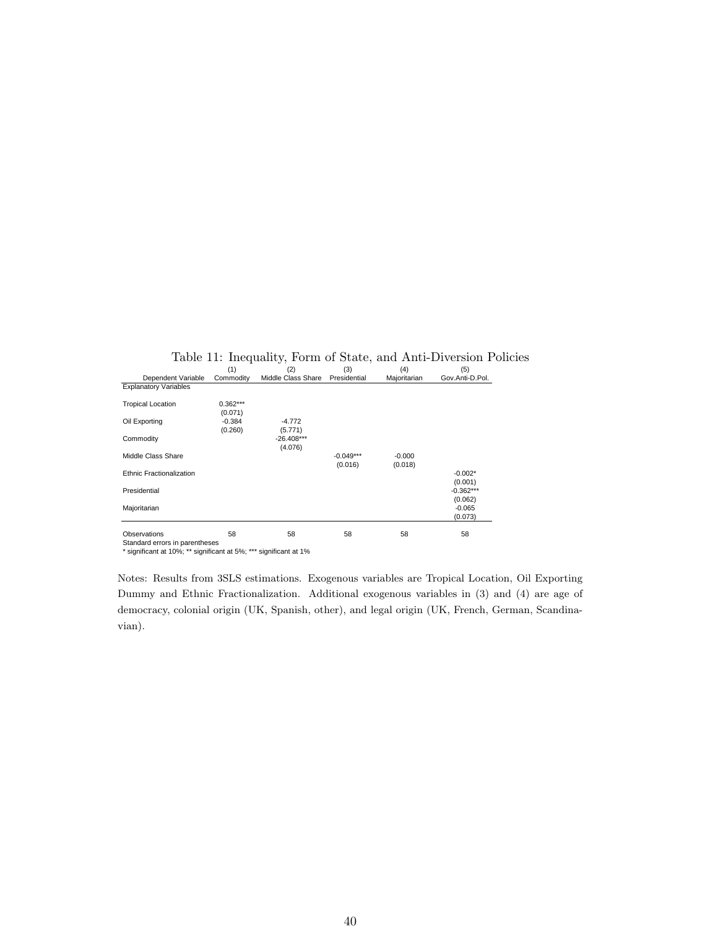|                                                       | (1)                   | (2)                     | (3)                    | (4)                 | (5)                    |
|-------------------------------------------------------|-----------------------|-------------------------|------------------------|---------------------|------------------------|
| Dependent Variable                                    | Commodity             | Middle Class Share      | Presidential           | Majoritarian        | Gov.Anti-D.Pol.        |
| <b>Explanatory Variables</b>                          |                       |                         |                        |                     |                        |
| <b>Tropical Location</b>                              | $0.362***$<br>(0.071) |                         |                        |                     |                        |
| Oil Exporting                                         | $-0.384$<br>(0.260)   | $-4.772$<br>(5.771)     |                        |                     |                        |
| Commodity                                             |                       | $-26.408***$<br>(4.076) |                        |                     |                        |
| Middle Class Share                                    |                       |                         | $-0.049***$<br>(0.016) | $-0.000$<br>(0.018) |                        |
| Ethnic Fractionalization                              |                       |                         |                        |                     | $-0.002*$<br>(0.001)   |
| Presidential                                          |                       |                         |                        |                     | $-0.362***$<br>(0.062) |
| Majoritarian                                          |                       |                         |                        |                     | $-0.065$<br>(0.073)    |
| <b>Observations</b><br>Standard errors in narentheses | 58                    | 58                      | 58                     | 58                  | 58                     |

Table 11: Inequality, Form of State, and Anti-Diversion Policies  $(1)$   $(2)$   $(3)$   $(4)$   $(5)$ 

Standard errors in parentheses \* significant at 10%; \*\* significant at 5%; \*\*\* significant at 1%

Notes: Results from 3SLS estimations. Exogenous variables are Tropical Location, Oil Exporting Dummy and Ethnic Fractionalization. Additional exogenous variables in (3) and (4) are age of democracy, colonial origin (UK, Spanish, other), and legal origin (UK, French, German, Scandinavian).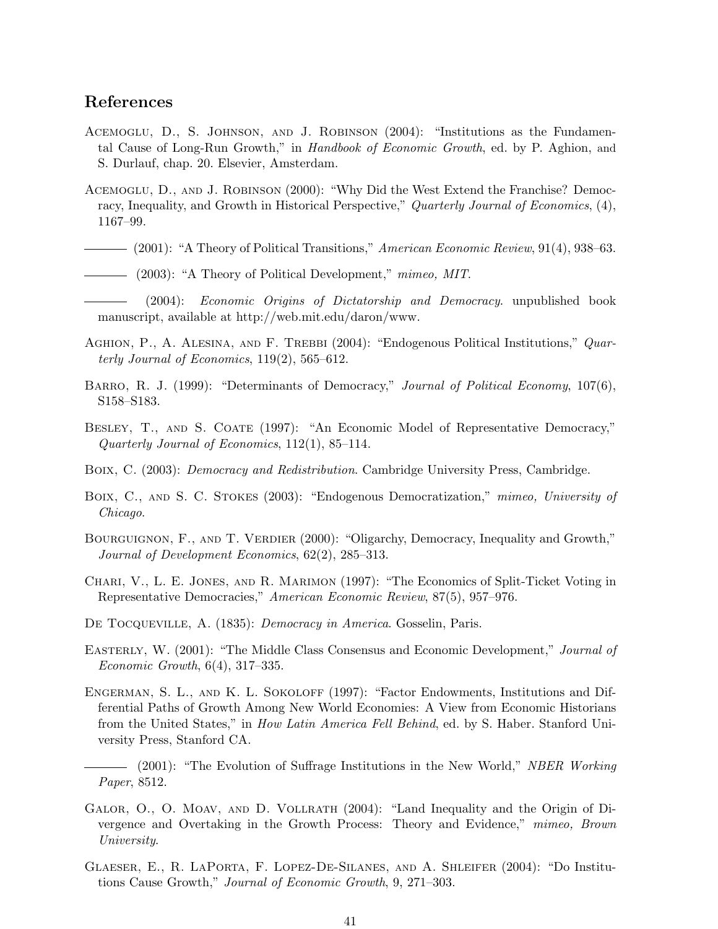# References

- Acemoglu, D., S. Johnson, and J. Robinson (2004): "Institutions as the Fundamental Cause of Long-Run Growth," in Handbook of Economic Growth, ed. by P. Aghion, and S. Durlauf, chap. 20. Elsevier, Amsterdam.
- Acemoglu, D., and J. Robinson (2000): "Why Did the West Extend the Franchise? Democracy, Inequality, and Growth in Historical Perspective," Quarterly Journal of Economics, (4), 1167–99.
- $-$  (2001): "A Theory of Political Transitions," American Economic Review, 91(4), 938–63.
- (2003): "A Theory of Political Development," mimeo, MIT.

(2004): Economic Origins of Dictatorship and Democracy. unpublished book manuscript, available at http://web.mit.edu/daron/www.

- AGHION, P., A. ALESINA, AND F. TREBBI (2004): "Endogenous Political Institutions," Quarterly Journal of Economics, 119(2), 565–612.
- BARRO, R. J. (1999): "Determinants of Democracy," Journal of Political Economy, 107(6), S158–S183.
- BESLEY, T., AND S. COATE (1997): "An Economic Model of Representative Democracy," Quarterly Journal of Economics, 112(1), 85–114.
- Boix, C. (2003): Democracy and Redistribution. Cambridge University Press, Cambridge.
- BOIX, C., AND S. C. STOKES (2003): "Endogenous Democratization," mimeo, University of Chicago.
- BOURGUIGNON, F., AND T. VERDIER (2000): "Oligarchy, Democracy, Inequality and Growth," Journal of Development Economics, 62(2), 285–313.
- Chari, V., L. E. Jones, and R. Marimon (1997): "The Economics of Split-Ticket Voting in Representative Democracies," American Economic Review, 87(5), 957–976.
- DE TOCQUEVILLE, A. (1835): *Democracy in America*. Gosselin, Paris.
- EASTERLY, W. (2001): "The Middle Class Consensus and Economic Development," Journal of Economic Growth, 6(4), 317–335.
- ENGERMAN, S. L., AND K. L. SOKOLOFF (1997): "Factor Endowments, Institutions and Differential Paths of Growth Among New World Economies: A View from Economic Historians from the United States," in How Latin America Fell Behind, ed. by S. Haber. Stanford University Press, Stanford CA.

- (2001): "The Evolution of Suffrage Institutions in the New World," NBER Working Paper, 8512.

- GALOR, O., O. MOAV, AND D. VOLLRATH (2004): "Land Inequality and the Origin of Divergence and Overtaking in the Growth Process: Theory and Evidence," mimeo, Brown University.
- Glaeser, E., R. LaPorta, F. Lopez-De-Silanes, and A. Shleifer (2004): "Do Institutions Cause Growth," Journal of Economic Growth, 9, 271–303.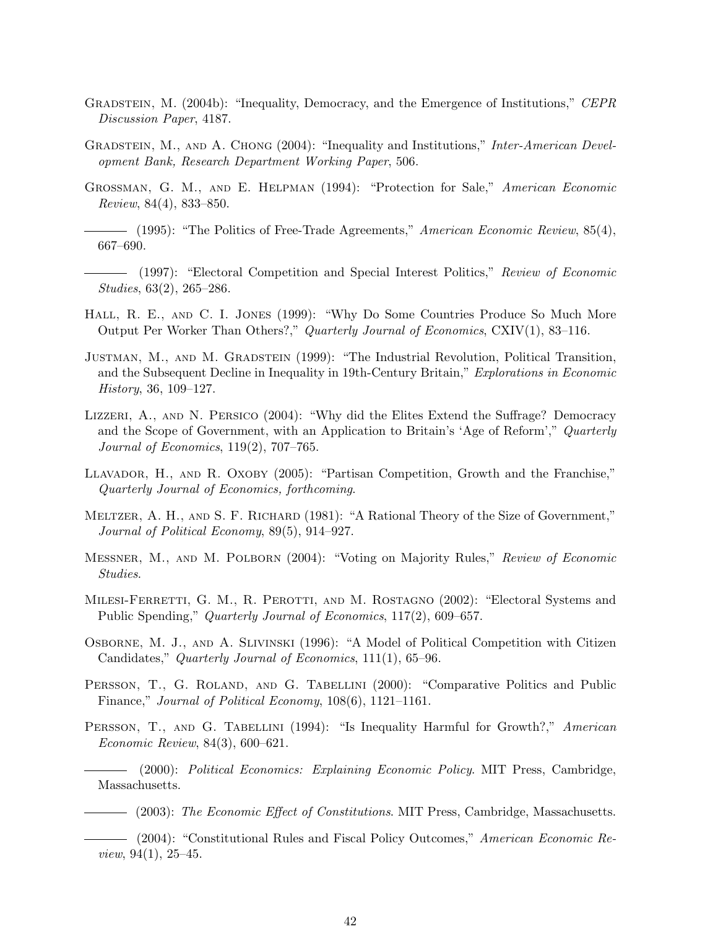- GRADSTEIN, M. (2004b): "Inequality, Democracy, and the Emergence of Institutions," CEPR Discussion Paper, 4187.
- GRADSTEIN, M., AND A. CHONG (2004): "Inequality and Institutions," Inter-American Development Bank, Research Department Working Paper, 506.
- Grossman, G. M., and E. Helpman (1994): "Protection for Sale," American Economic Review, 84(4), 833–850.
	- $(1995)$ : "The Politics of Free-Trade Agreements," American Economic Review, 85(4), 667–690.
- (1997): "Electoral Competition and Special Interest Politics," Review of Economic Studies, 63(2), 265–286.
- Hall, R. E., and C. I. Jones (1999): "Why Do Some Countries Produce So Much More Output Per Worker Than Others?," Quarterly Journal of Economics, CXIV(1), 83–116.
- Justman, M., and M. Gradstein (1999): "The Industrial Revolution, Political Transition, and the Subsequent Decline in Inequality in 19th-Century Britain," Explorations in Economic History, 36, 109–127.
- Lizzeri, A., and N. Persico (2004): "Why did the Elites Extend the Suffrage? Democracy and the Scope of Government, with an Application to Britain's 'Age of Reform'," Quarterly Journal of Economics, 119(2), 707–765.
- Llavador, H., and R. Oxoby (2005): "Partisan Competition, Growth and the Franchise," Quarterly Journal of Economics, forthcoming.
- MELTZER, A. H., AND S. F. RICHARD (1981): "A Rational Theory of the Size of Government," Journal of Political Economy, 89(5), 914–927.
- Messner, M., and M. Polborn (2004): "Voting on Majority Rules," Review of Economic Studies.
- MILESI-FERRETTI, G. M., R. PEROTTI, AND M. ROSTAGNO (2002): "Electoral Systems and Public Spending," Quarterly Journal of Economics, 117(2), 609–657.
- Osborne, M. J., and A. Slivinski (1996): "A Model of Political Competition with Citizen Candidates," Quarterly Journal of Economics, 111(1), 65–96.
- PERSSON, T., G. ROLAND, AND G. TABELLINI (2000): "Comparative Politics and Public Finance," Journal of Political Economy, 108(6), 1121–1161.
- PERSSON, T., AND G. TABELLINI (1994): "Is Inequality Harmful for Growth?," American Economic Review, 84(3), 600–621.

(2000): Political Economics: Explaining Economic Policy. MIT Press, Cambridge, Massachusetts.

- (2003): The Economic Effect of Constitutions. MIT Press, Cambridge, Massachusetts.

- (2004): "Constitutional Rules and Fiscal Policy Outcomes," American Economic Re*view*, 94(1), 25–45.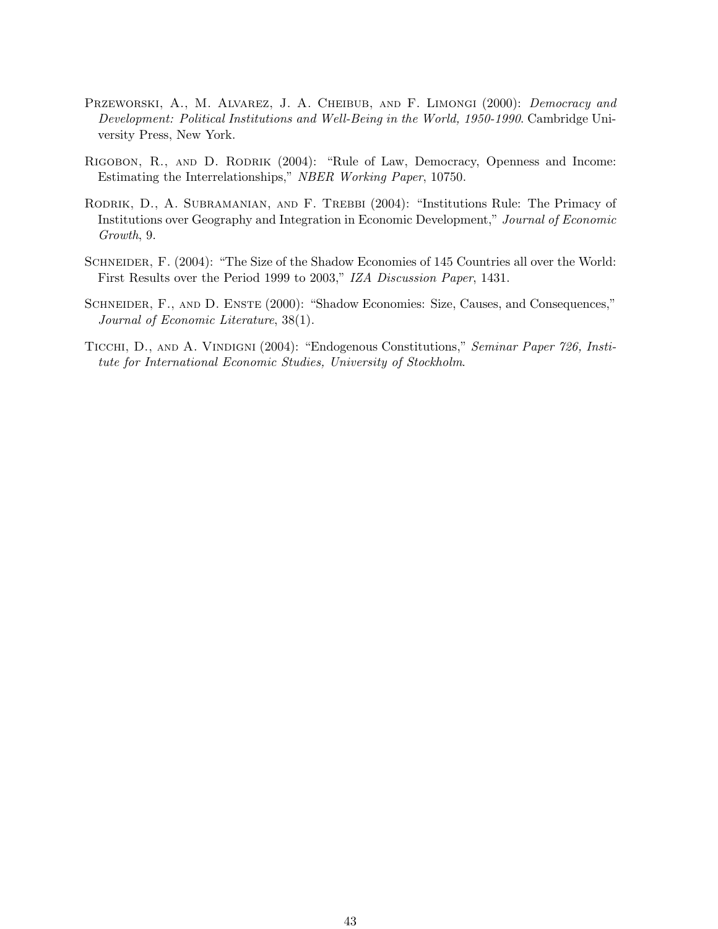- PRZEWORSKI, A., M. ALVAREZ, J. A. CHEIBUB, AND F. LIMONGI (2000): Democracy and Development: Political Institutions and Well-Being in the World, 1950-1990. Cambridge University Press, New York.
- RIGOBON, R., AND D. RODRIK (2004): "Rule of Law, Democracy, Openness and Income: Estimating the Interrelationships," NBER Working Paper, 10750.
- RODRIK, D., A. SUBRAMANIAN, AND F. TREBBI (2004): "Institutions Rule: The Primacy of Institutions over Geography and Integration in Economic Development," Journal of Economic Growth, 9.
- SCHNEIDER, F. (2004): "The Size of the Shadow Economies of 145 Countries all over the World: First Results over the Period 1999 to 2003," IZA Discussion Paper, 1431.
- SCHNEIDER, F., AND D. ENSTE (2000): "Shadow Economies: Size, Causes, and Consequences," Journal of Economic Literature, 38(1).
- TICCHI, D., AND A. VINDIGNI (2004): "Endogenous Constitutions," Seminar Paper 726, Institute for International Economic Studies, University of Stockholm.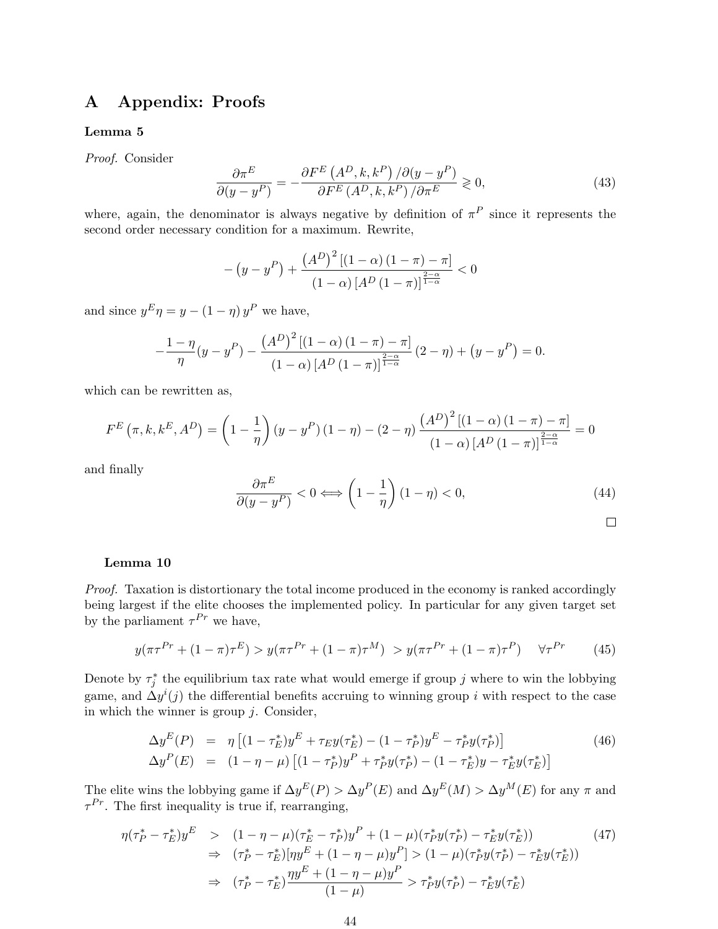# A Appendix: Proofs

#### Lemma 5

Proof. Consider

$$
\frac{\partial \pi^{E}}{\partial (y - y^{P})} = -\frac{\partial F^{E} (A^{D}, k, k^{P}) / \partial (y - y^{P})}{\partial F^{E} (A^{D}, k, k^{P}) / \partial \pi^{E}} \ge 0,
$$
\n(43)

where, again, the denominator is always negative by definition of  $\pi^P$  since it represents the second order necessary condition for a maximum. Rewrite,

$$
-\left(y-y^{P}\right) + \frac{\left(A^{D}\right)^{2}\left[\left(1-\alpha\right)\left(1-\pi\right)-\pi\right]}{\left(1-\alpha\right)\left[A^{D}\left(1-\pi\right)\right]^{\frac{2-\alpha}{1-\alpha}}} < 0
$$

and since  $y^E \eta = y - (1 - \eta) y^P$  we have,

$$
-\frac{1-\eta}{\eta}(y-y^P) - \frac{(A^D)^2 [(1-\alpha)(1-\pi) - \pi]}{(1-\alpha)[A^D (1-\pi)]^{\frac{2-\alpha}{1-\alpha}}}(2-\eta) + (y-y^P) = 0.
$$

which can be rewritten as,

$$
F^{E}(\pi, k, k^{E}, A^{D}) = \left(1 - \frac{1}{\eta}\right)(y - y^{P})(1 - \eta) - (2 - \eta)\frac{(A^{D})^{2}[(1 - \alpha)(1 - \pi) - \pi]}{(1 - \alpha)[A^{D}(1 - \pi)]^{\frac{2 - \alpha}{1 - \alpha}}} = 0
$$

and finally

$$
\frac{\partial \pi^E}{\partial (y - y^P)} < 0 \Longleftrightarrow \left(1 - \frac{1}{\eta}\right)(1 - \eta) < 0,\tag{44}
$$

$$
\Box
$$

#### Lemma 10

Proof. Taxation is distortionary the total income produced in the economy is ranked accordingly being largest if the elite chooses the implemented policy. In particular for any given target set by the parliament  $\tau^{Pr}$  we have,

$$
y(\pi \tau^{Pr} + (1 - \pi)\tau^{E}) > y(\pi \tau^{Pr} + (1 - \pi)\tau^{M}) > y(\pi \tau^{Pr} + (1 - \pi)\tau^{P}) \quad \forall \tau^{Pr} \tag{45}
$$

Denote by  $\tau_j^*$  the equilibrium tax rate what would emerge if group j where to win the lobbying game, and  $\Delta y^{i}(j)$  the differential benefits accruing to winning group i with respect to the case in which the winner is group  $j$ . Consider,

$$
\Delta y^{E}(P) = \eta \left[ (1 - \tau_{E}^{*}) y^{E} + \tau_{E} y(\tau_{E}^{*}) - (1 - \tau_{P}^{*}) y^{E} - \tau_{P}^{*} y(\tau_{P}^{*}) \right] \tag{46}
$$
\n
$$
\Delta y^{P}(E) = (1 - \eta - \mu) \left[ (1 - \tau_{P}^{*}) y^{P} + \tau_{P}^{*} y(\tau_{P}^{*}) - (1 - \tau_{E}^{*}) y - \tau_{E}^{*} y(\tau_{E}^{*}) \right]
$$

The elite wins the lobbying game if  $\Delta y^E(P) > \Delta y^P(E)$  and  $\Delta y^E(M) > \Delta y^M(E)$  for any  $\pi$  and  $\tau^{Pr}$ . The first inequality is true if, rearranging,

$$
\eta(\tau_P^* - \tau_E^*)y^E \quad > \quad (1 - \eta - \mu)(\tau_E^* - \tau_P^*)y^P + (1 - \mu)(\tau_P^*y(\tau_P^*) - \tau_E^*y(\tau_E^*)) \quad (47)
$$
\n
$$
\Rightarrow \quad (\tau_P^* - \tau_E^*)[\eta y^E + (1 - \eta - \mu)y^P] > (1 - \mu)(\tau_P^*y(\tau_P^*) - \tau_E^*y(\tau_E^*)) \quad (47)
$$
\n
$$
\Rightarrow \quad (\tau_P^* - \tau_E^*)\frac{\eta y^E + (1 - \eta - \mu)y^P}{(1 - \mu)} > \tau_P^*y(\tau_P^*) - \tau_E^*y(\tau_E^*) \quad (49)
$$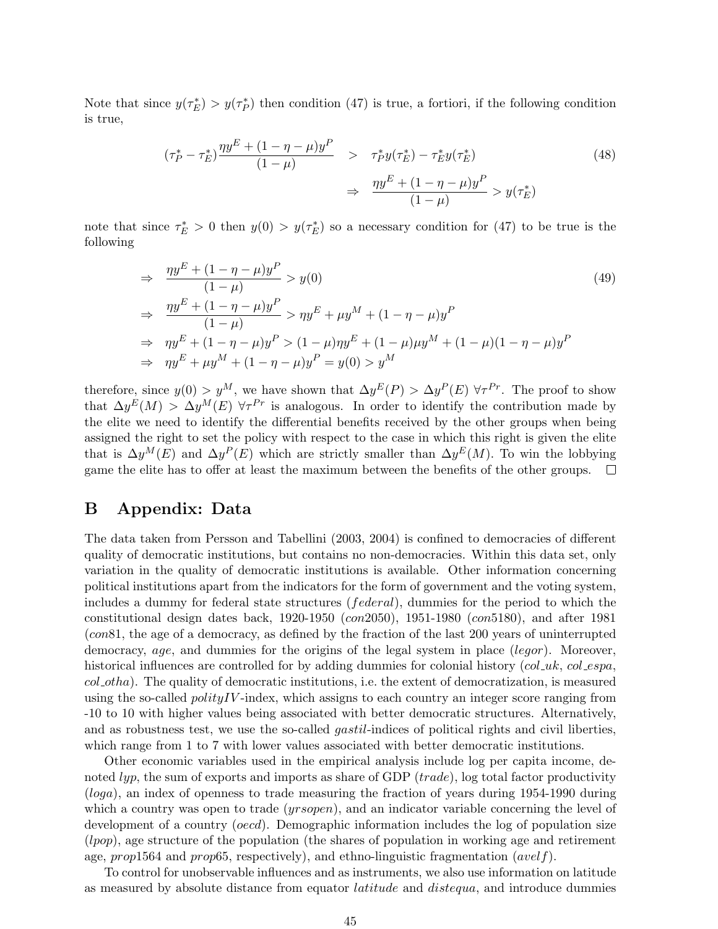Note that since  $y(\tau_E^*) > y(\tau_P^*)$  then condition (47) is true, a fortiori, if the following condition is true,

$$
(\tau_P^* - \tau_E^*) \frac{\eta y^E + (1 - \eta - \mu)y^P}{(1 - \mu)} > \tau_P^* y(\tau_E^*) - \tau_E^* y(\tau_E^*)
$$
\n
$$
\Rightarrow \frac{\eta y^E + (1 - \eta - \mu)y^P}{(1 - \mu)} > y(\tau_E^*)
$$
\n(48)

note that since  $\tau_E^* > 0$  then  $y(0) > y(\tau_E^*)$  so a necessary condition for (47) to be true is the following

$$
\Rightarrow \frac{\eta y^{E} + (1 - \eta - \mu)y^{P}}{(1 - \mu)} > y(0)
$$
\n
$$
\Rightarrow \frac{\eta y^{E} + (1 - \eta - \mu)y^{P}}{(1 - \mu)} > \eta y^{E} + \mu y^{M} + (1 - \eta - \mu)y^{P}
$$
\n
$$
\Rightarrow \eta y^{E} + (1 - \eta - \mu)y^{P} > (1 - \mu)\eta y^{E} + (1 - \mu)\mu y^{M} + (1 - \mu)(1 - \eta - \mu)y^{P}
$$
\n
$$
\Rightarrow \eta y^{E} + \mu y^{M} + (1 - \eta - \mu)y^{P} = y(0) > y^{M}
$$
\n(49)

therefore, since  $y(0) > y^M$ , we have shown that  $\Delta y^E(P) > \Delta y^P(E)$   $\forall \tau^{Pr}$ . The proof to show that  $\Delta y^E(M) > \Delta y^M(E)$   $\forall \tau^{Pr}$  is analogous. In order to identify the contribution made by the elite we need to identify the differential benefits received by the other groups when being assigned the right to set the policy with respect to the case in which this right is given the elite that is  $\Delta y^M(E)$  and  $\Delta y^P(E)$  which are strictly smaller than  $\Delta y^E(M)$ . To win the lobbying game the elite has to offer at least the maximum between the benefits of the other groups.  $\Box$ 

# B Appendix: Data

The data taken from Persson and Tabellini (2003, 2004) is confined to democracies of different quality of democratic institutions, but contains no non-democracies. Within this data set, only variation in the quality of democratic institutions is available. Other information concerning political institutions apart from the indicators for the form of government and the voting system, includes a dummy for federal state structures (federal), dummies for the period to which the constitutional design dates back, 1920-1950 (con2050), 1951-1980 (con5180), and after 1981 (con81, the age of a democracy, as defined by the fraction of the last 200 years of uninterrupted democracy, age, and dummies for the origins of the legal system in place (legor). Moreover, historical influences are controlled for by adding dummies for colonial history (col  $uk$ , col espa,  $col\_otha$ ). The quality of democratic institutions, i.e. the extent of democratization, is measured using the so-called  $polityIV$ -index, which assigns to each country an integer score ranging from -10 to 10 with higher values being associated with better democratic structures. Alternatively, and as robustness test, we use the so-called *gastil*-indices of political rights and civil liberties, which range from 1 to 7 with lower values associated with better democratic institutions.

Other economic variables used in the empirical analysis include log per capita income, denoted lyp, the sum of exports and imports as share of GDP  $(trade)$ , log total factor productivity (loga), an index of openness to trade measuring the fraction of years during 1954-1990 during which a country was open to trade (*yrsopen*), and an indicator variable concerning the level of development of a country (*oecd*). Demographic information includes the log of population size  $(1pop)$ , age structure of the population (the shares of population in working age and retirement age, prop1564 and prop65, respectively), and ethno-linguistic fragmentation  $(\alpha v e l f)$ .

To control for unobservable influences and as instruments, we also use information on latitude as measured by absolute distance from equator latitude and distequa, and introduce dummies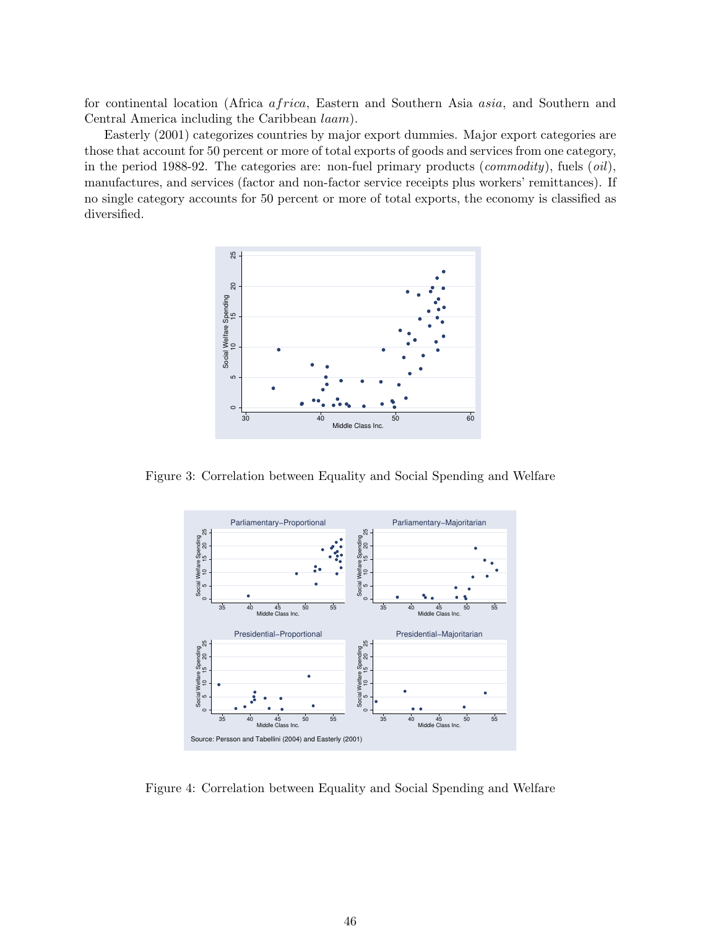for continental location (Africa africa, Eastern and Southern Asia asia, and Southern and Central America including the Caribbean laam).

Easterly (2001) categorizes countries by major export dummies. Major export categories are those that account for 50 percent or more of total exports of goods and services from one category, in the period 1988-92. The categories are: non-fuel primary products (*commodity*), fuels  $(oil)$ , manufactures, and services (factor and non-factor service receipts plus workers' remittances). If no single category accounts for 50 percent or more of total exports, the economy is classified as diversified.



Figure 3: Correlation between Equality and Social Spending and Welfare



Figure 4: Correlation between Equality and Social Spending and Welfare